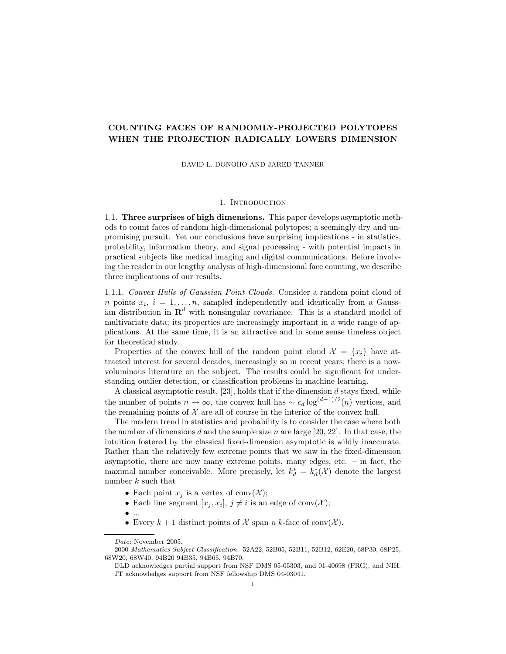## COUNTING FACES OF RANDOMLY-PROJECTED POLYTOPES WHEN THE PROJECTION RADICALLY LOWERS DIMENSION

DAVID L. DONOHO AND JARED TANNER

#### 1. INTRODUCTION

1.1. Three surprises of high dimensions. This paper develops asymptotic methods to count faces of random high-dimensional polytopes; a seemingly dry and unpromising pursuit. Yet our conclusions have surprising implications - in statistics, probability, information theory, and signal processing - with potential impacts in practical subjects like medical imaging and digital communications. Before involving the reader in our lengthy analysis of high-dimensional face counting, we describe three implications of our results.

1.1.1. Convex Hulls of Gaussian Point Clouds. Consider a random point cloud of *n* points  $x_i$ ,  $i = 1, \ldots, n$ , sampled independently and identically from a Gaussian distribution in  $\mathbf{R}^d$  with nonsingular covariance. This is a standard model of multivariate data; its properties are increasingly important in a wide range of applications. At the same time, it is an attractive and in some sense timeless object for theoretical study.

Properties of the convex hull of the random point cloud  $\mathcal{X} = \{x_i\}$  have attracted interest for several decades, increasingly so in recent years; there is a nowvoluminous literature on the subject. The results could be significant for understanding outlier detection, or classification problems in machine learning.

A classical asymptotic result,  $[23]$ , holds that if the dimension  $d$  stays fixed, while the number of points  $n \to \infty$ , the convex hull has  $\sim c_d \log^{(d-1)/2}(n)$  vertices, and the remaining points of  $\mathcal X$  are all of course in the interior of the convex hull.

The modern trend in statistics and probability is to consider the case where both the number of dimensions d and the sample size n are large [20, 22]. In that case, the intuition fostered by the classical fixed-dimension asymptotic is wildly inaccurate. Rather than the relatively few extreme points that we saw in the fixed-dimension asymptotic, there are now many extreme points, many edges, etc. – in fact, the maximal number conceivable. More precisely, let  $k_d^* = k_d^*(\mathcal{X})$  denote the largest number k such that

- Each point  $x_j$  is a vertex of conv $(\mathcal{X});$
- Each line segment  $[x_j, x_i], j \neq i$  is an edge of conv $(\mathcal{X})$ ;
- $\bullet$  ...
- Every  $k + 1$  distinct points of X span a k-face of conv $(\mathcal{X})$ .

Date: November 2005.

<sup>2000</sup> Mathematics Subject Classification. 52A22, 52B05, 52B11, 52B12, 62E20, 68P30, 68P25, 68W20, 68W40, 94B20 94B35, 94B65, 94B70.

DLD acknowledges partial support from NSF DMS 05-05303, and 01-40698 (FRG), and NIH. JT acknowledges support from NSF fellowship DMS 04-03041.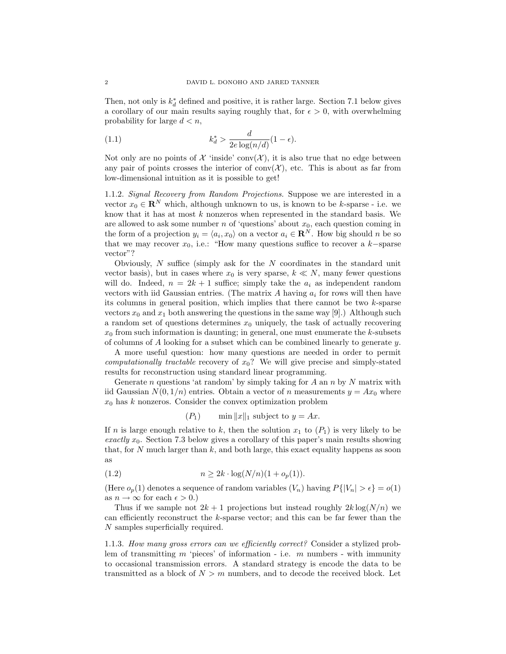Then, not only is  $k_d^*$  defined and positive, it is rather large. Section 7.1 below gives a corollary of our main results saying roughly that, for  $\epsilon > 0$ , with overwhelming probability for large  $d < n$ ,

(1.1) 
$$
k_d^* > \frac{d}{2e\log(n/d)}(1-\epsilon).
$$

Not only are no points of  $\mathcal X$  'inside' conv $(\mathcal X)$ , it is also true that no edge between any pair of points crosses the interior of  $conv(X)$ , etc. This is about as far from low-dimensional intuition as it is possible to get!

1.1.2. Signal Recovery from Random Projections. Suppose we are interested in a vector  $x_0 \in \mathbb{R}^N$  which, although unknown to us, is known to be k-sparse - i.e. we know that it has at most  $k$  nonzeros when represented in the standard basis. We are allowed to ask some number n of 'questions' about  $x_0$ , each question coming in the form of a projection  $y_i = \langle a_i, x_0 \rangle$  on a vector  $a_i \in \mathbb{R}^N$ . How big should n be so that we may recover  $x_0$ , i.e.: "How many questions suffice to recover a k-sparse vector"?

Obviously,  $N$  suffice (simply ask for the  $N$  coordinates in the standard unit vector basis), but in cases where  $x_0$  is very sparse,  $k \ll N$ , many fewer questions will do. Indeed,  $n = 2k + 1$  suffice; simply take the  $a_i$  as independent random vectors with iid Gaussian entries. (The matrix A having  $a_i$  for rows will then have its columns in general position, which implies that there cannot be two  $k$ -sparse vectors  $x_0$  and  $x_1$  both answering the questions in the same way [9].) Although such a random set of questions determines  $x_0$  uniquely, the task of actually recovering  $x_0$  from such information is daunting; in general, one must enumerate the k-subsets of columns of  $A$  looking for a subset which can be combined linearly to generate  $y$ .

A more useful question: how many questions are needed in order to permit *computationally tractable recovery of*  $x_0$ ? We will give precise and simply-stated results for reconstruction using standard linear programming.

Generate n questions 'at random' by simply taking for  $A$  an  $n$  by  $N$  matrix with iid Gaussian  $N(0, 1/n)$  entries. Obtain a vector of n measurements  $y = Ax_0$  where  $x_0$  has k nonzeros. Consider the convex optimization problem

 $(P_1)$  min ||x||<sub>1</sub> subject to  $y = Ax$ .

If n is large enough relative to k, then the solution  $x_1$  to  $(P_1)$  is very likely to be exactly  $x_0$ . Section 7.3 below gives a corollary of this paper's main results showing that, for  $N$  much larger than  $k$ , and both large, this exact equality happens as soon as

(1.2) 
$$
n \ge 2k \cdot \log(N/n)(1 + o_p(1)).
$$

(Here  $o_p(1)$  denotes a sequence of random variables  $(V_n)$  having  $P\{|V_n| > \epsilon\} = o(1)$ as  $n \to \infty$  for each  $\epsilon > 0$ .)

Thus if we sample not  $2k+1$  projections but instead roughly  $2k \log(N/n)$  we can efficiently reconstruct the k-sparse vector; and this can be far fewer than the N samples superficially required.

1.1.3. How many gross errors can we efficiently correct? Consider a stylized problem of transmitting  $m$  'pieces' of information - i.e.  $m$  numbers - with immunity to occasional transmission errors. A standard strategy is encode the data to be transmitted as a block of  $N > m$  numbers, and to decode the received block. Let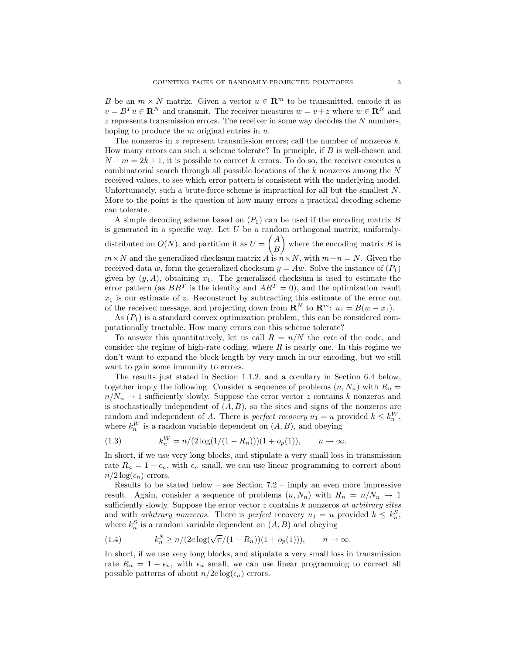B be an  $m \times N$  matrix. Given a vector  $u \in \mathbb{R}^m$  to be transmitted, encode it as  $v = B<sup>T</sup> u \in \mathbb{R}^{N}$  and transmit. The receiver measures  $w = v + z$  where  $w \in \mathbb{R}^{N}$  and  $z$  represents transmission errors. The receiver in some way decodes the  $N$  numbers, hoping to produce the  $m$  original entries in  $u$ .

The nonzeros in z represent transmission errors; call the number of nonzeros  $k$ . How many errors can such a scheme tolerate? In principle, if B is well-chosen and  $N-m=2k+1$ , it is possible to correct k errors. To do so, the receiver executes a combinatorial search through all possible locations of the  $k$  nonzeros among the  $N$ received values, to see which error pattern is consistent with the underlying model. Unfortunately, such a brute-force scheme is impractical for all but the smallest N. More to the point is the question of how many errors a practical decoding scheme can tolerate.

A simple decoding scheme based on  $(P_1)$  can be used if the encoding matrix B is generated in a specific way. Let  $U$  be a random orthogonal matrix, uniformlydistributed on  $O(N)$ , and partition it as  $U =$  $\int A$ B  $\setminus$ where the encoding matrix  $B$  is  $m \times N$  and the generalized checksum matrix A is  $n \times N$ , with  $m+n = N$ . Given the received data w, form the generalized checksum  $y = Aw$ . Solve the instance of  $(P_1)$ given by  $(y, A)$ , obtaining  $x_1$ . The generalized checksum is used to estimate the error pattern (as  $BB<sup>T</sup>$  is the identity and  $AB<sup>T</sup> = 0$ ), and the optimization result  $x_1$  is our estimate of z. Reconstruct by subtracting this estimate of the error out of the received message, and projecting down from  $\mathbb{R}^N$  to  $\mathbb{R}^m$ :  $u_1 = B(w - x_1)$ .

As  $(P_1)$  is a standard convex optimization problem, this can be considered computationally tractable. How many errors can this scheme tolerate?

To answer this quantitatively, let us call  $R = n/N$  the rate of the code, and consider the regime of high-rate coding, where  $R$  is nearly one. In this regime we don't want to expand the block length by very much in our encoding, but we still want to gain some immunity to errors.

The results just stated in Section 1.1.2, and a corollary in Section 6.4 below, together imply the following. Consider a sequence of problems  $(n, N_n)$  with  $R_n =$  $n/N_n \to 1$  sufficiently slowly. Suppose the error vector z contains k nonzeros and is stochastically independent of  $(A, B)$ , so the sites and signs of the nonzeros are random and independent of A. There is *perfect recovery*  $u_1 = u$  provided  $k \leq k_n^W$ , where  $k_n^W$  is a random variable dependent on  $(A, B)$ , and obeying

(1.3) 
$$
k_n^W = n/(2 \log(1/(1 - R_n)))(1 + o_p(1)), \quad n \to \infty.
$$

In short, if we use very long blocks, and stipulate a very small loss in transmission rate  $R_n = 1 - \epsilon_n$ , with  $\epsilon_n$  small, we can use linear programming to correct about  $n/2 \log(\epsilon_n)$  errors.

Results to be stated below – see Section 7.2 – imply an even more impressive result. Again, consider a sequence of problems  $(n, N_n)$  with  $R_n = n/N_n \rightarrow 1$ sufficiently slowly. Suppose the error vector  $z$  contains  $k$  nonzeros at arbitrary sites and with *arbitrary nonzeros*. There is *perfect* recovery  $u_1 = u$  provided  $k \leq k_n^S$ , where  $k_n^S$  is a random variable dependent on  $(A, B)$  and obeying

(1.4) 
$$
k_n^S \ge n/(2e \log(\sqrt{\pi}/(1 - R_n))(1 + o_p(1))), \quad n \to \infty.
$$

In short, if we use very long blocks, and stipulate a very small loss in transmission rate  $R_n = 1 - \epsilon_n$ , with  $\epsilon_n$  small, we can use linear programming to correct all possible patterns of about  $n/2e \log(\epsilon_n)$  errors.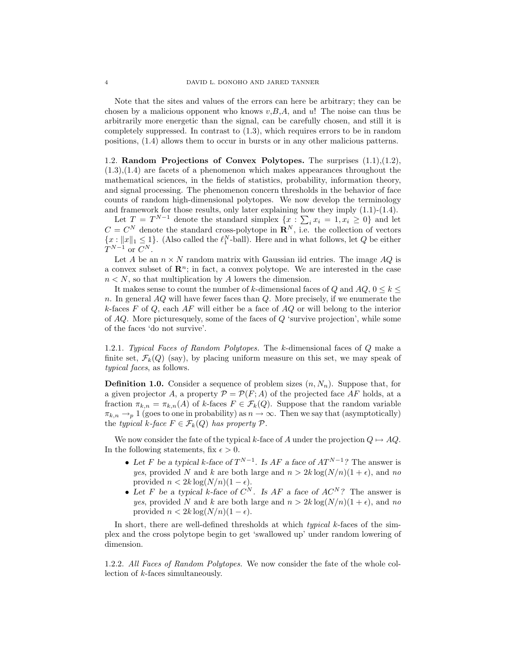Note that the sites and values of the errors can here be arbitrary; they can be chosen by a malicious opponent who knows  $v, B, A$ , and u! The noise can thus be arbitrarily more energetic than the signal, can be carefully chosen, and still it is completely suppressed. In contrast to (1.3), which requires errors to be in random positions, (1.4) allows them to occur in bursts or in any other malicious patterns.

1.2. Random Projections of Convex Polytopes. The surprises (1.1),(1.2),  $(1.3), (1.4)$  are facets of a phenomenon which makes appearances throughout the mathematical sciences, in the fields of statistics, probability, information theory, and signal processing. The phenomenon concern thresholds in the behavior of face counts of random high-dimensional polytopes. We now develop the terminology and framework for those results, only later explaining how they imply (1.1)-(1.4).

Let  $T = T^{N-1}$  denote the standard simplex  $\{x : \sum_i x_i = 1, x_i \geq 0\}$  and let  $C = C^N$  denote the standard cross-polytope in  $\mathbb{R}^N$ , i.e. the collection of vectors  ${x: \|x\|_1 \leq 1}$ . (Also called the  $\ell_1^N$ -ball). Here and in what follows, let Q be either  $T^{N-1}$  or  $C^N$ .

Let A be an  $n \times N$  random matrix with Gaussian iid entries. The image  $AQ$  is a convex subset of  $\mathbb{R}^n$ ; in fact, a convex polytope. We are interested in the case  $n < N$ , so that multiplication by A lowers the dimension.

It makes sense to count the number of k-dimensional faces of Q and  $AQ$ ,  $0 \leq k \leq$  $n.$  In general  $AQ$  will have fewer faces than  $Q.$  More precisely, if we enumerate the k-faces F of Q, each  $AF$  will either be a face of  $AQ$  or will belong to the interior of  $AQ$ . More picturesquely, some of the faces of  $Q$  'survive projection', while some of the faces 'do not survive'.

1.2.1. Typical Faces of Random Polytopes. The k-dimensional faces of Q make a finite set,  $\mathcal{F}_k(Q)$  (say), by placing uniform measure on this set, we may speak of typical faces, as follows.

**Definition 1.0.** Consider a sequence of problem sizes  $(n, N_n)$ . Suppose that, for a given projector A, a property  $\mathcal{P} = \mathcal{P}(F; A)$  of the projected face AF holds, at a fraction  $\pi_{k,n} = \pi_{k,n}(A)$  of k-faces  $F \in \mathcal{F}_k(Q)$ . Suppose that the random variable  $\pi_{k,n} \to_p 1$  (goes to one in probability) as  $n \to \infty$ . Then we say that (asymptotically) the typical k-face  $F \in \mathcal{F}_k(Q)$  has property  $\mathcal{P}$ .

We now consider the fate of the typical k-face of A under the projection  $Q \mapsto AQ$ . In the following statements, fix  $\epsilon > 0$ .

- Let F be a typical k-face of  $T^{N-1}$ . Is AF a face of  $AT^{N-1}$ ? The answer is yes, provided N and k are both large and  $n > 2k \log(N/n)(1 + \epsilon)$ , and no provided  $n < 2k \log(N/n)(1 - \epsilon)$ .
- Let F be a typical k-face of  $C^N$ . Is AF a face of  $AC^N$ ? The answer is yes, provided N and k are both large and  $n > 2k \log(N/n)(1 + \epsilon)$ , and no provided  $n < 2k \log(N/n)(1 - \epsilon)$ .

In short, there are well-defined thresholds at which typical k-faces of the simplex and the cross polytope begin to get 'swallowed up' under random lowering of dimension.

1.2.2. All Faces of Random Polytopes. We now consider the fate of the whole collection of k-faces simultaneously.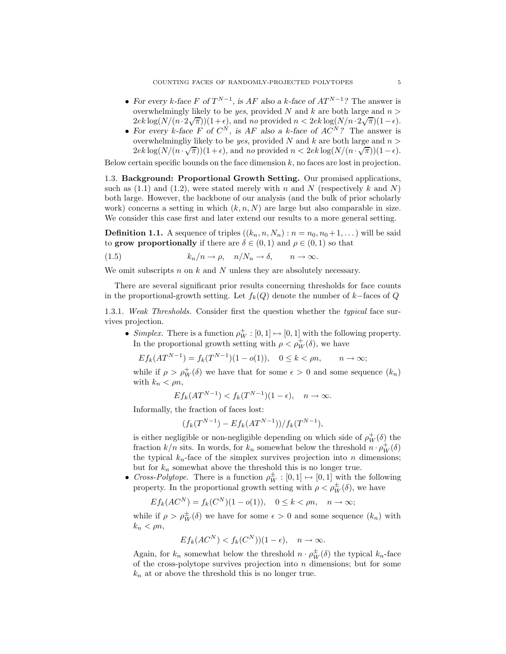- For every k-face F of  $T^{N-1}$ , is AF also a k-face of  $AT^{N-1}$ ? The answer is overwhelmingly likely to be *yes*, provided N and k are both large and  $n >$  $2ek \log(N/(n \cdot 2\sqrt{\pi}))(1+\epsilon)$ , and no provided  $n < 2ek \log(N/n \cdot 2\sqrt{\pi})(1-\epsilon)$ .
- For every k-face F of  $C^N$ , is AF also a k-face of  $AC^N$ ? The answer is overwhelmingliy likely to be *yes*, provided N and k are both large and  $n >$  $2ek \log(N/(n \cdot \sqrt{\pi}))(1+\epsilon)$ , and no provided  $n < 2ek \log(N/(n \cdot \sqrt{\pi}))(1-\epsilon)$ .

Below certain specific bounds on the face dimension  $k$ , no faces are lost in projection.

1.3. Background: Proportional Growth Setting. Our promised applications, such as (1.1) and (1.2), were stated merely with n and N (respectively k and N) both large. However, the backbone of our analysis (and the bulk of prior scholarly work) concerns a setting in which  $(k, n, N)$  are large but also comparable in size. We consider this case first and later extend our results to a more general setting.

**Definition 1.1.** A sequence of triples  $((k_n, n, N_n) : n = n_0, n_0 + 1, ...)$  will be said to grow proportionally if there are  $\delta \in (0,1)$  and  $\rho \in (0,1)$  so that

(1.5) 
$$
k_n/n \to \rho, \quad n/N_n \to \delta, \qquad n \to \infty.
$$

We omit subscripts n on  $k$  and  $N$  unless they are absolutely necessary.

There are several significant prior results concerning thresholds for face counts in the proportional-growth setting. Let  $f_k(Q)$  denote the number of k−faces of Q

1.3.1. Weak Thresholds. Consider first the question whether the typical face survives projection.

• Simplex. There is a function  $\rho_W^+ : [0, 1] \mapsto [0, 1]$  with the following property. In the proportional growth setting with  $\rho < \rho_W^+(\delta)$ , we have

$$
E f_k(AT^{N-1}) = f_k(T^{N-1})(1 - o(1)), \quad 0 \le k < \rho n, \qquad n \to \infty;
$$

while if  $\rho > \rho_W^+(\delta)$  we have that for some  $\epsilon > 0$  and some sequence  $(k_n)$ with  $k_n < \rho n$ ,

$$
E f_k(AT^{N-1}) < f_k(T^{N-1})(1 - \epsilon), \quad n \to \infty.
$$

Informally, the fraction of faces lost:

$$
(f_k(T^{N-1}) - Ef_k(AT^{N-1}))/f_k(T^{N-1}),
$$

is either negligible or non-negligible depending on which side of  $\rho_W^+(\delta)$  the fraction  $k/n$  sits. In words, for  $k_n$  somewhat below the threshold  $n \cdot \rho_W^+(\delta)$ the typical  $k_n$ -face of the simplex survives projection into n dimensions; but for  $k_n$  somewhat above the threshold this is no longer true.

• Cross-Polytope. There is a function  $\rho_W^{\pm} : [0,1] \mapsto [0,1]$  with the following property. In the proportional growth setting with  $\rho < \rho_W^{\pm}(\delta)$ , we have

$$
Ef_k(AC^N) = f_k(C^N)(1 - o(1)), \quad 0 \le k < \rho n, \quad n \to \infty;
$$

while if  $\rho > \rho_W^{\pm}(\delta)$  we have for some  $\epsilon > 0$  and some sequence  $(k_n)$  with  $k_n < \rho n$ ,

$$
E f_k(AC^N) < f_k(C^N)(1 - \epsilon), \quad n \to \infty.
$$

Again, for  $k_n$  somewhat below the threshold  $n \cdot \rho_W^{\pm}(\delta)$  the typical  $k_n$ -face of the cross-polytope survives projection into  $n$  dimensions; but for some  $k_n$  at or above the threshold this is no longer true.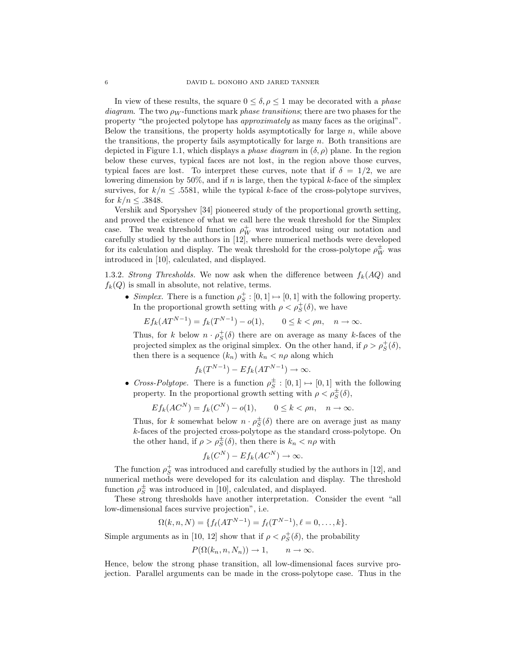In view of these results, the square  $0 \le \delta, \rho \le 1$  may be decorated with a *phase* diagram. The two  $\rho_W$ -functions mark phase transitions; there are two phases for the property "the projected polytope has approximately as many faces as the original". Below the transitions, the property holds asymptotically for large  $n$ , while above the transitions, the property fails asymptotically for large  $n$ . Both transitions are depicted in Figure 1.1, which displays a *phase diagram* in  $(\delta, \rho)$  plane. In the region below these curves, typical faces are not lost, in the region above those curves, typical faces are lost. To interpret these curves, note that if  $\delta = 1/2$ , we are lowering dimension by 50%, and if n is large, then the typical k-face of the simplex survives, for  $k/n \leq 0.5581$ , while the typical k-face of the cross-polytope survives, for  $k/n \leq .3848$ .

Vershik and Sporyshev [34] pioneered study of the proportional growth setting, and proved the existence of what we call here the weak threshold for the Simplex case. The weak threshold function  $\rho_W^+$  was introduced using our notation and carefully studied by the authors in [12], where numerical methods were developed for its calculation and display. The weak threshold for the cross-polytope  $\rho_W^\pm$  was introduced in [10], calculated, and displayed.

1.3.2. Strong Thresholds. We now ask when the difference between  $f_k(AQ)$  and  $f_k(Q)$  is small in absolute, not relative, terms.

• Simplex. There is a function  $\rho_S^+ : [0,1] \mapsto [0,1]$  with the following property. In the proportional growth setting with  $\rho < \rho_S^+(\delta)$ , we have

$$
E f_k(AT^{N-1}) = f_k(T^{N-1}) - o(1), \qquad 0 \le k < \rho n, \quad n \to \infty.
$$

Thus, for k below  $n \cdot \rho_S^+(\delta)$  there are on average as many k-faces of the projected simplex as the original simplex. On the other hand, if  $\rho > \rho_S^+(\delta)$ , then there is a sequence  $(k_n)$  with  $k_n < n\rho$  along which

$$
f_k(T^{N-1}) - Ef_k(AT^{N-1}) \to \infty.
$$

• Cross-Polytope. There is a function  $\rho_S^{\pm} : [0,1] \mapsto [0,1]$  with the following property. In the proportional growth setting with  $\rho < \rho_S^{\pm}(\delta)$ ,

$$
E f_k(AC^N) = f_k(C^N) - o(1), \qquad 0 \le k < \rho n, \quad n \to \infty.
$$

Thus, for k somewhat below  $n \cdot \rho_S^{\pm}(\delta)$  there are on average just as many k-faces of the projected cross-polytope as the standard cross-polytope. On the other hand, if  $\rho > \rho_S^{\pm}(\delta)$ , then there is  $k_n < n\rho$  with

$$
f_k(C^N) - Ef_k(AC^N) \to \infty.
$$

The function  $\rho_S^+$  was introduced and carefully studied by the authors in [12], and numerical methods were developed for its calculation and display. The threshold function  $\rho_S^{\pm}$  was introduced in [10], calculated, and displayed.

These strong thresholds have another interpretation. Consider the event "all low-dimensional faces survive projection", i.e.

$$
\Omega(k, n, N) = \{ f_{\ell}(AT^{N-1}) = f_{\ell}(T^{N-1}), \ell = 0, \ldots, k \}.
$$

Simple arguments as in [10, 12] show that if  $\rho < \rho_S^+(\delta)$ , the probability

$$
P(\Omega(k_n, n, N_n)) \to 1, \qquad n \to \infty.
$$

Hence, below the strong phase transition, all low-dimensional faces survive projection. Parallel arguments can be made in the cross-polytope case. Thus in the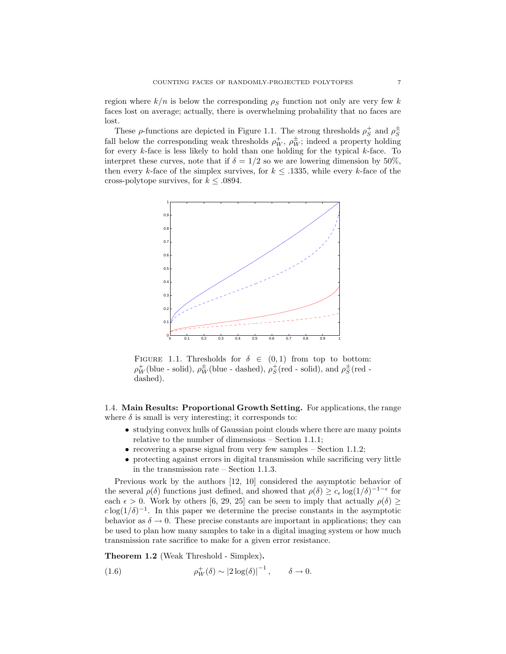region where  $k/n$  is below the corresponding  $\rho_s$  function not only are very few k faces lost on average; actually, there is overwhelming probability that no faces are lost.

These  $\rho$ -functions are depicted in Figure 1.1. The strong thresholds  $\rho_S^+$  and  $\rho_S^+$ fall below the corresponding weak thresholds  $\rho_W^+$ ,  $\rho_W^{\pm}$ ; indeed a property holding for every  $k$ -face is less likely to hold than one holding for the typical  $k$ -face. To interpret these curves, note that if  $\delta = 1/2$  so we are lowering dimension by 50%. then every k-face of the simplex survives, for  $k \leq 0.1335$ , while every k-face of the cross-polytope survives, for  $k \leq .0894$ .



FIGURE 1.1. Thresholds for  $\delta \in (0,1)$  from top to bottom:  $\rho_W^+$ (blue - solid),  $\rho_W^{\pm}$ (blue - dashed),  $\rho_S^+$ (red - solid), and  $\rho_S^{\pm}$ (red dashed).

1.4. Main Results: Proportional Growth Setting. For applications, the range where  $\delta$  is small is very interesting; it corresponds to:

- studying convex hulls of Gaussian point clouds where there are many points relative to the number of dimensions – Section 1.1.1;
- recovering a sparse signal from very few samples  $-$  Section 1.1.2;
- protecting against errors in digital transmission while sacrificing very little in the transmission rate – Section 1.1.3.

Previous work by the authors [12, 10] considered the asymptotic behavior of the several  $\rho(\delta)$  functions just defined, and showed that  $\rho(\delta) \geq c_{\epsilon} \log(1/\delta)^{-1-\epsilon}$  for each  $\epsilon > 0$ . Work by others [6, 29, 25] can be seen to imply that actually  $\rho(\delta)$  $c \log(1/\delta)^{-1}$ . In this paper we determine the precise constants in the asymptotic behavior as  $\delta \to 0$ . These precise constants are important in applications; they can be used to plan how many samples to take in a digital imaging system or how much transmission rate sacrifice to make for a given error resistance.

Theorem 1.2 (Weak Threshold - Simplex).

(1.6) 
$$
\rho_W^+(\delta) \sim |2\log(\delta)|^{-1}, \qquad \delta \to 0.
$$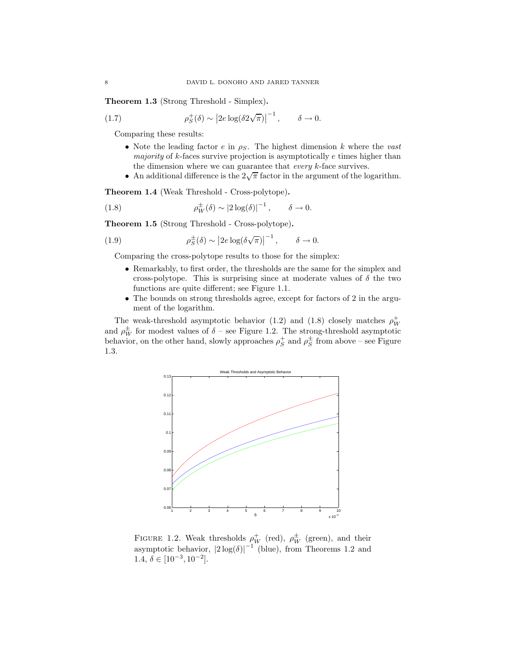Theorem 1.3 (Strong Threshold - Simplex).

(1.7) 
$$
\rho_S^+(\delta) \sim |2e \log(\delta 2\sqrt{\pi})|^{-1}, \qquad \delta \to 0.
$$

Comparing these results:

- Note the leading factor e in  $\rho_S$ . The highest dimension k where the vast majority of k-faces survive projection is asymptotically  $e$  times higher than the dimension where we can guarantee that *every*  $k$ -face survives.
- An additional difference is the  $2\sqrt{\pi}$  factor in the argument of the logarithm.

Theorem 1.4 (Weak Threshold - Cross-polytope).

(1.8) 
$$
\rho_W^{\pm}(\delta) \sim |2 \log(\delta)|^{-1}, \qquad \delta \to 0.
$$

Theorem 1.5 (Strong Threshold - Cross-polytope).

(1.9) 
$$
\rho_S^{\pm}(\delta) \sim |2e \log(\delta \sqrt{\pi})|^{-1}, \quad \delta \to 0.
$$

Comparing the cross-polytope results to those for the simplex:

- Remarkably, to first order, the thresholds are the same for the simplex and cross-polytope. This is surprising since at moderate values of  $\delta$  the two functions are quite different; see Figure 1.1.
- The bounds on strong thresholds agree, except for factors of 2 in the argument of the logarithm.

The weak-threshold asymptotic behavior (1.2) and (1.8) closely matches  $\rho_W^+$ and  $\rho_W^{\pm}$  for modest values of  $\delta$  – see Figure 1.2. The strong-threshold asymptotic behavior, on the other hand, slowly approaches  $\rho_S^+$  and  $\rho_S^{\pm}$  from above – see Figure 1.3.



FIGURE 1.2. Weak thresholds  $\rho_W^+$  (red),  $\rho_W^{\pm}$  (green), and their asymptotic behavior,  $|2 \log(\delta)|^{-1}$  (blue), from Theorems 1.2 and 1.4,  $\delta \in [10^{-3}, 10^{-2}]$ .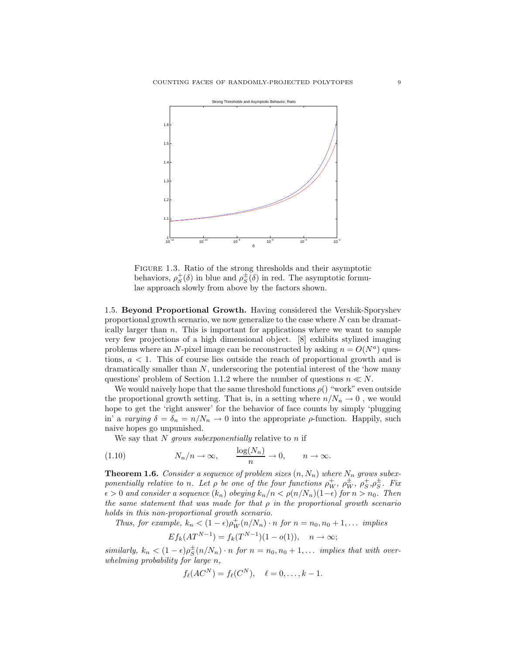

Figure 1.3. Ratio of the strong thresholds and their asymptotic behaviors,  $\rho_S^{\dagger}(\delta)$  in blue and  $\rho_S^{\dagger}(\delta)$  in red. The asymptotic formulae approach slowly from above by the factors shown.

1.5. Beyond Proportional Growth. Having considered the Vershik-Sporyshev proportional growth scenario, we now generalize to the case where N can be dramatically larger than  $n$ . This is important for applications where we want to sample very few projections of a high dimensional object. [8] exhibits stylized imaging problems where an N-pixel image can be reconstructed by asking  $n = O(N^a)$  questions, a < 1. This of course lies outside the reach of proportional growth and is dramatically smaller than  $N$ , underscoring the potential interest of the 'how many questions' problem of Section 1.1.2 where the number of questions  $n \ll N$ .

We would naively hope that the same threshold functions  $\rho()$  "work" even outside the proportional growth setting. That is, in a setting where  $n/N_n \to 0$ , we would hope to get the 'right answer' for the behavior of face counts by simply 'plugging in' a varying  $\delta = \delta_n = n/N_n \to 0$  into the appropriate  $\rho$ -function. Happily, such naive hopes go unpunished.

We say that  $N$  grows subexponentially relative to  $n$  if

(1.10) 
$$
N_n/n \to \infty
$$
,  $\frac{\log(N_n)}{n} \to 0$ ,  $n \to \infty$ .

**Theorem 1.6.** Consider a sequence of problem sizes  $(n, N_n)$  where  $N_n$  grows subexponentially relative to n. Let  $\rho$  be one of the four functions  $\rho_W^+$ ,  $\rho_W^{\pm}$ ,  $\rho_S^{\pm}$ ,  $\rho_S^{\pm}$ . Fix  $\epsilon > 0$  and consider a sequence  $(k_n)$  obeying  $k_n/n < \rho(n/N_n)(1-\epsilon)$  for  $n > n_0$ . Then the same statement that was made for that  $\rho$  in the proportional growth scenario holds in this non-proportional growth scenario.

Thus, for example,  $k_n < (1 - \epsilon)\rho_W^+(n/N_n) \cdot n$  for  $n = n_0, n_0 + 1, \ldots$  implies

$$
E f_k(AT^{N-1}) = f_k(T^{N-1})(1 - o(1)), \quad n \to \infty;
$$

similarly,  $k_n < (1 - \epsilon)\rho_S^{\pm}(n/N_n) \cdot n$  for  $n = n_0, n_0 + 1, \ldots$  implies that with overwhelming probability for large n,

$$
f_{\ell}(AC^N) = f_{\ell}(C^N), \quad \ell = 0, \ldots, k-1.
$$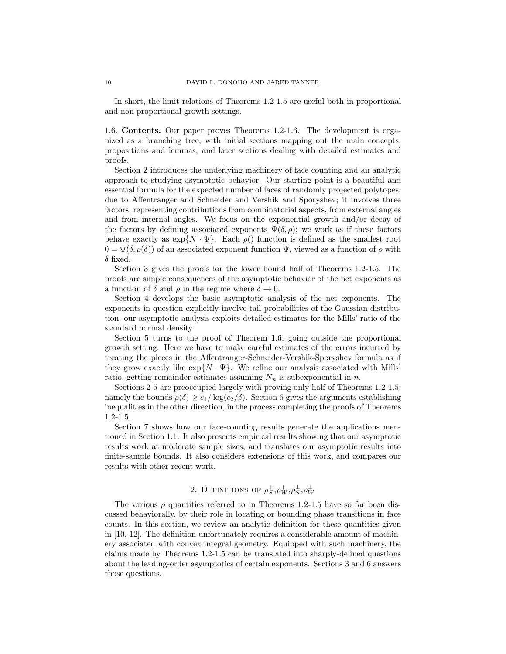In short, the limit relations of Theorems 1.2-1.5 are useful both in proportional and non-proportional growth settings.

1.6. Contents. Our paper proves Theorems 1.2-1.6. The development is organized as a branching tree, with initial sections mapping out the main concepts, propositions and lemmas, and later sections dealing with detailed estimates and proofs.

Section 2 introduces the underlying machinery of face counting and an analytic approach to studying asymptotic behavior. Our starting point is a beautiful and essential formula for the expected number of faces of randomly projected polytopes, due to Affentranger and Schneider and Vershik and Sporyshev; it involves three factors, representing contributions from combinatorial aspects, from external angles and from internal angles. We focus on the exponential growth and/or decay of the factors by defining associated exponents  $\Psi(\delta,\rho)$ ; we work as if these factors behave exactly as  $\exp\{N \cdot \Psi\}$ . Each  $\rho()$  function is defined as the smallest root  $0 = \Psi(\delta, \rho(\delta))$  of an associated exponent function  $\Psi$ , viewed as a function of  $\rho$  with  $\delta$  fixed.

Section 3 gives the proofs for the lower bound half of Theorems 1.2-1.5. The proofs are simple consequences of the asymptotic behavior of the net exponents as a function of  $\delta$  and  $\rho$  in the regime where  $\delta \to 0$ .

Section 4 develops the basic asymptotic analysis of the net exponents. The exponents in question explicitly involve tail probabilities of the Gaussian distribution; our asymptotic analysis exploits detailed estimates for the Mills' ratio of the standard normal density.

Section 5 turns to the proof of Theorem 1.6, going outside the proportional growth setting. Here we have to make careful estimates of the errors incurred by treating the pieces in the Affentranger-Schneider-Vershik-Sporyshev formula as if they grow exactly like  $\exp\{N \cdot \Psi\}$ . We refine our analysis associated with Mills' ratio, getting remainder estimates assuming  $N_n$  is subexponential in n.

Sections 2-5 are preoccupied largely with proving only half of Theorems 1.2-1.5; namely the bounds  $\rho(\delta) \geq c_1/\log(c_2/\delta)$ . Section 6 gives the arguments establishing inequalities in the other direction, in the process completing the proofs of Theorems 1.2-1.5.

Section 7 shows how our face-counting results generate the applications mentioned in Section 1.1. It also presents empirical results showing that our asymptotic results work at moderate sample sizes, and translates our asymptotic results into finite-sample bounds. It also considers extensions of this work, and compares our results with other recent work.

## 2. DEFINITIONS OF  $\rho_S^+,\rho_W^+,\rho_S^\pm,\rho_W^\pm$

The various  $\rho$  quantities referred to in Theorems 1.2-1.5 have so far been discussed behaviorally, by their role in locating or bounding phase transitions in face counts. In this section, we review an analytic definition for these quantities given in [10, 12]. The definition unfortunately requires a considerable amount of machinery associated with convex integral geometry. Equipped with such machinery, the claims made by Theorems 1.2-1.5 can be translated into sharply-defined questions about the leading-order asymptotics of certain exponents. Sections 3 and 6 answers those questions.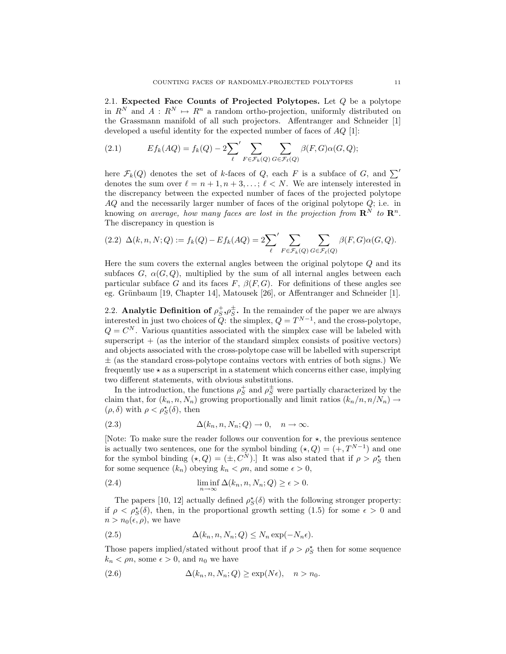2.1. Expected Face Counts of Projected Polytopes. Let  $Q$  be a polytope in  $R^N$  and  $A: R^N \mapsto R^n$  a random ortho-projection, uniformly distributed on the Grassmann manifold of all such projectors. Affentranger and Schneider [1] developed a useful identity for the expected number of faces of AQ [1]:

(2.1) 
$$
Ef_k(AQ) = f_k(Q) - 2\sum_{\ell}^{\prime} \sum_{F \in \mathcal{F}_k(Q)} \sum_{G \in \mathcal{F}_{\ell}(Q)} \beta(F, G) \alpha(G, Q);
$$

here  $\mathcal{F}_k(Q)$  denotes the set of k-faces of Q, each F is a subface of G, and  $\sum'$ denotes the sum over  $\ell = n + 1, n + 3, \ldots; \ell < N$ . We are intensely interested in the discrepancy between the expected number of faces of the projected polytope AQ and the necessarily larger number of faces of the original polytope  $Q$ ; i.e. in knowing on average, how many faces are lost in the projection from  $\mathbb{R}^N$  to  $\mathbb{R}^n$ . The discrepancy in question is

$$
(2.2)\ \Delta(k,n,N;Q) := f_k(Q) - Ef_k(AQ) = 2\sum_{\ell}^{\prime} \sum_{F \in \mathcal{F}_k(Q)} \sum_{G \in \mathcal{F}_{\ell}(Q)} \beta(F,G)\alpha(G,Q).
$$

Here the sum covers the external angles between the original polytope  $Q$  and its subfaces G,  $\alpha(G, Q)$ , multiplied by the sum of all internal angles between each particular subface G and its faces F,  $\beta(F, G)$ . For definitions of these angles see eg. Grünbaum  $[19,$  Chapter 14, Matousek  $[26]$ , or Affentranger and Schneider  $[1]$ .

2.2. Analytic Definition of  $\rho_S^+$ ,  $\rho_S^{\pm}$ . In the remainder of the paper we are always interested in just two choices of  $Q$ : the simplex,  $Q = T^{N-1}$ , and the cross-polytope,  $Q = C<sup>N</sup>$ . Various quantities associated with the simplex case will be labeled with superscript  $+$  (as the interior of the standard simplex consists of positive vectors) and objects associated with the cross-polytope case will be labelled with superscript  $\pm$  (as the standard cross-polytope contains vectors with entries of both signs.) We frequently use  $\star$  as a superscript in a statement which concerns either case, implying two different statements, with obvious substitutions.

In the introduction, the functions  $\rho_S^+$  and  $\rho_S^{\pm}$  were partially characterized by the claim that, for  $(k_n, n, N_n)$  growing proportionally and limit ratios  $(k_n/n, n/N_n) \rightarrow$  $(\rho, \delta)$  with  $\rho < \rho_S^{\star}(\delta)$ , then

(2.3) 
$$
\Delta(k_n, n, N_n; Q) \to 0, \quad n \to \infty.
$$

[Note: To make sure the reader follows our convention for  $\star$ , the previous sentence is actually two sentences, one for the symbol binding  $(\star, Q) = (+, T^{N-1})$  and one for the symbol binding  $(\star, Q) = (\pm, C^N)$ . It was also stated that if  $\rho > \rho_S^*$  then for some sequence  $(k_n)$  obeying  $k_n < \rho n$ , and some  $\epsilon > 0$ ,

(2.4) 
$$
\liminf_{n \to \infty} \Delta(k_n, n, N_n; Q) \ge \epsilon > 0.
$$

The papers [10, 12] actually defined  $\rho_S^{\star}(\delta)$  with the following stronger property: if  $\rho < \rho_{S}^{\star}(\delta)$ , then, in the proportional growth setting (1.5) for some  $\epsilon > 0$  and  $n > n_0(\epsilon, \rho)$ , we have

(2.5) 
$$
\Delta(k_n, n, N_n; Q) \leq N_n \exp(-N_n \epsilon).
$$

Those papers implied/stated without proof that if  $\rho > \rho_S^*$  then for some sequence  $k_n < \rho n$ , some  $\epsilon > 0$ , and  $n_0$  we have

(2.6) 
$$
\Delta(k_n, n, N_n; Q) \ge \exp(N\epsilon), \quad n > n_0.
$$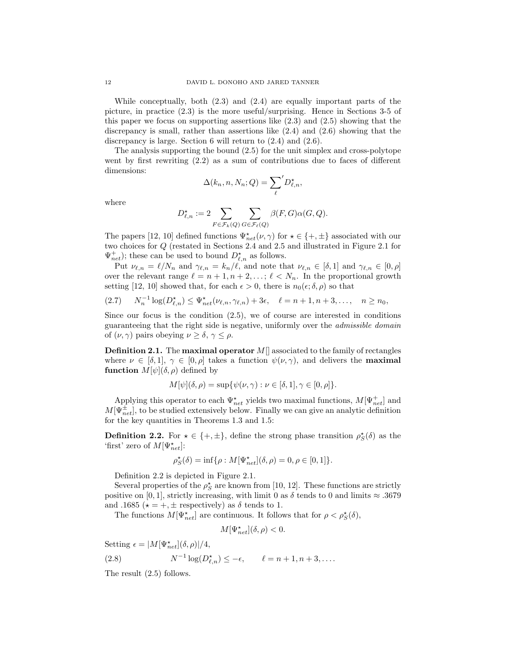While conceptually, both (2.3) and (2.4) are equally important parts of the picture, in practice (2.3) is the more useful/surprising. Hence in Sections 3-5 of this paper we focus on supporting assertions like (2.3) and (2.5) showing that the discrepancy is small, rather than assertions like (2.4) and (2.6) showing that the discrepancy is large. Section 6 will return to (2.4) and (2.6).

The analysis supporting the bound (2.5) for the unit simplex and cross-polytope went by first rewriting (2.2) as a sum of contributions due to faces of different dimensions:

$$
\Delta(k_n, n, N_n; Q) = \sum_{\ell}^{\prime} D_{\ell,n}^{\star},
$$

where

$$
D_{\ell,n}^\star:=2\sum_{F\in\mathcal{F}_k(Q)}\sum_{G\in\mathcal{F}_\ell(Q)}\beta(F,G)\alpha(G,Q).
$$

The papers [12, 10] defined functions  $\Psi_{net}^{\star}(\nu, \gamma)$  for  $\star \in \{+, \pm\}$  associated with our two choices for Q (restated in Sections 2.4 and 2.5 and illustrated in Figure 2.1 for  $\Psi_{net}^{+}$ ); these can be used to bound  $D_{\ell,n}^{\star}$  as follows.

Put  $\nu_{\ell,n} = \ell/N_n$  and  $\gamma_{\ell,n} = k_n/\ell$ , and note that  $\nu_{\ell,n} \in [\delta,1]$  and  $\gamma_{\ell,n} \in [0,\rho]$ over the relevant range  $\ell = n + 1, n + 2, \ldots; \ell < N_n$ . In the proportional growth setting [12, 10] showed that, for each  $\epsilon > 0$ , there is  $n_0(\epsilon; \delta, \rho)$  so that

$$
(2.7) \t N_n^{-1} \log(D_{\ell,n}^{\star}) \leq \Psi_{net}^{\star}(\nu_{\ell,n}, \gamma_{\ell,n}) + 3\epsilon, \quad \ell = n+1, n+3, \ldots, \quad n \geq n_0,
$$

Since our focus is the condition (2.5), we of course are interested in conditions guaranteeing that the right side is negative, uniformly over the admissible domain of  $(\nu, \gamma)$  pairs obeying  $\nu \geq \delta, \gamma \leq \rho$ .

**Definition 2.1.** The **maximal operator**  $M$ <sup> $\parallel$ </sup> associated to the family of rectangles where  $\nu \in [\delta, 1], \gamma \in [0, \rho]$  takes a function  $\psi(\nu, \gamma)$ , and delivers the **maximal function**  $M[\psi](\delta, \rho)$  defined by

$$
M[\psi](\delta,\rho)=\sup{\psi(\nu,\gamma):\nu\in[\delta,1],\gamma\in[0,\rho]}.
$$

Applying this operator to each  $\Psi_{net}^{\star}$  yields two maximal functions,  $M[\Psi_{net}^{+}]$  and  $M[\Psi^{\pm}_{net}]$ , to be studied extensively below. Finally we can give an analytic definition for the key quantities in Theorems 1.3 and 1.5:

**Definition 2.2.** For  $\star \in \{+, \pm\}$ , define the strong phase transition  $\rho_S^{\star}(\delta)$  as the 'first' zero of  $M[\Psi^{\star}_{net}]$ :

$$
\rho_S^\star(\delta)=\inf\{\rho:M[\Psi^\star_{net}](\delta,\rho)=0,\rho\in[0,1]\}.
$$

Definition 2.2 is depicted in Figure 2.1.

Several properties of the  $\rho_S^{\star}$  are known from [10, 12]. These functions are strictly positive on [0, 1], strictly increasing, with limit 0 as  $\delta$  tends to 0 and limits  $\approx .3679$ and .1685 ( $\star = +$ ,  $\pm$  respectively) as  $\delta$  tends to 1.

The functions  $M[\Psi_{net}^{\star}]$  are continuous. It follows that for  $\rho < \rho_{S}^{\star}(\delta)$ ,

$$
M[\Psi^{\star}_{net}](\delta,\rho)<0.
$$

Setting  $\epsilon = |M[\Psi_{net}^{\star}](\delta, \rho)|/4,$ 

(2.8) 
$$
N^{-1}\log(D_{\ell,n}^*) \le -\epsilon, \qquad \ell = n+1, n+3, \dots
$$

The result (2.5) follows.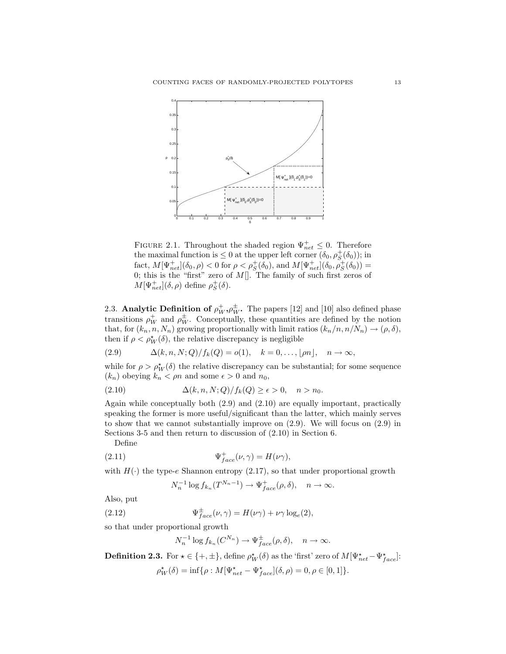

FIGURE 2.1. Throughout the shaded region  $\Psi_{net}^{+} \leq 0$ . Therefore the maximal function is  $\leq 0$  at the upper left corner  $(\delta_0, \rho_S^+(\delta_0))$ ; in fact,  $M[\Psi_{net}^{+}](\delta_0, \rho) < 0$  for  $\rho < \rho_S^{+}(\delta_0)$ , and  $M[\Psi_{net}^{+}](\delta_0, \rho_S^{+}(\delta_0)) =$ 0; this is the "first" zero of  $M[]$ . The family of such first zeros of  $M[\Psi_{net}^+] (\delta, \rho)$  define  $\rho_S^+ (\delta)$ .

2.3. Analytic Definition of  $\rho_W^+$ ,  $\rho_W^{\pm}$ . The papers [12] and [10] also defined phase transitions  $\rho_W^+$  and  $\rho_W^{\pm}$ . Conceptually, these quantities are defined by the notion that, for  $(k_n, n, N_n)$  growing proportionally with limit ratios  $(k_n/n, n/N_n) \rightarrow (\rho, \delta)$ , then if  $\rho < \rho_W^{\star}(\delta)$ , the relative discrepancy is negligible

(2.9)  $\Delta(k, n, N; Q)/f_k(Q) = o(1), \quad k = 0, \ldots, |\rho n|, \quad n \to \infty,$ 

while for  $\rho > \rho_W^{\star}(\delta)$  the relative discrepancy can be substantial; for some sequence  $(k_n)$  obeying  $k_n < \rho n$  and some  $\epsilon > 0$  and  $n_0$ ,

(2.10) 
$$
\Delta(k, n, N; Q)/f_k(Q) \ge \epsilon > 0, \quad n > n_0.
$$

Again while conceptually both (2.9) and (2.10) are equally important, practically speaking the former is more useful/significant than the latter, which mainly serves to show that we cannot substantially improve on (2.9). We will focus on (2.9) in Sections 3-5 and then return to discussion of (2.10) in Section 6.

Define

(2.11) 
$$
\Psi_{face}^{+}(\nu, \gamma) = H(\nu \gamma),
$$

with  $H(\cdot)$  the type-e Shannon entropy (2.17), so that under proportional growth

$$
N_n^{-1}\log f_{k_n}(T^{N_n-1}) \to \Psi_{face}^+(\rho, \delta), \quad n \to \infty.
$$

Also, put

(2.12) 
$$
\Psi_{face}^{\pm}(\nu, \gamma) = H(\nu\gamma) + \nu\gamma \log_e(2),
$$

so that under proportional growth

$$
N_n^{-1} \log f_{k_n}(C^{N_n}) \to \Psi_{face}^{\pm}(\rho, \delta), \quad n \to \infty.
$$

**Definition 2.3.** For  $\star \in \{+, \pm\}$ , define  $\rho_W^{\star}(\delta)$  as the 'first' zero of  $M[\Psi_{net}^{\star} - \Psi_{face}^{\star}]$ :

$$
\rho^{\star}_W(\delta)=\inf\{\rho:M[\Psi^{\star}_{net}-\Psi^{\star}_{face}](\delta,\rho)=0,\rho\in[0,1]\}.
$$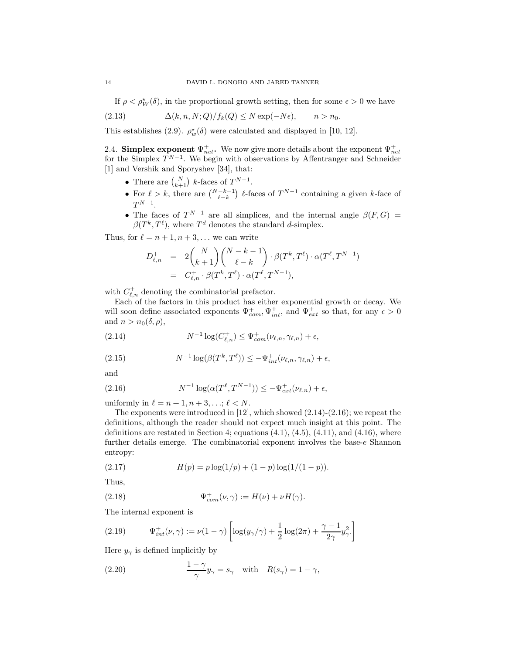If  $\rho < \rho_W^{\star}(\delta)$ , in the proportional growth setting, then for some  $\epsilon > 0$  we have

(2.13) 
$$
\Delta(k, n, N; Q)/f_k(Q) \le N \exp(-N\epsilon), \qquad n > n_0.
$$

This establishes (2.9).  $\rho_w^{\star}(\delta)$  were calculated and displayed in [10, 12].

2.4. **Simplex exponent**  $\Psi_{net}^+$ . We now give more details about the exponent  $\Psi_{net}^+$  for the Simplex  $T^{N-1}$ . We begin with observations by Affentranger and Schneider [1] and Vershik and Sporyshev [34], that:

- There are  $\binom{N}{k+1}$  k-faces of  $T^{N-1}$ .
- For  $\ell > k$ , there are  $\binom{N-k-1}{\ell-k}$   $\ell$ -faces of  $T^{N-1}$  containing a given k-face of  $T^{N-1}.$  $N-1$
- The faces of  $T^{N-1}$  are all simplices, and the internal angle  $\beta(F, G)$  =  $\beta(T^k, T^{\ell})$ , where  $T^d$  denotes the standard d-simplex.

Thus, for  $\ell = n + 1, n + 3, \ldots$  we can write

$$
D_{\ell,n}^+ = 2 {N \choose k+1} {N-k-1 \choose \ell-k} \cdot \beta(T^k, T^{\ell}) \cdot \alpha(T^{\ell}, T^{N-1})
$$
  
=  $C_{\ell,n}^+ \cdot \beta(T^k, T^{\ell}) \cdot \alpha(T^{\ell}, T^{N-1}),$ 

with  $C_{\ell,n}^+$  denoting the combinatorial prefactor.

Each of the factors in this product has either exponential growth or decay. We will soon define associated exponents  $\Psi_{com}^+$ ,  $\Psi_{int}^+$ , and  $\Psi_{ext}^+$  so that, for any  $\epsilon > 0$ and  $n > n_0(\delta, \rho)$ ,

(2.14) 
$$
N^{-1}\log(C_{\ell,n}^+) \leq \Psi_{com}^+(\nu_{\ell,n},\gamma_{\ell,n}) + \epsilon,
$$

(2.15) 
$$
N^{-1}\log(\beta(T^k,T^{\ell})) \leq -\Psi_{int}^+(\nu_{\ell,n},\gamma_{\ell,n}) + \epsilon,
$$

and

(2.16) 
$$
N^{-1} \log(\alpha(T^{\ell}, T^{N-1})) \leq -\Psi_{ext}^{+}(\nu_{\ell,n}) + \epsilon,
$$

uniformly in  $\ell = n+1, n+3, \ldots; \ell < N$ .

The exponents were introduced in [12], which showed (2.14)-(2.16); we repeat the definitions, although the reader should not expect much insight at this point. The definitions are restated in Section 4; equations  $(4.1)$ ,  $(4.5)$ ,  $(4.11)$ , and  $(4.16)$ , where further details emerge. The combinatorial exponent involves the base-e Shannon entropy:

(2.17) 
$$
H(p) = p \log(1/p) + (1-p) \log(1/(1-p)).
$$

Thus,

(2.18) 
$$
\Psi_{com}^+(\nu, \gamma) := H(\nu) + \nu H(\gamma).
$$

The internal exponent is

(2.19) 
$$
\Psi_{int}^{+}(\nu,\gamma) := \nu(1-\gamma)\left[\log(y_{\gamma}/\gamma) + \frac{1}{2}\log(2\pi) + \frac{\gamma-1}{2\gamma}y_{\gamma}^{2}\right]
$$

Here  $y_{\gamma}$  is defined implicitly by

(2.20) 
$$
\frac{1-\gamma}{\gamma}y_{\gamma} = s_{\gamma} \text{ with } R(s_{\gamma}) = 1 - \gamma,
$$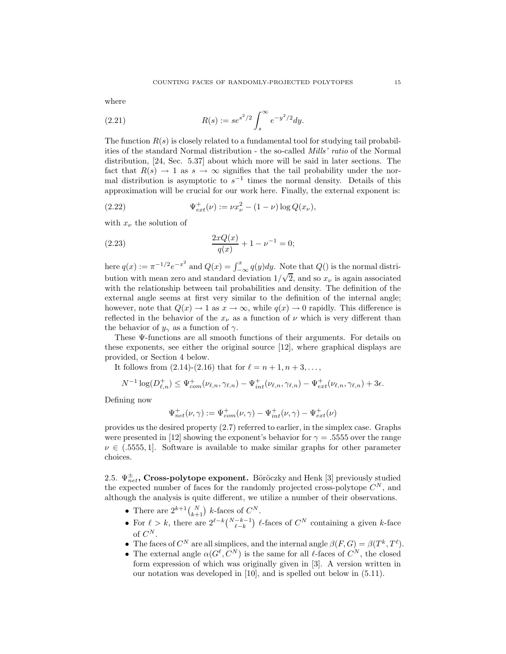where

(2.21) 
$$
R(s) := s e^{s^2/2} \int_s^{\infty} e^{-y^2/2} dy.
$$

The function  $R(s)$  is closely related to a fundamental tool for studying tail probabilities of the standard Normal distribution - the so-called Mills' ratio of the Normal distribution, [24, Sec. 5.37] about which more will be said in later sections. The fact that  $R(s) \to 1$  as  $s \to \infty$  signifies that the tail probability under the normal distribution is asymptotic to  $s^{-1}$  times the normal density. Details of this approximation will be crucial for our work here. Finally, the external exponent is:

(2.22) 
$$
\Psi_{ext}^+(\nu) := \nu x_\nu^2 - (1 - \nu) \log Q(x_\nu),
$$

with  $x_{\nu}$  the solution of

(2.23) 
$$
\frac{2xQ(x)}{q(x)} + 1 - \nu^{-1} = 0;
$$

here  $q(x) := \pi^{-1/2} e^{-x^2}$  and  $Q(x) = \int_{-\infty}^x q(y) dy$ . Note that  $Q(x)$  is the normal distribution with mean zero and standard deviation  $1/\sqrt{2}$ , and so  $x_{\nu}$  is again associated with the relationship between tail probabilities and density. The definition of the external angle seems at first very similar to the definition of the internal angle; however, note that  $Q(x) \to 1$  as  $x \to \infty$ , while  $q(x) \to 0$  rapidly. This difference is reflected in the behavior of the  $x_{\nu}$  as a function of  $\nu$  which is very different than the behavior of  $y_\gamma$  as a function of  $\gamma$ .

These Ψ-functions are all smooth functions of their arguments. For details on these exponents, see either the original source [12], where graphical displays are provided, or Section 4 below.

It follows from  $(2.14)-(2.16)$  that for  $\ell = n + 1, n + 3, \ldots$ ,

$$
N^{-1}\log(D_{\ell,n}^+) \leq \Psi_{com}^+(\nu_{\ell,n},\gamma_{\ell,n}) - \Psi_{int}^+(\nu_{\ell,n},\gamma_{\ell,n}) - \Psi_{ext}^+(\nu_{\ell,n},\gamma_{\ell,n}) + 3\epsilon.
$$

Defining now

$$
\Psi_{net}^+(\nu,\gamma):=\Psi_{com}^+(\nu,\gamma)-\Psi_{int}^+(\nu,\gamma)-\Psi_{ext}^+(\nu)
$$

provides us the desired property (2.7) referred to earlier, in the simplex case. Graphs were presented in [12] showing the exponent's behavior for  $\gamma = 0.555$  over the range  $\nu \in (0.555, 1]$ . Software is available to make similar graphs for other parameter choices.

2.5.  $\Psi_{net}^{\pm}$ , Cross-polytope exponent. Böröczky and Henk [3] previously studied the expected number of faces for the randomly projected cross-polytope  $C^N$ , and although the analysis is quite different, we utilize a number of their observations.

- There are  $2^{k+1} {N \choose k+1}$  k-faces of  $C^N$ .
- For  $\ell > k$ , there are  $2^{\ell-k} \binom{N-k-1}{\ell-k}$   $\ell$ -faces of  $C^N$  containing a given k-face of  $C^N$ .
- The faces of  $C^N$  are all simplices, and the internal angle  $\beta(F, G) = \beta(T^k, T^{\ell})$ .
- The external angle  $\alpha(G^{\ell}, C^N)$  is the same for all  $\ell$ -faces of  $C^N$ , the closed form expression of which was originally given in [3]. A version written in our notation was developed in [10], and is spelled out below in (5.11).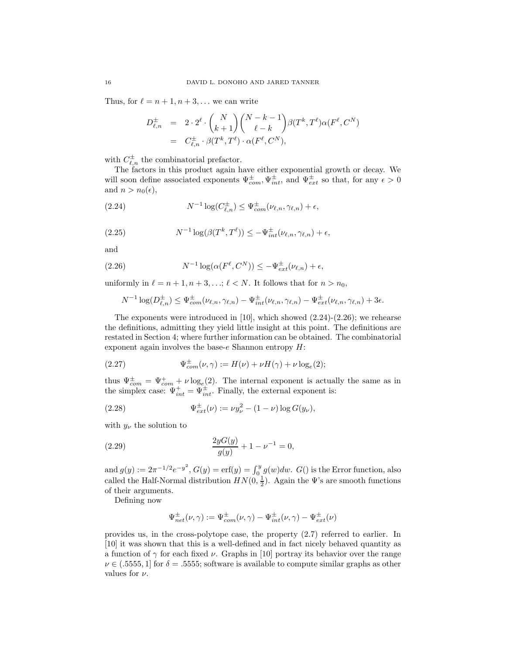Thus, for  $\ell = n + 1, n + 3, \ldots$  we can write

$$
D_{\ell,n}^{\pm} = 2 \cdot 2^{\ell} \cdot {N \choose k+1} {N-k-1 \choose \ell-k} \beta(T^k, T^{\ell}) \alpha(F^{\ell}, C^N)
$$
  
=  $C_{\ell,n}^{\pm} \cdot \beta(T^k, T^{\ell}) \cdot \alpha(F^{\ell}, C^N),$ 

with  $C_{\ell,n}^{\pm}$  the combinatorial prefactor.

The factors in this product again have either exponential growth or decay. We will soon define associated exponents  $\Psi_{com}^{\pm}, \Psi_{int}^{\pm}$ , and  $\Psi_{ext}^{\pm}$  so that, for any  $\epsilon > 0$ and  $n > n_0(\epsilon)$ ,

(2.24) 
$$
N^{-1}\log(C_{\ell,n}^{\pm}) \leq \Psi_{com}^{\pm}(\nu_{\ell,n},\gamma_{\ell,n}) + \epsilon,
$$

(2.25) 
$$
N^{-1}\log(\beta(T^k,T^{\ell})) \leq -\Psi^{\pm}_{int}(\nu_{\ell,n},\gamma_{\ell,n}) + \epsilon,
$$

and

(2.26) 
$$
N^{-1}\log(\alpha(F^{\ell}, C^N)) \leq -\Psi_{ext}^{\pm}(\nu_{\ell,n}) + \epsilon,
$$

uniformly in  $\ell = n + 1, n + 3, \ldots; \ell < N$ . It follows that for  $n > n_0$ ,

$$
N^{-1}\log(D_{\ell,n}^{\pm})\leq \Psi^{\pm}_{com}(\nu_{\ell,n},\gamma_{\ell,n})-\Psi^{\pm}_{int}(\nu_{\ell,n},\gamma_{\ell,n})-\Psi^{\pm}_{ext}(\nu_{\ell,n},\gamma_{\ell,n})+3\epsilon.
$$

The exponents were introduced in  $[10]$ , which showed  $(2.24)-(2.26)$ ; we rehearse the definitions, admitting they yield little insight at this point. The definitions are restated in Section 4; where further information can be obtained. The combinatorial exponent again involves the base- $e$  Shannon entropy  $H$ :

(2.27) 
$$
\Psi_{com}^{\pm}(\nu, \gamma) := H(\nu) + \nu H(\gamma) + \nu \log_e(2);
$$

thus  $\Psi_{com}^{\pm} = \Psi_{com}^{+} + \nu \log_e(2)$ . The internal exponent is actually the same as in the simplex case:  $\Psi_{int}^{+} = \Psi_{int}^{\pm}$ . Finally, the external exponent is:

(2.28) 
$$
\Psi_{ext}^{\pm}(\nu) := \nu y_{\nu}^{2} - (1 - \nu) \log G(y_{\nu}),
$$

with  $y_\nu$  the solution to

(2.29) 
$$
\frac{2yG(y)}{g(y)} + 1 - \nu^{-1} = 0,
$$

and  $g(y) := 2\pi^{-1/2}e^{-y^2}$ ,  $G(y) = \text{erf}(y) = \int_0^y g(w)dw$ .  $G(y)$  is the Error function, also called the Half-Normal distribution  $HN(0, \frac{1}{2})$ . Again the  $\Psi$ 's are smooth functions of their arguments.

Defining now

$$
\Psi_{net}^{\pm}(\nu,\gamma) := \Psi_{com}^{\pm}(\nu,\gamma) - \Psi_{int}^{\pm}(\nu,\gamma) - \Psi_{ext}^{\pm}(\nu)
$$

provides us, in the cross-polytope case, the property (2.7) referred to earlier. In [10] it was shown that this is a well-defined and in fact nicely behaved quantity as a function of  $\gamma$  for each fixed  $\nu$ . Graphs in [10] portray its behavior over the range  $\nu \in (0.5555, 1]$  for  $\delta = 0.5555$ ; software is available to compute similar graphs as other values for  $\nu$ .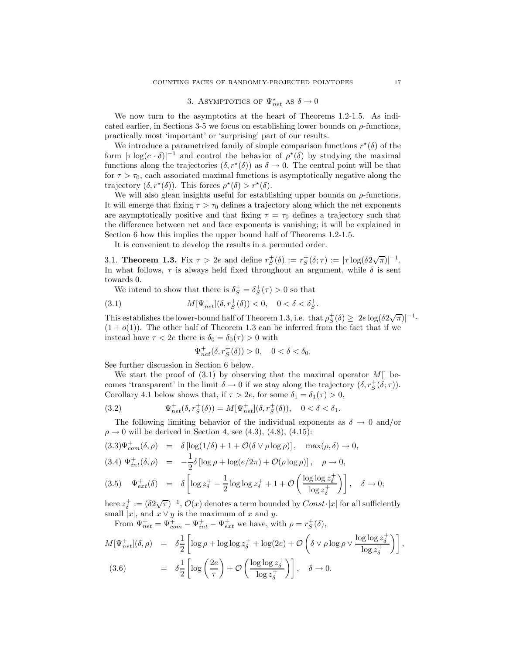# 3. ASYMPTOTICS OF  $\Psi_{net}^{\star}$  as  $\delta \rightarrow 0$

We now turn to the asymptotics at the heart of Theorems 1.2-1.5. As indicated earlier, in Sections 3-5 we focus on establishing lower bounds on  $\rho$ -functions, practically most 'important' or 'surprising' part of our results.

We introduce a parametrized family of simple comparison functions  $r^*(\delta)$  of the form  $|\tau \log(c \cdot \delta)|^{-1}$  and control the behavior of  $\rho^*(\delta)$  by studying the maximal functions along the trajectories  $(\delta, r^*(\delta))$  as  $\delta \to 0$ . The central point will be that for  $\tau > \tau_0$ , each associated maximal functions is asymptotically negative along the trajectory  $(\delta, r^*(\delta))$ . This forces  $\rho^*(\delta) > r^*(\delta)$ .

We will also glean insights useful for establishing upper bounds on  $\rho$ -functions. It will emerge that fixing  $\tau > \tau_0$  defines a trajectory along which the net exponents are asymptotically positive and that fixing  $\tau = \tau_0$  defines a trajectory such that the difference between net and face exponents is vanishing; it will be explained in Section 6 how this implies the upper bound half of Theorems 1.2-1.5.

It is convenient to develop the results in a permuted order.

3.1. **Theorem 1.3.** Fix  $\tau > 2e$  and define  $r_S^+(\delta) := r_S^+(\delta; \tau) := |\tau \log(\delta 2\sqrt{\pi})|^{-1}$ . In what follows,  $\tau$  is always held fixed throughout an argument, while  $\delta$  is sent towards 0.

We intend to show that there is  $\delta_S^+ = \delta_S^+(\tau) > 0$  so that

(3.1) 
$$
M[\Psi_{net}^{+}](\delta, r_{S}^{+}(\delta)) < 0, \quad 0 < \delta < \delta_{S}^{+}
$$

This establishes the lower-bound half of Theorem 1.3, i.e. that  $\rho_S^+(\delta) \geq |2e \log(\delta 2\sqrt{\pi})|^{-1}$ .  $(1+o(1))$ . The other half of Theorem 1.3 can be inferred from the fact that if we instead have  $\tau < 2e$  there is  $\delta_0 = \delta_0(\tau) > 0$  with

.

$$
\Psi_{net}^{+}(\delta, r_{S}^{+}(\delta)) > 0, \quad 0 < \delta < \delta_{0}.
$$

See further discussion in Section 6 below.

We start the proof of  $(3.1)$  by observing that the maximal operator  $M[]$  becomes 'transparent' in the limit  $\delta \to 0$  if we stay along the trajectory  $(\delta, r_S^+(\delta; \tau))$ . Corollary 4.1 below shows that, if  $\tau > 2e$ , for some  $\delta_1 = \delta_1(\tau) > 0$ ,

(3.2) 
$$
\Psi_{net}^{+}(\delta, r_{S}^{+}(\delta)) = M[\Psi_{net}^{+}](\delta, r_{S}^{+}(\delta)), \quad 0 < \delta < \delta_{1}.
$$

The following limiting behavior of the individual exponents as  $\delta \to 0$  and/or  $\rho \to 0$  will be derived in Section 4, see (4.3), (4.8), (4.15):

$$
(3.3)\Psi_{com}^{+}(\delta,\rho) = \delta [\log(1/\delta) + 1 + \mathcal{O}(\delta \vee \rho \log \rho)], \quad \max(\rho,\delta) \to 0,
$$
  

$$
(3.4)\Psi_{int}^{+}(\delta,\rho) = -\frac{1}{2}\delta [\log \rho + \log(e/2\pi) + \mathcal{O}(\rho \log \rho)], \quad \rho \to 0,
$$
  

$$
(3.5)\Psi_{ext}^{+}(\delta) = \delta \left[ \log z_{\delta}^{+} - \frac{1}{2}\log \log z_{\delta}^{+} + 1 + \mathcal{O}\left(\frac{\log \log z_{\delta}^{+}}{\log z_{\delta}^{+}}\right) \right], \quad \delta \to 0;
$$

here  $z_{\delta}^+ := (\delta 2\sqrt{\pi})^{-1}$ ,  $\mathcal{O}(x)$  denotes a term bounded by  $Const \cdot |x|$  for all sufficiently small  $|x|$ , and  $x \vee y$  is the maximum of x and y.

From  $\Psi_{net}^+ = \Psi_{com}^+ - \Psi_{int}^+ - \Psi_{ext}^+$  we have, with  $\rho = r_S^+(\delta)$ ,

$$
M[\Psi_{net}^{+}](\delta, \rho) = \delta \frac{1}{2} \left[ \log \rho + \log \log z_{\delta}^{+} + \log(2e) + \mathcal{O}\left(\delta \vee \rho \log \rho \vee \frac{\log \log z_{\delta}^{+}}{\log z_{\delta}^{+}}\right) \right],
$$
  
(3.6) 
$$
= \delta \frac{1}{2} \left[ \log \left(\frac{2e}{\tau}\right) + \mathcal{O}\left(\frac{\log \log z_{\delta}^{+}}{\log z_{\delta}^{+}}\right) \right], \quad \delta \to 0.
$$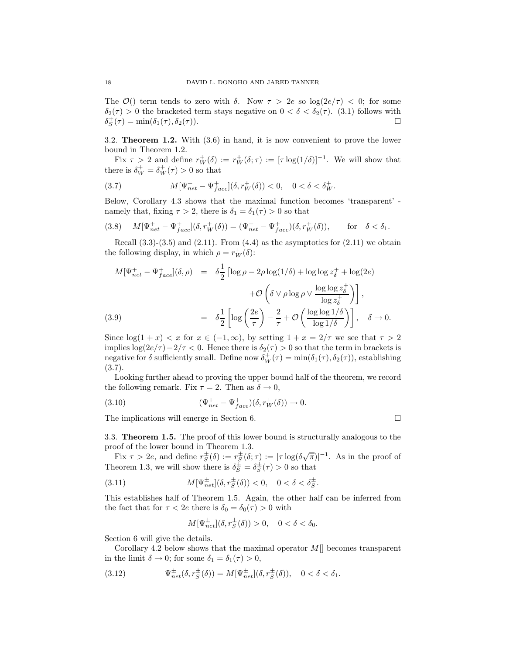The  $\mathcal{O}()$  term tends to zero with  $\delta$ . Now  $\tau > 2e$  so  $\log(2e/\tau) < 0$ ; for some  $\delta_2(\tau) > 0$  the bracketed term stays negative on  $0 < \delta < \delta_2(\tau)$ . (3.1) follows with  $\delta_S^+(\tau) = \min(\delta_1(\tau), \delta_2(\tau)).$ 

3.2. Theorem 1.2. With (3.6) in hand, it is now convenient to prove the lower bound in Theorem 1.2.

Fix  $\tau > 2$  and define  $r_W^+(\delta) := r_W^+(\delta; \tau) := [\tau \log(1/\delta)]^{-1}$ . We will show that there is  $\delta_W^+ = \delta_W^+(\tau) > 0$  so that

(3.7) 
$$
M[\Psi_{net}^{+} - \Psi_{face}^{+}](\delta, r_{W}^{+}(\delta)) < 0, \quad 0 < \delta < \delta_{W}^{+}.
$$

Below, Corollary 4.3 shows that the maximal function becomes 'transparent' namely that, fixing  $\tau > 2$ , there is  $\delta_1 = \delta_1(\tau) > 0$  so that

(3.8) 
$$
M[\Psi_{net}^{+} - \Psi_{face}^{+}](\delta, r_W^{+}(\delta)) = (\Psi_{net}^{+} - \Psi_{face}^{+})(\delta, r_W^{+}(\delta)), \quad \text{for} \quad \delta < \delta_1.
$$

Recall  $(3.3)-(3.5)$  and  $(2.11)$ . From  $(4.4)$  as the asymptotics for  $(2.11)$  we obtain the following display, in which  $\rho = r_W^+(\delta)$ :

$$
M[\Psi_{net}^{+} - \Psi_{face}^{+}](\delta, \rho) = \delta \frac{1}{2} \left[ \log \rho - 2\rho \log(1/\delta) + \log \log z_{\delta}^{+} + \log(2e) + \mathcal{O}\left(\delta \vee \rho \log \rho \vee \frac{\log \log z_{\delta}^{+}}{\log z_{\delta}^{+}}\right) \right],
$$
\n(3.9) 
$$
= \delta \frac{1}{2} \left[ \log \left(\frac{2e}{\tau}\right) - \frac{2}{\tau} + \mathcal{O}\left(\frac{\log \log 1/\delta}{\log 1/\delta}\right) \right], \quad \delta \to 0.
$$

Since  $\log(1+x) < x$  for  $x \in (-1,\infty)$ , by setting  $1+x = 2/\tau$  we see that  $\tau > 2$ implies  $\log(2e/\tau)-2/\tau < 0$ . Hence there is  $\delta_2(\tau) > 0$  so that the term in brackets is negative for  $\delta$  sufficiently small. Define now  $\delta_W^+(\tau) = \min(\delta_1(\tau), \delta_2(\tau))$ , establishing (3.7).

Looking further ahead to proving the upper bound half of the theorem, we record the following remark. Fix  $\tau = 2$ . Then as  $\delta \to 0$ ,

(3.10) 
$$
(\Psi_{net}^+ - \Psi_{face}^+) (\delta, r_W^+ (\delta)) \to 0.
$$

The implications will emerge in Section 6.

3.3. Theorem 1.5. The proof of this lower bound is structurally analogous to the proof of the lower bound in Theorem 1.3.

Fix  $\tau > 2e$ , and define  $r_S^{\pm}(\delta) := r_S^{\pm}(\delta; \tau) := |\tau \log(\delta \sqrt{\pi})|^{-1}$ . As in the proof of Theorem 1.3, we will show there is  $\delta_S^{\pm} = \delta_S^{\pm}(\tau) > 0$  so that

(3.11) 
$$
M[\Psi_{net}^{\pm}](\delta, r_S^{\pm}(\delta)) < 0, \quad 0 < \delta < \delta_S^{\pm}.
$$

This establishes half of Theorem 1.5. Again, the other half can be inferred from the fact that for  $\tau < 2e$  there is  $\delta_0 = \delta_0(\tau) > 0$  with

$$
M[\Psi_{net}^{\pm}](\delta, r_S^{\pm}(\delta)) > 0, \quad 0 < \delta < \delta_0.
$$

Section 6 will give the details.

Corollary 4.2 below shows that the maximal operator  $M\|$  becomes transparent in the limit  $\delta \to 0$ ; for some  $\delta_1 = \delta_1(\tau) > 0$ ,

(3.12) 
$$
\Psi_{net}^{\pm}(\delta, r_S^{\pm}(\delta)) = M[\Psi_{net}^{\pm}](\delta, r_S^{\pm}(\delta)), \quad 0 < \delta < \delta_1.
$$

$$
\sqcup
$$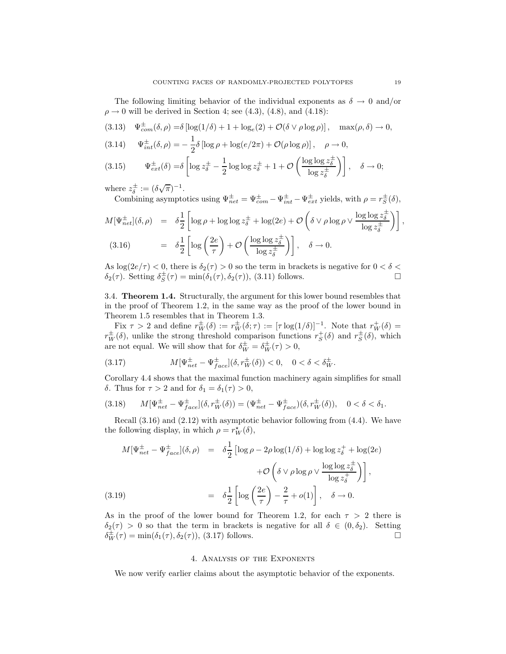The following limiting behavior of the individual exponents as  $\delta \to 0$  and/or  $\rho \rightarrow 0$  will be derived in Section 4; see (4.3), (4.8), and (4.18):

(3.13) 
$$
\Psi_{com}^{\pm}(\delta, \rho) = \delta \left[ \log(1/\delta) + 1 + \log_e(2) + \mathcal{O}(\delta \vee \rho \log \rho) \right], \quad \max(\rho, \delta) \to 0,
$$

(3.14) 
$$
\Psi_{int}^{\pm}(\delta,\rho) = -\frac{1}{2}\delta \left[ \log \rho + \log(e/2\pi) + \mathcal{O}(\rho \log \rho) \right], \quad \rho \to 0,
$$

$$
(3.15) \qquad \Psi_{ext}^{\pm}(\delta) = \delta \left[ \log z_{\delta}^{\pm} - \frac{1}{2} \log \log z_{\delta}^{\pm} + 1 + \mathcal{O}\left(\frac{\log \log z_{\delta}^{\pm}}{\log z_{\delta}^{\pm}}\right) \right], \quad \delta \to 0;
$$

where  $z_{\delta}^{\pm} := (\delta \sqrt{\pi})^{-1}$ .

Combining asymptotics using  $\Psi_{net}^{\pm} = \Psi_{com}^{\pm} - \Psi_{int}^{\pm} - \Psi_{ext}^{\pm}$  yields, with  $\rho = r_S^{\pm}(\delta)$ ,

$$
M[\Psi_{net}^{\pm}](\delta,\rho) = \delta \frac{1}{2} \left[ \log \rho + \log \log z_{\delta}^{\pm} + \log(2e) + \mathcal{O}\left(\delta \vee \rho \log \rho \vee \frac{\log \log z_{\delta}^{\pm}}{\log z_{\delta}^{\pm}}\right) \right],
$$
  
(3.16) 
$$
= \delta \frac{1}{2} \left[ \log \left(\frac{2e}{\tau}\right) + \mathcal{O}\left(\frac{\log \log z_{\delta}^{\pm}}{\log z_{\delta}^{\pm}}\right) \right], \quad \delta \to 0.
$$

As  $\log(2e/\tau) < 0$ , there is  $\delta_2(\tau) > 0$  so the term in brackets is negative for  $0 < \delta <$  $\delta_2(\tau)$ . Setting  $\delta_S^{\pm}(\tau) = \min(\delta_1(\tau), \delta_2(\tau))$ , (3.11) follows.

3.4. Theorem 1.4. Structurally, the argument for this lower bound resembles that in the proof of Theorem 1.2, in the same way as the proof of the lower bound in Theorem 1.5 resembles that in Theorem 1.3.

Fix  $\tau > 2$  and define  $r_W^{\pm}(\delta) := r_W^{\pm}(\delta; \tau) := [\tau \log(1/\delta)]^{-1}$ . Note that  $r_W^+(\delta) =$  $r_W^{\pm}(\delta)$ , unlike the strong threshold comparison functions  $r_S^+(\delta)$  and  $r_S^{\pm}(\delta)$ , which are not equal. We will show that for  $\delta_W^{\pm} = \delta_W^{\pm}(\tau) > 0$ ,

(3.17) 
$$
M[\Psi_{net}^{\pm} - \Psi_{face}^{\pm}](\delta, r_W^{\pm}(\delta)) < 0, \quad 0 < \delta < \delta_W^{\pm}.
$$

Corollary 4.4 shows that the maximal function machinery again simplifies for small δ. Thus for  $τ > 2$  and for  $δ<sub>1</sub> = δ<sub>1</sub>(τ) > 0$ ,

$$
(3.18) \qquad M[\Psi_{net}^{\pm} - \Psi_{face}^{\pm}](\delta, r_W^{\pm}(\delta)) = (\Psi_{net}^{\pm} - \Psi_{face}^{\pm})(\delta, r_W^{\pm}(\delta)), \quad 0 < \delta < \delta_1.
$$

Recall  $(3.16)$  and  $(2.12)$  with asymptotic behavior following from  $(4.4)$ . We have the following display, in which  $\rho = r_W^{\star}(\delta)$ ,

$$
M[\Psi_{net}^{\pm} - \Psi_{face}^{\pm}](\delta, \rho) = \delta \frac{1}{2} \left[ \log \rho - 2\rho \log(1/\delta) + \log \log z_{\delta}^{+} + \log(2e) + \mathcal{O}\left(\delta \vee \rho \log \rho \vee \frac{\log \log z_{\delta}^{\pm}}{\log z_{\delta}^{+}}\right) \right],
$$
\n(3.19) 
$$
= \delta \frac{1}{2} \left[ \log \left(\frac{2e}{\tau}\right) - \frac{2}{\tau} + o(1) \right], \quad \delta \to 0.
$$

As in the proof of the lower bound for Theorem 1.2, for each  $\tau > 2$  there is  $\delta_2(\tau) > 0$  so that the term in brackets is negative for all  $\delta \in (0, \delta_2)$ . Setting  $\delta_{\text{tr}}^{\pm}(\tau) = \min(\delta_1(\tau), \delta_2(\tau))$ , (3.17) follows.  $\delta_W^{\pm}(\tau) = \min(\delta_1(\tau), \delta_2(\tau)),$  (3.17) follows.

### 4. Analysis of the Exponents

We now verify earlier claims about the asymptotic behavior of the exponents.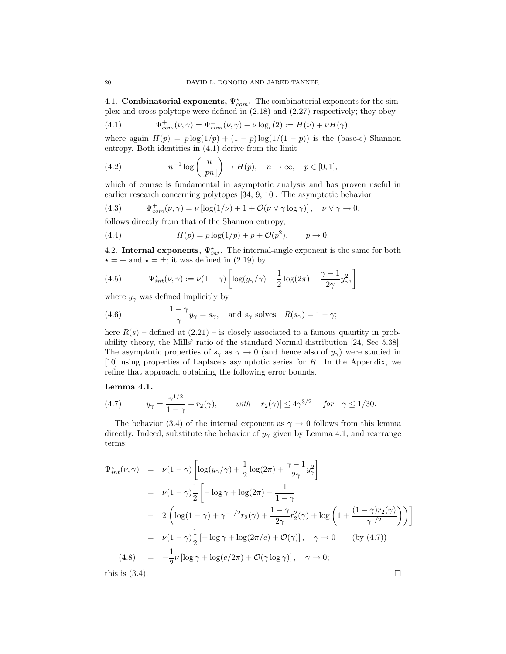4.1. **Combinatorial exponents,**  $\Psi_{com}^*$ . The combinatorial exponents for the simplex and cross-polytope were defined in (2.18) and (2.27) respectively; they obey

(4.1) 
$$
\Psi_{com}^{+}(\nu, \gamma) = \Psi_{com}^{\pm}(\nu, \gamma) - \nu \log_e(2) := H(\nu) + \nu H(\gamma),
$$

where again  $H(p) = p \log(1/p) + (1-p) \log(1/(1-p))$  is the (base-e) Shannon entropy. Both identities in (4.1) derive from the limit

(4.2) 
$$
n^{-1}\log\binom{n}{\lfloor pn\rfloor} \to H(p), \quad n \to \infty, \quad p \in [0,1],
$$

which of course is fundamental in asymptotic analysis and has proven useful in earlier research concerning polytopes [34, 9, 10]. The asymptotic behavior

(4.3) 
$$
\Psi_{com}^+(\nu, \gamma) = \nu \left[ \log(1/\nu) + 1 + \mathcal{O}(\nu \vee \gamma \log \gamma) \right], \quad \nu \vee \gamma \to 0,
$$

follows directly from that of the Shannon entropy,

(4.4) 
$$
H(p) = p \log(1/p) + p + \mathcal{O}(p^2), \qquad p \to 0.
$$

4.2. Internal exponents,  $\Psi_{int}^{\star}$ . The internal-angle exponent is the same for both  $\star = +$  and  $\star = \pm$ ; it was defined in (2.19) by

(4.5) 
$$
\Psi_{int}^{\star}(\nu,\gamma) := \nu(1-\gamma)\left[\log(y_{\gamma}/\gamma) + \frac{1}{2}\log(2\pi) + \frac{\gamma-1}{2\gamma}y_{\gamma}^{2},\right]
$$

where  $y_{\gamma}$  was defined implicitly by

(4.6) 
$$
\frac{1-\gamma}{\gamma}y_{\gamma} = s_{\gamma}, \text{ and } s_{\gamma} \text{ solves } R(s_{\gamma}) = 1 - \gamma;
$$

here  $R(s)$  – defined at  $(2.21)$  – is closely associated to a famous quantity in probability theory, the Mills' ratio of the standard Normal distribution [24, Sec 5.38]. The asymptotic properties of  $s_\gamma$  as  $\gamma \to 0$  (and hence also of  $y_\gamma$ ) were studied in [10] using properties of Laplace's asymptotic series for R. In the Appendix, we refine that approach, obtaining the following error bounds.

#### Lemma 4.1.

(4.7) 
$$
y_{\gamma} = \frac{\gamma^{1/2}}{1 - \gamma} + r_2(\gamma), \quad \text{with} \quad |r_2(\gamma)| \le 4\gamma^{3/2} \quad \text{for} \quad \gamma \le 1/30.
$$

The behavior (3.4) of the internal exponent as  $\gamma \to 0$  follows from this lemma directly. Indeed, substitute the behavior of  $y_{\gamma}$  given by Lemma 4.1, and rearrange terms:

$$
\Psi_{int}^{\star}(\nu,\gamma) = \nu(1-\gamma)\left[\log(y_{\gamma}/\gamma) + \frac{1}{2}\log(2\pi) + \frac{\gamma-1}{2\gamma}y_{\gamma}^{2}\right]
$$
\n
$$
= \nu(1-\gamma)\frac{1}{2}\left[-\log\gamma + \log(2\pi) - \frac{1}{1-\gamma}\right]
$$
\n
$$
- 2\left(\log(1-\gamma) + \gamma^{-1/2}r_{2}(\gamma) + \frac{1-\gamma}{2\gamma}r_{2}^{2}(\gamma) + \log\left(1 + \frac{(1-\gamma)r_{2}(\gamma)}{\gamma^{1/2}}\right)\right)\right]
$$
\n
$$
= \nu(1-\gamma)\frac{1}{2}\left[-\log\gamma + \log(2\pi/e) + \mathcal{O}(\gamma)\right], \quad \gamma \to 0 \quad \text{(by (4.7))}
$$
\n(4.8) 
$$
= -\frac{1}{2}\nu\left[\log\gamma + \log(e/2\pi) + \mathcal{O}(\gamma\log\gamma)\right], \quad \gamma \to 0;
$$
\nthis is (3.4).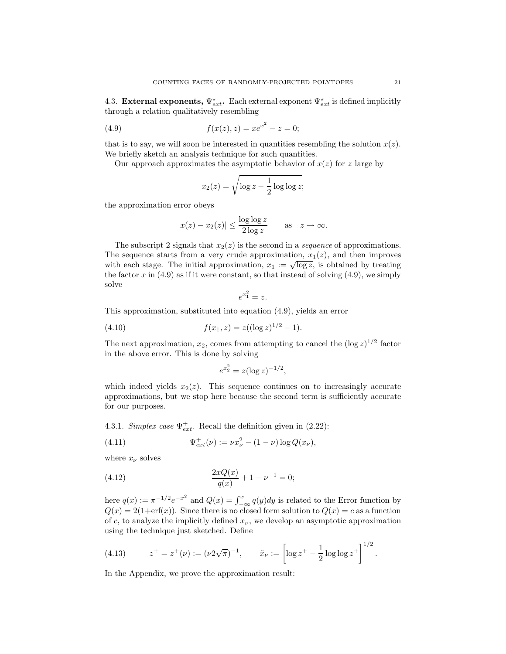4.3. External exponents,  $\Psi_{ext}^{\star}$ . Each external exponent  $\Psi_{ext}^{\star}$  is defined implicitly through a relation qualitatively resembling

(4.9) 
$$
f(x(z), z) = xe^{x^2} - z = 0;
$$

that is to say, we will soon be interested in quantities resembling the solution  $x(z)$ . We briefly sketch an analysis technique for such quantities.

Our approach approximates the asymptotic behavior of  $x(z)$  for z large by

$$
x_2(z) = \sqrt{\log z - \frac{1}{2}\log \log z};
$$

the approximation error obeys

$$
|x(z) - x_2(z)| \le \frac{\log \log z}{2 \log z} \quad \text{as} \quad z \to \infty.
$$

The subscript 2 signals that  $x_2(z)$  is the second in a *sequence* of approximations. The sequence starts from a very crude approximation,  $x_1(z)$ , and then improves with each stage. The initial approximation,  $x_1 := \sqrt{\log z}$ , is obtained by treating the factor x in  $(4.9)$  as if it were constant, so that instead of solving  $(4.9)$ , we simply solve

$$
e^{x_1^2} = z.
$$

This approximation, substituted into equation (4.9), yields an error

(4.10) 
$$
f(x_1, z) = z((\log z)^{1/2} - 1).
$$

The next approximation,  $x_2$ , comes from attempting to cancel the  $(\log z)^{1/2}$  factor in the above error. This is done by solving

$$
e^{x_2^2} = z(\log z)^{-1/2},
$$

which indeed yields  $x_2(z)$ . This sequence continues on to increasingly accurate approximations, but we stop here because the second term is sufficiently accurate for our purposes.

4.3.1. Simplex case  $\Psi_{ext}^+$ . Recall the definition given in (2.22):

(4.11) 
$$
\Psi_{ext}^+(\nu) := \nu x_\nu^2 - (1 - \nu) \log Q(x_\nu),
$$

where  $x_{\nu}$  solves

(4.12) 
$$
\frac{2xQ(x)}{q(x)} + 1 - \nu^{-1} = 0;
$$

here  $q(x) := \pi^{-1/2} e^{-x^2}$  and  $Q(x) = \int_{-\infty}^x q(y) dy$  is related to the Error function by  $Q(x) = 2(1+\text{erf}(x))$ . Since there is no closed form solution to  $Q(x) = c$  as a function of c, to analyze the implicitly defined  $x_{\nu}$ , we develop an asymptotic approximation using the technique just sketched. Define

(4.13) 
$$
z^+ = z^+(\nu) := (\nu 2\sqrt{\pi})^{-1}, \qquad \tilde{x}_\nu := \left[\log z^+ - \frac{1}{2}\log\log z^+\right]^{1/2}.
$$

In the Appendix, we prove the approximation result: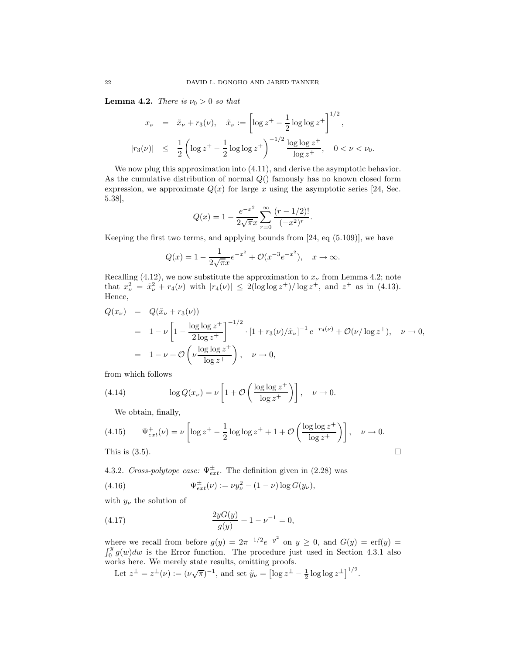**Lemma 4.2.** There is  $\nu_0 > 0$  so that

$$
x_{\nu} = \tilde{x}_{\nu} + r_3(\nu), \quad \tilde{x}_{\nu} := \left[ \log z^{+} - \frac{1}{2} \log \log z^{+} \right]^{1/2},
$$
  

$$
|r_3(\nu)| \leq \frac{1}{2} \left( \log z^{+} - \frac{1}{2} \log \log z^{+} \right)^{-1/2} \frac{\log \log z^{+}}{\log z^{+}}, \quad 0 < \nu < \nu_0.
$$

We now plug this approximation into (4.11), and derive the asymptotic behavior. As the cumulative distribution of normal  $Q($ ) famously has no known closed form expression, we approximate  $Q(x)$  for large x using the asymptotic series [24, Sec. 5.38],

$$
Q(x) = 1 - \frac{e^{-x^2}}{2\sqrt{\pi}x} \sum_{r=0}^{\infty} \frac{(r - 1/2)!}{(-x^2)^r}.
$$

Keeping the first two terms, and applying bounds from  $[24, \text{ eq } (5.109)]$ , we have

$$
Q(x) = 1 - \frac{1}{2\sqrt{\pi}x}e^{-x^2} + \mathcal{O}(x^{-3}e^{-x^2}), \quad x \to \infty.
$$

Recalling (4.12), we now substitute the approximation to  $x_{\nu}$  from Lemma 4.2; note that  $x_{\nu}^2 = \tilde{x}_{\nu}^2 + r_4(\nu)$  with  $|r_4(\nu)| \leq 2(\log \log z^+) / \log z^+$ , and  $z^+$  as in (4.13). Hence,

$$
Q(x_{\nu}) = Q(\tilde{x}_{\nu} + r_3(\nu))
$$
  
=  $1 - \nu \left[ 1 - \frac{\log \log z^{+}}{2 \log z^{+}} \right]^{-1/2} \cdot [1 + r_3(\nu)/\tilde{x}_{\nu}]^{-1} e^{-r_4(\nu)} + \mathcal{O}(\nu/\log z^{+}), \quad \nu \to 0,$   
=  $1 - \nu + \mathcal{O}\left(\nu \frac{\log \log z^{+}}{\log z^{+}}\right), \quad \nu \to 0,$ 

from which follows

(4.14) 
$$
\log Q(x_{\nu}) = \nu \left[ 1 + \mathcal{O}\left( \frac{\log \log z^{+}}{\log z^{+}} \right) \right], \quad \nu \to 0.
$$

We obtain, finally,

(4.15) 
$$
\Psi_{ext}^+(\nu) = \nu \left[ \log z^+ - \frac{1}{2} \log \log z^+ + 1 + \mathcal{O}\left(\frac{\log \log z^+}{\log z^+}\right) \right], \quad \nu \to 0.
$$

This is  $(3.5)$ .

4.3.2. Cross-polytope case:  $\Psi_{ext}^{\pm}$ . The definition given in (2.28) was

(4.16) 
$$
\Psi_{ext}^{\pm}(\nu) := \nu y_{\nu}^{2} - (1 - \nu) \log G(y_{\nu}),
$$

with  $y_{\nu}$  the solution of

(4.17) 
$$
\frac{2yG(y)}{g(y)} + 1 - \nu^{-1} = 0,
$$

where we recall from before  $g(y) = 2\pi^{-1/2}e^{-y^2}$  on  $y \ge 0$ , and  $G(y) = \text{erf}(y) = \int_0^y g(w)dw$  is the Error function. The procedure just used in Section 4.3.1 also works here. We merely state results, omitting proofs.  $1/2$ 

Let 
$$
z^{\pm} = z^{\pm}(\nu) := (\nu \sqrt{\pi})^{-1}
$$
, and set  $\tilde{y}_{\nu} = [\log z^{\pm} - \frac{1}{2} \log \log z^{\pm}]^{1/2}$ .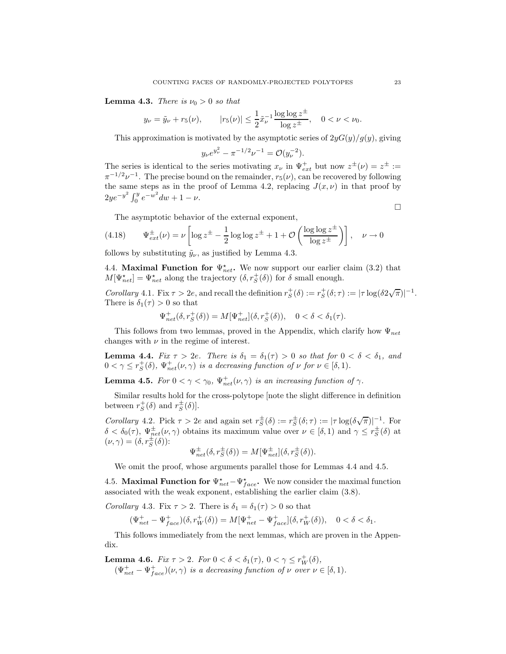**Lemma 4.3.** There is  $\nu_0 > 0$  so that

$$
y_{\nu} = \tilde{y}_{\nu} + r_5(\nu),
$$
  $|r_5(\nu)| \le \frac{1}{2} \tilde{x}_{\nu}^{-1} \frac{\log \log z^{\pm}}{\log z^{\pm}}, \quad 0 < \nu < \nu_0.$ 

This approximation is motivated by the asymptotic series of  $2yG(y)/g(y)$ , giving

$$
y_{\nu}e^{y_{\nu}^2} - \pi^{-1/2}\nu^{-1} = \mathcal{O}(y_{\nu}^{-2}).
$$

The series is identical to the series motivating  $x_{\nu}$  in  $\Psi_{ext}^{+}$  but now  $z^{\pm}(\nu) = z^{\pm} :=$  $\pi^{-1/2}\nu^{-1}$ . The precise bound on the remainder,  $r_5(\nu)$ , can be recovered by following the same steps as in the proof of Lemma 4.2, replacing  $J(x, \nu)$  in that proof by  $2ye^{-y^2}\int_0^y e^{-w^2}dw + 1 - \nu.$ 

The asymptotic behavior of the external exponent,

(4.18) 
$$
\Psi_{ext}^{\pm}(\nu) = \nu \left[ \log z^{\pm} - \frac{1}{2} \log \log z^{\pm} + 1 + \mathcal{O}\left( \frac{\log \log z^{\pm}}{\log z^{\pm}} \right) \right], \quad \nu \to 0
$$

follows by substituting  $\tilde{y}_{\nu}$ , as justified by Lemma 4.3.

4.4. **Maximal Function for**  $\Psi_{net}^{\star}$ **.** We now support our earlier claim (3.2) that  $M[\Psi_{net}^{\star}] = \Psi_{net}^{\star}$  along the trajectory  $(\delta, r_S^+(\delta))$  for  $\delta$  small enough.

Corollary 4.1. Fix  $\tau > 2e$ , and recall the definition  $r_S^+(\delta) := r_S^+(\delta; \tau) := |\tau \log(\delta 2\sqrt{\pi})|^{-1}$ . There is  $\delta_1(\tau) > 0$  so that

$$
\Psi_{net}^{+}(\delta, r_S^+(\delta)) = M[\Psi_{net}^{+}](\delta, r_S^+(\delta)), \quad 0 < \delta < \delta_1(\tau).
$$

This follows from two lemmas, proved in the Appendix, which clarify how  $\Psi_{net}$ changes with  $\nu$  in the regime of interest.

**Lemma 4.4.** Fix  $\tau > 2e$ . There is  $\delta_1 = \delta_1(\tau) > 0$  so that for  $0 < \delta < \delta_1$ , and  $0 < \gamma \leq r_S^+(\delta)$ ,  $\Psi_{net}^+(\nu, \gamma)$  is a decreasing function of  $\nu$  for  $\nu \in [\delta, 1)$ .

**Lemma 4.5.** For  $0 < \gamma < \gamma_0$ ,  $\Psi^+_{net}(\nu, \gamma)$  is an increasing function of  $\gamma$ .

Similar results hold for the cross-polytope [note the slight difference in definition between  $r_S^+(\delta)$  and  $r_S^{\pm}(\delta)$ .

Corollary 4.2. Pick  $\tau > 2e$  and again set  $r_S^{\pm}(\delta) := r_S^{\pm}(\delta; \tau) := |\tau \log(\delta \sqrt{\pi})|^{-1}$ . For  $\delta < \delta_0(\tau)$ ,  $\Psi_{net}^{\pm}(\nu, \gamma)$  obtains its maximum value over  $\nu \in [\delta, 1)$  and  $\gamma \leq r_S^{\pm}(\delta)$  at  $(\nu, \gamma) = (\delta, r_S^{\pm}(\delta))$ :

$$
\Psi_{net}^{\pm}(\delta, r_S^{\pm}(\delta)) = M[\Psi_{net}^{\pm}](\delta, r_S^{\pm}(\delta)).
$$

We omit the proof, whose arguments parallel those for Lemmas 4.4 and 4.5.

4.5. **Maximal Function for**  $\Psi_{net}^* - \Psi_{face}^*$ . We now consider the maximal function associated with the weak exponent, establishing the earlier claim (3.8).

Corollary 4.3. Fix  $\tau > 2$ . There is  $\delta_1 = \delta_1(\tau) > 0$  so that

$$
(\Psi_{net}^+-\Psi_{face}^+)(\delta,r_W^+(\delta))=M[\Psi_{net}^+-\Psi_{face}^+](\delta,r_W^+(\delta)), \quad 0<\delta<\delta_1.
$$

This follows immediately from the next lemmas, which are proven in the Appendix.

**Lemma 4.6.** Fix  $\tau > 2$ . For  $0 < \delta < \delta_1(\tau)$ ,  $0 < \gamma \leq r_W^+(\delta)$ ,  $(\Psi_{net}^+ - \Psi_{face}^+)(\nu, \gamma)$  is a decreasing function of  $\nu$  over  $\nu \in [\delta, 1)$ .  $\Box$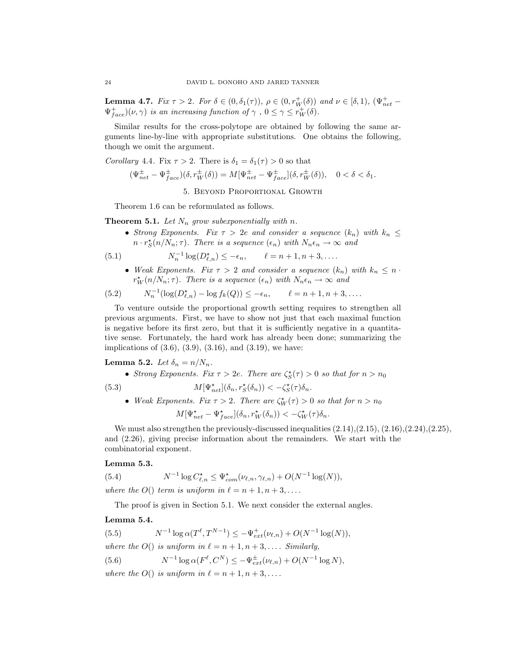**Lemma 4.7.** Fix  $\tau > 2$ . For  $\delta \in (0, \delta_1(\tau))$ ,  $\rho \in (0, r_W^+(\delta))$  and  $\nu \in [\delta, 1)$ ,  $(\Psi_{net}^+ \Psi^+_{face}(\nu, \gamma)$  is an increasing function of  $\gamma$ ,  $0 \le \gamma \le r_W^+(\delta)$ .

Similar results for the cross-polytope are obtained by following the same arguments line-by-line with appropriate substitutions. One obtains the following, though we omit the argument.

Corollary 4.4. Fix  $\tau > 2$ . There is  $\delta_1 = \delta_1(\tau) > 0$  so that

$$
(\Psi_{net}^{\pm} - \Psi_{face}^{\pm})(\delta, r_W^{\pm}(\delta)) = M[\Psi_{net}^{\pm} - \Psi_{face}^{\pm}](\delta, r_W^{\pm}(\delta)), \quad 0 < \delta < \delta_1.
$$

5. Beyond Proportional Growth

Theorem 1.6 can be reformulated as follows.

**Theorem 5.1.** Let  $N_n$  grow subexponentially with n.

• Strong Exponents. Fix  $\tau > 2e$  and consider a sequence  $(k_n)$  with  $k_n \leq$  $n \cdot r_S^{\star}(n/N_n; \tau)$ . There is a sequence  $(\epsilon_n)$  with  $N_n \epsilon_n \to \infty$  and

(5.1) 
$$
N_n^{-1}\log(D_{\ell,n}^{\star}) \leq -\epsilon_n, \qquad \ell = n+1, n+3, \ldots.
$$

• Weak Exponents. Fix  $\tau > 2$  and consider a sequence  $(k_n)$  with  $k_n \leq n$ .  $r_W^*(n/N_n; \tau)$ . There is a sequence  $(\epsilon_n)$  with  $N_n \epsilon_n \to \infty$  and

(5.2) 
$$
N_n^{-1}(\log(D_{\ell,n}^*) - \log f_k(Q)) \le -\epsilon_n, \qquad \ell = n+1, n+3, \dots
$$

To venture outside the proportional growth setting requires to strengthen all previous arguments. First, we have to show not just that each maximal function is negative before its first zero, but that it is sufficiently negative in a quantitative sense. Fortunately, the hard work has already been done; summarizing the implications of  $(3.6)$ ,  $(3.9)$ ,  $(3.16)$ , and  $(3.19)$ , we have:

Lemma 5.2. Let  $\delta_n = n/N_n$ .

• Strong Exponents. Fix  $\tau > 2e$ . There are  $\zeta_S^*(\tau) > 0$  so that for  $n > n_0$ 

(5.3) 
$$
M[\Psi_{net}^{\star}](\delta_n, r_S^{\star}(\delta_n)) < -\zeta_S^{\star}(\tau)\delta_n.
$$

• Weak Exponents. Fix  $\tau > 2$ . There are  $\zeta_W^*(\tau) > 0$  so that for  $n > n_0$ 

$$
M[\Psi_{net}^{\star} - \Psi_{face}^{\star}](\delta_n, r_W^{\star}(\delta_n)) < -\zeta_W^{\star}(\tau)\delta_n.
$$

We must also strengthen the previously-discussed inequalities  $(2.14),(2.15),(2.16),(2.24),(2.25)$ , and (2.26), giving precise information about the remainders. We start with the combinatorial exponent.

#### Lemma 5.3.

(5.4) 
$$
N^{-1} \log C_{\ell,n}^{\star} \leq \Psi_{com}^{\star}(\nu_{\ell,n}, \gamma_{\ell,n}) + O(N^{-1} \log(N)),
$$

where the  $O()$  term is uniform in  $\ell = n + 1, n + 3, \ldots$ .

The proof is given in Section 5.1. We next consider the external angles.

### Lemma 5.4.

(5.5) 
$$
N^{-1}\log \alpha(T^{\ell}, T^{N-1}) \le -\Psi_{ext}^+(\nu_{\ell,n}) + O(N^{-1}\log(N)),
$$

where the  $O()$  is uniform in  $\ell = n + 1, n + 3, \ldots$ . Similarly,

(5.6) 
$$
N^{-1} \log \alpha(F^{\ell}, C^N) \le -\Psi_{ext}^{\pm}(\nu_{\ell,n}) + O(N^{-1} \log N),
$$

where the  $O()$  is uniform in  $\ell = n + 1, n + 3, \ldots$ .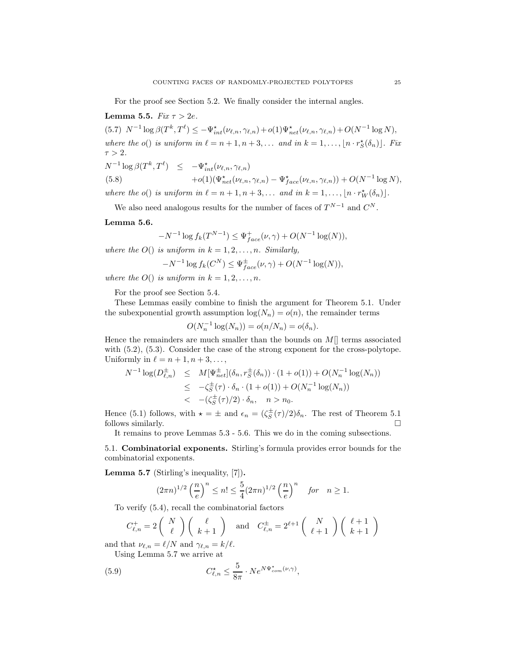For the proof see Section 5.2. We finally consider the internal angles.

Lemma 5.5.  $Fix \tau > 2e$ . (5.7)  $N^{-1} \log \beta(T^k, T^{\ell}) \le -\Psi_{int}^{\star}(\nu_{\ell,n}, \gamma_{\ell,n}) + o(1)\Psi_{net}^{\star}(\nu_{\ell,n}, \gamma_{\ell,n}) + O(N^{-1} \log N),$ where the  $o()$  is uniform in  $\ell = n + 1, n + 3, \ldots$  and in  $k = 1, \ldots, \lfloor n \cdot r_{S}^{*}(\delta_{n}) \rfloor$ . Fix  $\tau > 2$ .  $N^{-1}\log\beta(T^k,T^\ell) \leq -\Psi_{int}^\star(\nu_{\ell,n},\gamma_{\ell,n})$ 

(5.8) 
$$
+o(1)(\Psi_{net}^{\star}(\nu_{\ell,n},\gamma_{\ell,n}) - \Psi_{face}^{\star}(\nu_{\ell,n},\gamma_{\ell,n})) + O(N^{-1}\log N),
$$
  
where the  $o()$  is uniform in  $\ell = n + 1, n + 3,...$  and in  $k = 1,..., [n \cdot r_W^{\star}(\delta_n)]$ .

We also need analogous results for the number of faces of  $T^{N-1}$  and  $C^N$ .

#### Lemma 5.6.

$$
-N^{-1}\log f_k(T^{N-1}) \le \Psi_{face}^+(\nu, \gamma) + O(N^{-1}\log(N)),
$$

where the  $O()$  is uniform in  $k = 1, 2, \ldots, n$ . Similarly,

$$
-N^{-1}\log f_k(C^N) \leq \Psi_{face}^{\pm}(\nu,\gamma) + O(N^{-1}\log(N)),
$$

where the  $O()$  is uniform in  $k = 1, 2, ..., n$ .

For the proof see Section 5.4.

These Lemmas easily combine to finish the argument for Theorem 5.1. Under the subexponential growth assumption  $log(N_n) = o(n)$ , the remainder terms

$$
O(N_n^{-1}\log(N_n)) = o(n/N_n) = o(\delta_n).
$$

Hence the remainders are much smaller than the bounds on  $M$ ] terms associated with  $(5.2)$ ,  $(5.3)$ . Consider the case of the strong exponent for the cross-polytope. Uniformly in  $\ell = n + 1, n + 3, \ldots$ ,

$$
N^{-1} \log(D_{\ell,n}^{\pm}) \leq M[\Psi_{net}^{\pm}](\delta_n, r_S^{\pm}(\delta_n)) \cdot (1 + o(1)) + O(N_n^{-1} \log(N_n))
$$
  

$$
\leq -\zeta_S^{\pm}(\tau) \cdot \delta_n \cdot (1 + o(1)) + O(N_n^{-1} \log(N_n))
$$
  

$$
< -(\zeta_S^{\pm}(\tau)/2) \cdot \delta_n, \quad n > n_0.
$$

Hence (5.1) follows, with  $\star = \pm$  and  $\epsilon_n = (\zeta_S^{\pm}(\tau)/2)\delta_n$ . The rest of Theorem 5.1 follows similarly.

It remains to prove Lemmas 5.3 - 5.6. This we do in the coming subsections.

5.1. Combinatorial exponents. Stirling's formula provides error bounds for the combinatorial exponents.

Lemma 5.7 (Stirling's inequality, [7]).

$$
(2\pi n)^{1/2} \left(\frac{n}{e}\right)^n \le n! \le \frac{5}{4} (2\pi n)^{1/2} \left(\frac{n}{e}\right)^n \quad \text{for} \quad n \ge 1.
$$

To verify (5.4), recall the combinatorial factors

$$
C_{\ell,n}^+ = 2\left(\begin{array}{c}N\\ \ell\end{array}\right)\left(\begin{array}{c}\ell\\ k+1\end{array}\right) \text{ and } C_{\ell,n}^\pm = 2^{\ell+1}\left(\begin{array}{c}N\\ \ell+1\end{array}\right)\left(\begin{array}{c}\ell+1\\ k+1\end{array}\right)
$$

and that  $\nu_{\ell,n} = \ell/N$  and  $\gamma_{\ell,n} = k/\ell$ . Using Lemma 5.7 we arrive at

(5.9) 
$$
C_{\ell,n}^{\star} \leq \frac{5}{8\pi} \cdot Ne^{N\Psi_{com}^{\star}(\nu,\gamma)},
$$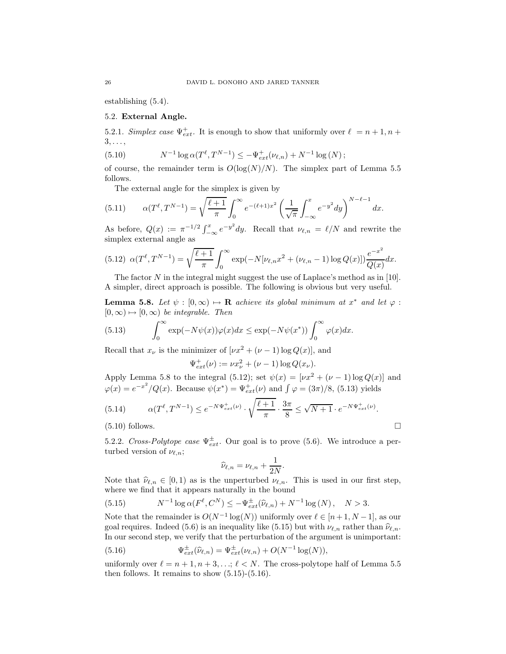establishing (5.4).

## 5.2. External Angle.

5.2.1. Simplex case  $\Psi_{ext}^+$ . It is enough to show that uniformly over  $\ell = n + 1, n + 1$  $3, \ldots$ 

(5.10) 
$$
N^{-1} \log \alpha(T^{\ell}, T^{N-1}) \leq -\Psi_{ext}^{+}(\nu_{\ell,n}) + N^{-1} \log (N);
$$

of course, the remainder term is  $O(log(N)/N)$ . The simplex part of Lemma 5.5 follows.

The external angle for the simplex is given by

(5.11) 
$$
\alpha(T^{\ell}, T^{N-1}) = \sqrt{\frac{\ell+1}{\pi}} \int_0^{\infty} e^{-(\ell+1)x^2} \left(\frac{1}{\sqrt{\pi}} \int_{-\infty}^x e^{-y^2} dy\right)^{N-\ell-1} dx.
$$

As before,  $Q(x) := \pi^{-1/2} \int_{-\infty}^{x} e^{-y^2} dy$ . Recall that  $\nu_{\ell,n} = \ell/N$  and rewrite the simplex external angle as

$$
(5.12) \ \alpha(T^{\ell}, T^{N-1}) = \sqrt{\frac{\ell+1}{\pi}} \int_0^{\infty} \exp(-N[\nu_{\ell,n}x^2 + (\nu_{\ell,n} - 1)\log Q(x)]) \frac{e^{-x^2}}{Q(x)} dx.
$$

The factor  $N$  in the integral might suggest the use of Laplace's method as in [10]. A simpler, direct approach is possible. The following is obvious but very useful.

**Lemma 5.8.** Let  $\psi : [0, \infty) \mapsto \mathbf{R}$  achieve its global minimum at  $x^*$  and let  $\varphi$ :  $[0, \infty) \mapsto [0, \infty)$  be integrable. Then

(5.13) 
$$
\int_0^\infty \exp(-N\psi(x))\varphi(x)dx \le \exp(-N\psi(x^*))\int_0^\infty \varphi(x)dx.
$$

Recall that  $x_{\nu}$  is the minimizer of  $[\nu x^2 + (\nu - 1) \log Q(x)]$ , and

$$
\Psi_{ext}^+(\nu) := \nu x_\nu^2 + (\nu - 1) \log Q(x_\nu).
$$

Apply Lemma 5.8 to the integral (5.12); set  $\psi(x) = [\nu x^2 + (\nu - 1) \log Q(x)]$  and  $\varphi(x) = e^{-x^2}/Q(x)$ . Because  $\psi(x^*) = \Psi_{ext}^+(\nu)$  and  $\int \varphi = (3\pi)/8$ , (5.13) yields

(5.14) 
$$
\alpha(T^{\ell}, T^{N-1}) \le e^{-N\Psi_{ext}^{+}(\nu)} \cdot \sqrt{\frac{\ell+1}{\pi}} \cdot \frac{3\pi}{8} \le \sqrt{N+1} \cdot e^{-N\Psi_{ext}^{+}(\nu)}.
$$
  
(5.10) follows.

5.2.2. Cross-Polytope case  $\Psi_{ext}^{\pm}$ . Our goal is to prove (5.6). We introduce a perturbed version of  $\nu_{\ell,n}$ ;

$$
\widehat{\nu}_{\ell,n} = \nu_{\ell,n} + \frac{1}{2N}.
$$

Note that  $\hat{\nu}_{\ell,n} \in [0,1)$  as is the unperturbed  $\nu_{\ell,n}$ . This is used in our first step, where we find that it appears naturally in the bound

(5.15) 
$$
N^{-1}\log \alpha(F^{\ell}, C^N) \le -\Psi_{ext}^{\pm}(\hat{\nu}_{\ell,n}) + N^{-1}\log(N), \quad N > 3.
$$

Note that the remainder is  $O(N^{-1} \log(N))$  uniformly over  $\ell \in [n+1, N-1]$ , as our goal requires. Indeed (5.6) is an inequality like (5.15) but with  $\nu_{\ell,n}$  rather than  $\hat{\nu}_{\ell,n}$ . In our second step, we verify that the perturbation of the argument is unimportant:

(5.16) 
$$
\Psi_{ext}^{\pm}(\hat{\nu}_{\ell,n}) = \Psi_{ext}^{\pm}(\nu_{\ell,n}) + O(N^{-1}\log(N)),
$$

uniformly over  $\ell = n + 1, n + 3, \ldots; \ell < N$ . The cross-polytope half of Lemma 5.5 then follows. It remains to show  $(5.15)-(5.16)$ .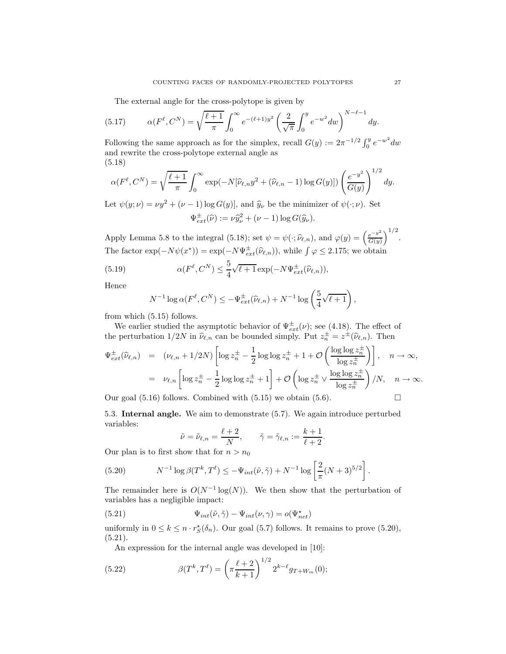The external angle for the cross-polytope is given by

(5.17) 
$$
\alpha(F^{\ell}, C^N) = \sqrt{\frac{\ell+1}{\pi}} \int_0^{\infty} e^{-(\ell+1)y^2} \left(\frac{2}{\sqrt{\pi}} \int_0^y e^{-w^2} dw\right)^{N-\ell-1} dy.
$$

Following the same approach as for the simplex, recall  $G(y) := 2\pi^{-1/2} \int_0^y e^{-w^2} dw$ and rewrite the cross-polytope external angle as (5.18)

$$
\alpha(F^{\ell}, C^N) = \sqrt{\frac{\ell+1}{\pi}} \int_0^{\infty} \exp(-N[\widehat{\nu}_{\ell,n}y^2 + (\widehat{\nu}_{\ell,n} - 1) \log G(y)]) \left(\frac{e^{-y^2}}{G(y)}\right)^{1/2} dy.
$$

Let  $\psi(y; \nu) = \nu y^2 + (\nu - 1) \log G(y)$ , and  $\hat{y}_\nu$  be the minimizer of  $\psi(\cdot; \nu)$ . Set  $\Psi^{\pm}_{ext}(\widehat{\nu}) := \nu \widehat{y}_{\nu}^2 + (\nu - 1) \log G(\widehat{y}_{\nu}).$ 

Apply Lemma 5.8 to the integral (5.18); set  $\psi = \psi(\cdot; \hat{\nu}_{\ell,n})$ , and  $\varphi(y) = \left(\frac{e^{-y^2}}{G(y)}\right)^2$  $G(y)$  $\big)^{1/2}$ . The factor  $\exp(-N\psi(x^*)) = \exp(-N\Psi_{ext}^{\pm}(\hat{\nu}_{\ell,n}))$ , while  $\int \varphi \le 2.175$ ; we obtain

(5.19) 
$$
\alpha(F^{\ell}, C^N) \leq \frac{5}{4} \sqrt{\ell+1} \exp(-N \Psi_{ext}^{\pm}(\widehat{\nu}_{\ell,n})),
$$

Hence

$$
N^{-1}\log \alpha(F^{\ell}, C^N) \le -\Psi_{ext}^{\pm}(\widehat{\nu}_{\ell,n}) + N^{-1}\log\left(\frac{5}{4}\sqrt{\ell+1}\right),
$$

from which (5.15) follows.

We earlier studied the asymptotic behavior of  $\Psi_{ext}^{\pm}(\nu)$ ; see (4.18). The effect of the perturbation  $1/2N$  in  $\hat{\nu}_{\ell,n}$  can be bounded simply. Put  $z_n^{\pm} = z^{\pm}(\hat{\nu}_{\ell,n})$ . Then

$$
\Psi_{ext}^{\pm}(\widehat{\nu}_{\ell,n}) = (\nu_{\ell,n} + 1/2N) \left[ \log z_n^{\pm} - \frac{1}{2} \log \log z_n^{\pm} + 1 + \mathcal{O}\left(\frac{\log \log z_n^{\pm}}{\log z_n^{\pm}}\right) \right], \quad n \to \infty,
$$
  
\n
$$
= \nu_{\ell,n} \left[ \log z_n^{\pm} - \frac{1}{2} \log \log z_n^{\pm} + 1 \right] + \mathcal{O}\left(\log z_n^{\pm} \vee \frac{\log \log z_n^{\pm}}{\log z_n^{\pm}}\right) / N, \quad n \to \infty.
$$

Our goal  $(5.16)$  follows. Combined with  $(5.15)$  we obtain  $(5.6)$ .

5.3. Internal angle. We aim to demonstrate (5.7). We again introduce perturbed variables:

$$
\tilde{\nu} = \tilde{\nu}_{\ell,n} = \frac{\ell+2}{N}, \qquad \tilde{\gamma} = \tilde{\gamma}_{\ell,n} := \frac{k+1}{\ell+2}
$$

.

Our plan is to first show that for  $n > n_0$ 

(5.20) 
$$
N^{-1}\log\beta(T^k,T^{\ell}) \leq -\Psi_{int}(\tilde{\nu},\tilde{\gamma}) + N^{-1}\log\left[\frac{2}{\pi}(N+3)^{5/2}\right].
$$

The remainder here is  $O(N^{-1} \log(N))$ . We then show that the perturbation of variables has a negligible impact:

(5.21) 
$$
\Psi_{int}(\tilde{\nu}, \tilde{\gamma}) - \Psi_{int}(\nu, \gamma) = o(\Psi_{net}^*)
$$

uniformly in  $0 \le k \le n \cdot r_S^*(\delta_n)$ . Our goal (5.7) follows. It remains to prove (5.20),  $(5.21).$ 

An expression for the internal angle was developed in [10]:

(5.22) 
$$
\beta(T^k, T^{\ell}) = \left(\pi \frac{\ell+2}{k+1}\right)^{1/2} 2^{k-\ell} g_{T+W_m}(0);
$$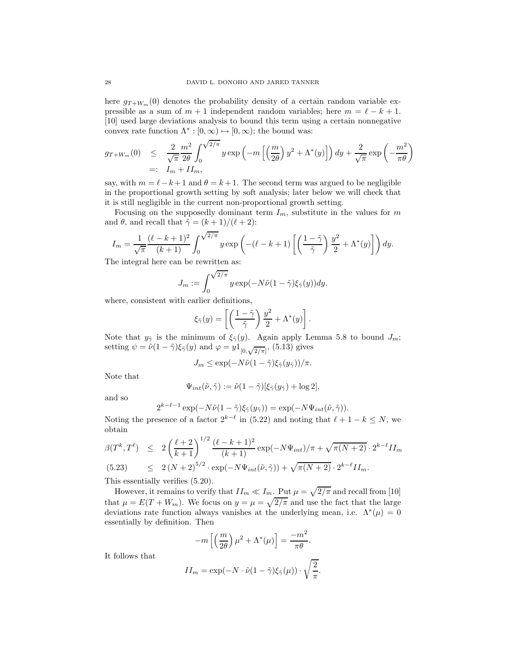here  $g_{T+W_m}(0)$  denotes the probability density of a certain random variable expressible as a sum of  $m + 1$  independent random variables; here  $m = \ell - k + 1$ . [10] used large deviations analysis to bound this term using a certain nonnegative convex rate function  $\Lambda^*: [0, \infty) \mapsto [0, \infty)$ ; the bound was:

$$
g_{T+W_m}(0) \leq \frac{2}{\sqrt{\pi}} \frac{m^2}{2\theta} \int_0^{\sqrt{2/\pi}} y \exp\left(-m\left[\left(\frac{m}{2\theta}\right) y^2 + \Lambda^*(y)\right]\right) dy + \frac{2}{\sqrt{\pi}} \exp\left(-\frac{m^2}{\pi\theta}\right)
$$
  
=:  $I_m + II_m$ ,

say, with  $m = \ell - k + 1$  and  $\theta = k + 1$ . The second term was argued to be negligible in the proportional growth setting by soft analysis; later below we will check that it is still negligible in the current non-proportional growth setting.

Focusing on the supposedly dominant term  $I_m$ , substitute in the values for m and  $\theta$ , and recall that  $\tilde{\gamma} = (k+1)/(\ell+2)$ :

$$
I_m = \frac{1}{\sqrt{\pi}} \frac{(\ell - k + 1)^2}{(k+1)} \int_0^{\sqrt{2/\pi}} y \exp\left(-(\ell - k + 1)\left[\left(\frac{1 - \tilde{\gamma}}{\tilde{\gamma}}\right) \frac{y^2}{2} + \Lambda^*(y)\right]\right) dy.
$$

The integral here can be rewritten as:

$$
J_m := \int_0^{\sqrt{2/\pi}} y \exp(-N\tilde{\nu}(1-\tilde{\gamma})\xi_{\tilde{\gamma}}(y)) dy.
$$

where, consistent with earlier definitions,

$$
\xi_{\tilde{\gamma}}(y) = \left[ \left( \frac{1 - \tilde{\gamma}}{\tilde{\gamma}} \right) \frac{y^2}{2} + \Lambda^*(y) \right].
$$

Note that  $y_{\tilde{\gamma}}$  is the minimum of  $\xi_{\tilde{\gamma}}(y)$ . Again apply Lemma 5.8 to bound  $J_m$ ; setting  $\psi = \tilde{\nu}(1-\tilde{\gamma})\xi_{\tilde{\gamma}}(y)$  and  $\varphi = y1_{[0,\sqrt{2/\pi}]},$  (5.13) gives

$$
J_m \leq \exp(-N\tilde{\nu}(1-\tilde{\gamma})\xi_{\tilde{\gamma}}(y_{\tilde{\gamma}}))/\pi.
$$

Note that

$$
\Psi_{int}(\tilde{\nu},\tilde{\gamma}):=\tilde{\nu}(1-\tilde{\gamma})[\xi_{\tilde{\gamma}}(y_{\tilde{\gamma}})+\log 2],
$$

and so

$$
2^{k-\ell-1} \exp(-N\tilde{\nu}(1-\tilde{\gamma})\xi_{\tilde{\gamma}}(y_{\tilde{\gamma}})) = \exp(-N\Psi_{int}(\tilde{\nu},\tilde{\gamma})).
$$

Noting the presence of a factor  $2^{k-\ell}$  in (5.22) and noting that  $\ell + 1 - k \leq N$ , we obtain

$$
\beta(T^k, T^\ell) \le 2\left(\frac{\ell+2}{k+1}\right)^{1/2} \frac{(\ell-k+1)^2}{(k+1)} \exp(-N\Psi_{int})/\pi + \sqrt{\pi(N+2)} \cdot 2^{k-\ell} II_m
$$
  
(5.23) 
$$
\le 2(N+2)^{5/2} \cdot \exp(-N\Psi_{int}(\tilde{\nu}, \tilde{\gamma})) + \sqrt{\pi(N+2)} \cdot 2^{k-\ell} II_m.
$$

This essentially verifies (5.20).

However, it remains to verify that  $II_m \ll I_m$ . Put  $\mu = \sqrt{2/\pi}$  and recall from [10] that  $\mu = E(T + W_m)$ . We focus on  $y = \mu = \sqrt{2/\pi}$  and use the fact that the large deviations rate function always vanishes at the underlying mean, i.e.  $\Lambda^*(\mu) = 0$ essentially by definition. Then

$$
-m\left[\left(\frac{m}{2\theta}\right)\mu^2 + \Lambda^*(\mu)\right] = \frac{-m^2}{\pi\theta}.
$$

It follows that

$$
II_m = \exp(-N \cdot \tilde{\nu}(1-\tilde{\gamma})\xi_{\tilde{\gamma}}(\mu)) \cdot \sqrt{\frac{2}{\pi}}.
$$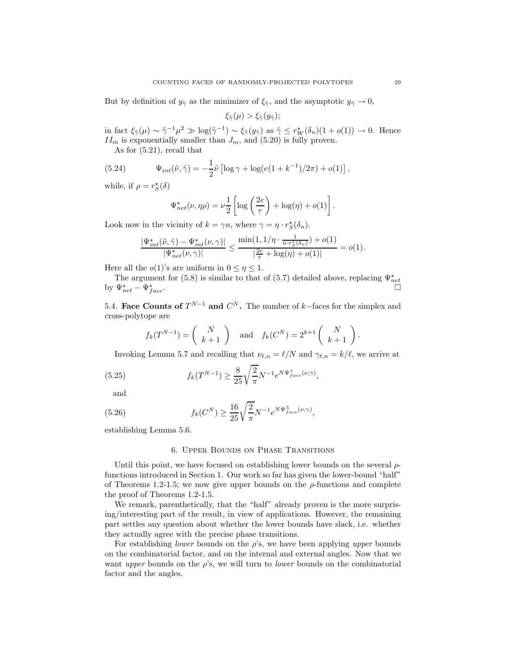But by definition of  $y_{\tilde{\gamma}}$  as the minimizer of  $\xi_{\tilde{\gamma}}$ , and the asymptotic  $y_{\tilde{\gamma}} \to 0$ ,

$$
\xi_{\tilde{\gamma}}(\mu) > \xi_{\tilde{\gamma}}(y_{\tilde{\gamma}});
$$

in fact  $\xi_{\tilde{\gamma}}(\mu) \sim \tilde{\gamma}^{-1} \mu^2 \gg \log(\tilde{\gamma}^{-1}) \sim \xi_{\tilde{\gamma}}(y_{\tilde{\gamma}})$  as  $\tilde{\gamma} \leq r_W^{\star}(\delta_n)(1 + o(1)) \to 0$ . Hence  $II_m$  is exponentially smaller than  $J_m$ , and (5.20) is fully proven.

As for (5.21), recall that

(5.24) 
$$
\Psi_{int}(\tilde{\nu}, \tilde{\gamma}) = -\frac{1}{2}\tilde{\nu}\left[\log \gamma + \log(e(1 + k^{-1})/2\pi) + o(1)\right],
$$

while, if  $\rho = r_S^{\star}(\delta)$ 

$$
\Psi_{net}^{\star}(\nu,\eta\rho) = \nu \frac{1}{2} \left[ \log \left( \frac{2e}{\tau} \right) + \log(\eta) + o(1) \right].
$$

Look now in the vicinity of  $k = \gamma n$ , where  $\gamma = \eta \cdot r_S^{\star}(\delta_n)$ .

$$
\frac{|\Psi_{int}^\star(\tilde{\nu},\tilde{\gamma})-\Psi_{int}^\star(\nu,\gamma)|}{|\Psi_{net}^\star(\nu,\gamma)|}\leq \frac{\min(1,1/\eta\cdot \frac{1}{n\cdot r_{\mathcal{S}}^\star(\delta_n)})+o(1)}{|\frac{2e}{\tau}+\log(\eta)+o(1)|}=o(1).
$$

Here all the  $o(1)$ 's are uniform in  $0 \leq \eta \leq 1$ .

The argument for (5.8) is similar to that of (5.7) detailed above, replacing  $\Psi_{net}^{\star}$ by  $\Psi_{net}^* - \Psi_f^*$  $f_{ace}$ .

5.4. Face Counts of  $T^{N-1}$  and  $C^N$ . The number of k–faces for the simplex and cross-polytope are

$$
f_k(T^{N-1}) = \begin{pmatrix} N \\ k+1 \end{pmatrix} \text{ and } f_k(C^N) = 2^{k+1} \begin{pmatrix} N \\ k+1 \end{pmatrix}.
$$

Invoking Lemma 5.7 and recalling that  $\nu_{\ell,n} = \ell/N$  and  $\gamma_{\ell,n} = k/\ell$ , we arrive at

(5.25) 
$$
f_k(T^{N-1}) \ge \frac{8}{25} \sqrt{\frac{2}{\pi}} N^{-1} e^{N \Psi_{face}^+(v,\gamma)},
$$

and

(5.26) 
$$
f_k(C^N) \ge \frac{16}{25} \sqrt{\frac{2}{\pi}} N^{-1} e^{N \Psi_{face}^{\pm}(\nu,\gamma)},
$$

establishing Lemma 5.6.

### 6. Upper Bounds on Phase Transitions

Until this point, we have focused on establishing lower bounds on the several  $\rho$ functions introduced in Section 1. Our work so far has given the lower-bound "half" of Theorems 1.2-1.5; we now give upper bounds on the  $\rho$ -functions and complete the proof of Theorems 1.2-1.5.

We remark, parenthetically, that the "half" already proven is the more surprising/interesting part of the result, in view of applications. However, the remaining part settles any question about whether the lower bounds have slack, i.e. whether they actually agree with the precise phase transitions.

For establishing *lower* bounds on the  $\rho$ 's, we have been applying upper bounds on the combinatorial factor, and on the internal and external angles. Now that we want upper bounds on the  $\rho$ 's, we will turn to *lower* bounds on the combinatorial factor and the angles.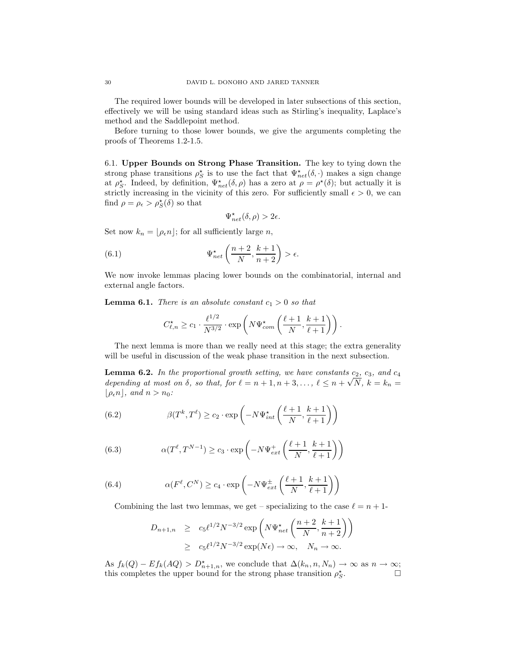The required lower bounds will be developed in later subsections of this section, effectively we will be using standard ideas such as Stirling's inequality, Laplace's method and the Saddlepoint method.

Before turning to those lower bounds, we give the arguments completing the proofs of Theorems 1.2-1.5.

6.1. Upper Bounds on Strong Phase Transition. The key to tying down the strong phase transitions  $\rho_S^*$  is to use the fact that  $\Psi_{net}^*(\delta, \cdot)$  makes a sign change at  $\rho_S^*$ . Indeed, by definition,  $\Psi_{net}^*(\delta, \rho)$  has a zero at  $\rho = \rho^*(\delta)$ ; but actually it is strictly increasing in the vicinity of this zero. For sufficiently small  $\epsilon > 0$ , we can find  $\rho = \rho_{\epsilon} > \rho_{S}^{\star}(\delta)$  so that

$$
\Psi_{net}^\star(\delta,\rho)>2\epsilon.
$$

Set now  $k_n = |\rho_{\epsilon} n|$ ; for all sufficiently large n,

(6.1) 
$$
\Psi_{net}^{\star}\left(\frac{n+2}{N}, \frac{k+1}{n+2}\right) > \epsilon.
$$

We now invoke lemmas placing lower bounds on the combinatorial, internal and external angle factors.

**Lemma 6.1.** There is an absolute constant  $c_1 > 0$  so that

$$
C_{\ell,n}^{\star} \ge c_1 \cdot \frac{\ell^{1/2}}{N^{3/2}} \cdot \exp\left(N\Psi_{com}^{\star}\left(\frac{\ell+1}{N}, \frac{k+1}{\ell+1}\right)\right).
$$

The next lemma is more than we really need at this stage; the extra generality will be useful in discussion of the weak phase transition in the next subsection.

**Lemma 6.2.** In the proportional growth setting, we have constants  $c_2$ ,  $c_3$ , and  $c_4$ depending at most on  $\delta$ , so that, for  $\ell = n + 1, n + 3, \ldots, \ell \leq n + \sqrt{N}$ ,  $k = k_n =$  $|\rho_{\epsilon} n|$ , and  $n > n_0$ :

(6.2) 
$$
\beta(T^k, T^{\ell}) \ge c_2 \cdot \exp\left(-N\Psi_{int}^{\star}\left(\frac{\ell+1}{N}, \frac{k+1}{\ell+1}\right)\right)
$$

(6.3) 
$$
\alpha(T^{\ell}, T^{N-1}) \ge c_3 \cdot \exp\left(-N\Psi_{ext}^+\left(\frac{\ell+1}{N}, \frac{k+1}{\ell+1}\right)\right)
$$

(6.4) 
$$
\alpha(F^{\ell}, C^N) \ge c_4 \cdot \exp\left(-N\Psi_{ext}^{\pm}\left(\frac{\ell+1}{N}, \frac{k+1}{\ell+1}\right)\right)
$$

Combining the last two lemmas, we get – specializing to the case  $\ell = n + 1$ -

$$
D_{n+1,n} \ge c_5 \ell^{1/2} N^{-3/2} \exp\left(N\Psi_{net}^{\star}\left(\frac{n+2}{N}, \frac{k+1}{n+2}\right)\right)
$$
  
 
$$
\ge c_5 \ell^{1/2} N^{-3/2} \exp(N\epsilon) \to \infty, \quad N_n \to \infty.
$$

As  $f_k(Q) - Ef_k(AQ) > D_{n+1,n}^{\star}$ , we conclude that  $\Delta(k_n, n, N_n) \to \infty$  as  $n \to \infty$ ; this completes the upper bound for the strong phase transition  $\rho_S^{\star}$ . — П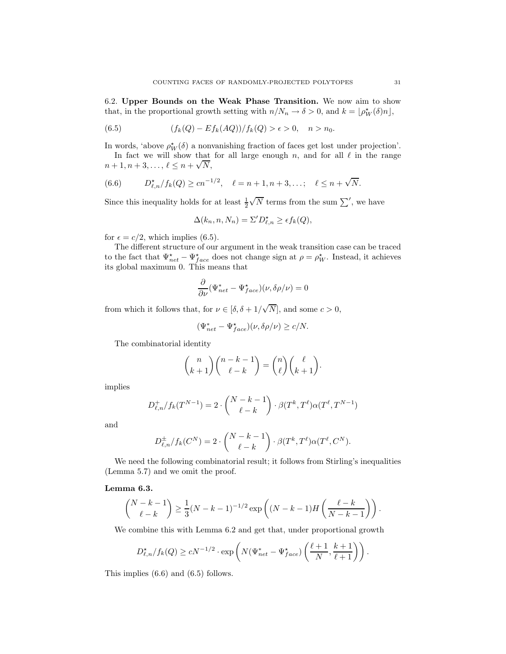6.2. Upper Bounds on the Weak Phase Transition. We now aim to show that, in the proportional growth setting with  $n/N_n \to \delta > 0$ , and  $k = \lfloor \rho_W^*(\delta)n \rfloor$ ,

(6.5) 
$$
(f_k(Q) - Ef_k(AQ))/f_k(Q) > \epsilon > 0, \quad n > n_0.
$$

In words, 'above  $\rho_W^*(\delta)$  a nonvanishing fraction of faces get lost under projection'.

In fact we will show that for all large enough  $n$ , and for all  $\ell$  in the range  $n + 1, n + 3, \ldots, \ell \leq n + \sqrt{N},$ 

(6.6) 
$$
D_{\ell,n}^{\star}/f_k(Q) \ge cn^{-1/2}, \quad \ell = n+1, n+3, \ldots; \quad \ell \le n+\sqrt{N}.
$$

Since this inequality holds for at least  $\frac{1}{2}\sqrt{N}$  terms from the sum  $\sum'$ , we have

$$
\Delta(k_n, n, N_n) = \Sigma' D_{\ell,n}^* \ge \epsilon f_k(Q),
$$

for  $\epsilon = c/2$ , which implies (6.5).

The different structure of our argument in the weak transition case can be traced to the fact that  $\Psi_{net}^* - \Psi_{face}^*$  does not change sign at  $\rho = \rho_W^*$ . Instead, it achieves its global maximum 0. This means that

$$
\frac{\partial}{\partial \nu} (\Psi^*_{net} - \Psi^*_{face})(\nu, \delta \rho / \nu) = 0
$$

from which it follows that, for  $\nu \in [\delta, \delta + 1/\sqrt{N}]$ , and some  $c > 0$ ,

$$
(\Psi_{net}^*-\Psi_{face}^*)(\nu,\delta\rho/\nu)\geq c/N.
$$

The combinatorial identity

$$
\binom{n}{k+1}\binom{n-k-1}{\ell-k} = \binom{n}{\ell}\binom{\ell}{k+1}.
$$

implies

$$
D_{\ell,n}^+/f_k(T^{N-1}) = 2 \cdot \binom{N-k-1}{\ell-k} \cdot \beta(T^k, T^{\ell}) \alpha(T^{\ell}, T^{N-1})
$$

and

$$
D_{\ell,n}^{\pm}/f_k(C^N) = 2 \cdot \binom{N-k-1}{\ell-k} \cdot \beta(T^k,T^{\ell}) \alpha(T^{\ell},C^N).
$$

We need the following combinatorial result; it follows from Stirling's inequalities (Lemma 5.7) and we omit the proof.

## Lemma 6.3.

$$
\binom{N-k-1}{\ell-k} \ge \frac{1}{3}(N-k-1)^{-1/2} \exp\left((N-k-1)H\left(\frac{\ell-k}{N-k-1}\right)\right).
$$

We combine this with Lemma 6.2 and get that, under proportional growth

$$
D_{\ell,n}^{\star}/f_k(Q) \ge cN^{-1/2} \cdot \exp\left(N(\Psi_{net}^* - \Psi_{face}^*)\left(\frac{\ell+1}{N}, \frac{k+1}{\ell+1}\right)\right).
$$

This implies (6.6) and (6.5) follows.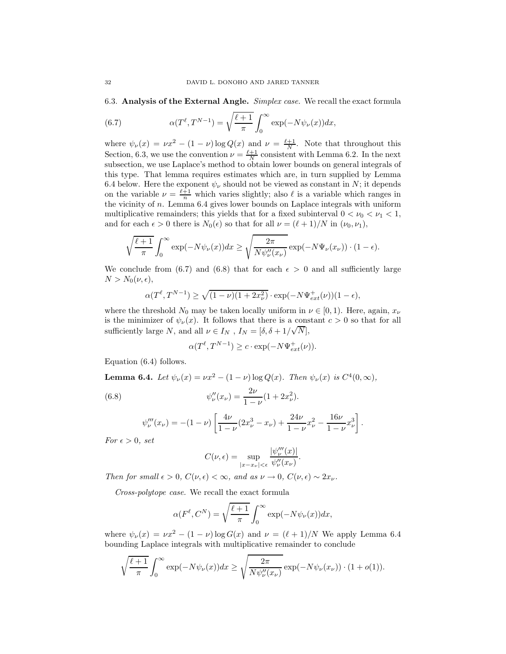6.3. Analysis of the External Angle. Simplex case. We recall the exact formula

(6.7) 
$$
\alpha(T^{\ell}, T^{N-1}) = \sqrt{\frac{\ell+1}{\pi}} \int_0^{\infty} \exp(-N\psi_{\nu}(x))dx,
$$

where  $\psi_{\nu}(x) = \nu x^2 - (1 - \nu) \log Q(x)$  and  $\nu = \frac{\ell+1}{N}$ . Note that throughout this Section, 6.3, we use the convention  $\nu = \frac{\ell+1}{N}$  consistent with Lemma 6.2. In the next subsection, we use Laplace's method to obtain lower bounds on general integrals of this type. That lemma requires estimates which are, in turn supplied by Lemma 6.4 below. Here the exponent  $\psi_{\nu}$  should not be viewed as constant in N; it depends on the variable  $\nu = \frac{\ell+1}{n}$  which varies slightly; also  $\ell$  is a variable which ranges in the vicinity of  $n$ . Lemma 6.4 gives lower bounds on Laplace integrals with uniform multiplicative remainders; this yields that for a fixed subinterval  $0 < \nu_0 < \nu_1 < 1$ , and for each  $\epsilon > 0$  there is  $N_0(\epsilon)$  so that for all  $\nu = (\ell + 1)/N$  in  $(\nu_0, \nu_1)$ ,

$$
\sqrt{\frac{\ell+1}{\pi}} \int_0^\infty \exp(-N\psi_\nu(x))dx \ge \sqrt{\frac{2\pi}{N\psi_\nu''(x_\nu)}} \exp(-N\Psi_\nu(x_\nu)) \cdot (1-\epsilon).
$$

We conclude from (6.7) and (6.8) that for each  $\epsilon > 0$  and all sufficiently large  $N > N_0(\nu, \epsilon),$ 

$$
\alpha(T^{\ell}, T^{N-1}) \ge \sqrt{(1-\nu)(1+2x_{\nu}^2)} \cdot \exp(-N\Psi_{ext}^{+}(\nu))(1-\epsilon),
$$

where the threshold  $N_0$  may be taken locally uniform in  $\nu \in [0,1)$ . Here, again,  $x_{\nu}$ is the minimizer of  $\psi_{\nu}(x)$ . It follows that there is a constant  $c > 0$  so that for all sufficiently large N, and all  $\nu \in I_N$ ,  $I_N = [\delta, \delta + 1/\sqrt{N}],$ 

$$
\alpha(T^{\ell}, T^{N-1}) \ge c \cdot \exp(-N\Psi_{ext}^{+}(\nu)).
$$

Equation (6.4) follows.

**Lemma 6.4.** Let  $\psi_{\nu}(x) = \nu x^2 - (1 - \nu) \log Q(x)$ . Then  $\psi_{\nu}(x)$  is  $C^4(0, \infty)$ ,

(6.8) 
$$
\psi_{\nu}''(x_{\nu}) = \frac{2\nu}{1-\nu}(1+2x_{\nu}^2).
$$

$$
\psi_{\nu}'''(x_{\nu}) = -(1 - \nu) \left[ \frac{4\nu}{1 - \nu} (2x_{\nu}^3 - x_{\nu}) + \frac{24\nu}{1 - \nu} x_{\nu}^2 - \frac{16\nu}{1 - \nu} x_{\nu}^3 \right].
$$

For  $\epsilon > 0$ , set

$$
C(\nu,\epsilon)=\sup_{|x-x_{\nu}|<\epsilon}\frac{|\psi_{\nu}'''(x)|}{\psi_{\nu}''(x_{\nu})}.
$$

Then for small  $\epsilon > 0$ ,  $C(\nu, \epsilon) < \infty$ , and as  $\nu \to 0$ ,  $C(\nu, \epsilon) \sim 2x_{\nu}$ .

Cross-polytope case. We recall the exact formula

$$
\alpha(F^{\ell}, C^N) = \sqrt{\frac{\ell+1}{\pi}} \int_0^{\infty} \exp(-N\psi_{\nu}(x))dx,
$$

where  $\psi_{\nu}(x) = \nu x^2 - (1 - \nu) \log G(x)$  and  $\nu = (\ell + 1)/N$  We apply Lemma 6.4 bounding Laplace integrals with multiplicative remainder to conclude

$$
\sqrt{\frac{\ell+1}{\pi}} \int_0^\infty \exp(-N\psi_\nu(x))dx \ge \sqrt{\frac{2\pi}{N\psi_\nu''(x_\nu)}} \exp(-N\psi_\nu(x_\nu)) \cdot (1+o(1)).
$$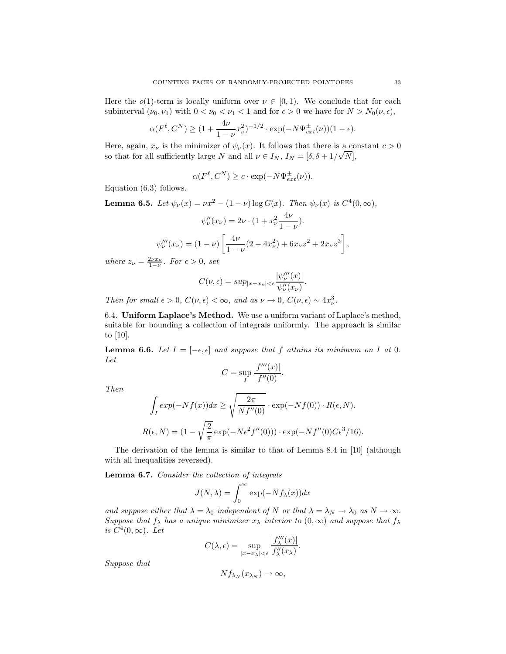Here the  $o(1)$ -term is locally uniform over  $\nu \in [0,1)$ . We conclude that for each subinterval  $(\nu_0, \nu_1)$  with  $0 < \nu_0 < \nu_1 < 1$  and for  $\epsilon > 0$  we have for  $N > N_0(\nu, \epsilon)$ ,

$$
\alpha(F^{\ell}, C^N) \ge (1 + \frac{4\nu}{1-\nu}x_{\nu}^2)^{-1/2} \cdot \exp(-N\Psi_{ext}^{\pm}(\nu))(1-\epsilon).
$$

Here, again,  $x_{\nu}$  is the minimizer of  $\psi_{\nu}(x)$ . It follows that there is a constant  $c > 0$ so that for all sufficiently large N and all  $\nu \in I_N$ ,  $I_N = [\delta, \delta + 1/\sqrt{N}]$ ,

$$
\alpha(F^{\ell}, C^N) \ge c \cdot \exp(-N\Psi_{ext}^{\pm}(\nu)).
$$

Equation (6.3) follows.

**Lemma 6.5.** Let  $\psi_{\nu}(x) = \nu x^2 - (1 - \nu) \log G(x)$ . Then  $\psi_{\nu}(x)$  is  $C^4(0, \infty)$ ,

$$
\psi_{\nu}''(x_{\nu}) = 2\nu \cdot (1 + x_{\nu}^2 \frac{4\nu}{1 - \nu}).
$$

$$
\psi_{\nu}'''(x_{\nu}) = (1 - \nu) \left[ \frac{4\nu}{1 - \nu} (2 - 4x_{\nu}^2) + 6x_{\nu} z^2 + 2x_{\nu} z^3 \right],
$$

where  $z_{\nu} = \frac{2\nu x_{\nu}}{1-\nu}$ . For  $\epsilon > 0$ , set

$$
C(\nu,\epsilon) = \sup_{|x-x_{\nu}| < \epsilon} \frac{|\psi_{\nu}'''(x)|}{\psi_{\nu}''(x_{\nu})}.
$$

Then for small  $\epsilon > 0$ ,  $C(\nu, \epsilon) < \infty$ , and as  $\nu \to 0$ ,  $C(\nu, \epsilon) \sim 4x_{\nu}^3$ .

6.4. Uniform Laplace's Method. We use a uniform variant of Laplace's method, suitable for bounding a collection of integrals uniformly. The approach is similar to [10].

**Lemma 6.6.** Let  $I = [-\epsilon, \epsilon]$  and suppose that f attains its minimum on I at 0. Let

$$
C = \sup_{I} \frac{|f'''(x)|}{f''(0)}.
$$

Then

$$
\int_I exp(-Nf(x))dx \ge \sqrt{\frac{2\pi}{Nf''(0)}} \cdot exp(-Nf(0)) \cdot R(\epsilon, N).
$$
  

$$
R(\epsilon, N) = (1 - \sqrt{\frac{2}{\pi}} exp(-N\epsilon^2 f''(0))) \cdot exp(-Nf''(0)C\epsilon^3/16).
$$

The derivation of the lemma is similar to that of Lemma 8.4 in [10] (although with all inequalities reversed).

Lemma 6.7. Consider the collection of integrals

$$
J(N, \lambda) = \int_0^\infty \exp(-Nf_\lambda(x))dx
$$

and suppose either that  $\lambda = \lambda_0$  independent of N or that  $\lambda = \lambda_N \to \lambda_0$  as  $N \to \infty$ . Suppose that  $f_{\lambda}$  has a unique minimizer  $x_{\lambda}$  interior to  $(0, \infty)$  and suppose that  $f_{\lambda}$ is  $C^4(0,\infty)$ . Let

$$
C(\lambda, \epsilon) = \sup_{|x - x_{\lambda}| < \epsilon} \frac{|f_{\lambda}'''(x)|}{f_{\lambda}''(x_{\lambda})}.
$$

Suppose that

$$
Nf_{\lambda_N}(x_{\lambda_N})\to\infty,
$$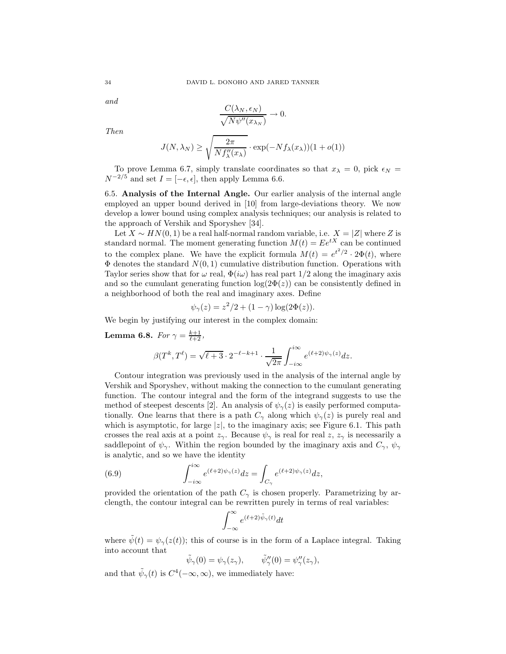and

$$
\frac{C(\lambda_N, \epsilon_N)}{\sqrt{N\psi''(x_{\lambda_N})}} \to 0.
$$

Then

$$
J(N, \lambda_N) \ge \sqrt{\frac{2\pi}{Nf''_{\lambda}(x_{\lambda})}} \cdot \exp(-Nf_{\lambda}(x_{\lambda}))(1+o(1))
$$

To prove Lemma 6.7, simply translate coordinates so that  $x_{\lambda} = 0$ , pick  $\epsilon_N =$  $N^{-2/5}$  and set  $I = [-\epsilon, \epsilon]$ , then apply Lemma 6.6.

6.5. Analysis of the Internal Angle. Our earlier analysis of the internal angle employed an upper bound derived in [10] from large-deviations theory. We now develop a lower bound using complex analysis techniques; our analysis is related to the approach of Vershik and Sporyshev [34].

Let  $X \sim HN(0, 1)$  be a real half-normal random variable, i.e.  $X = |Z|$  where Z is standard normal. The moment generating function  $M(t) = Ee^{tX}$  can be continued to the complex plane. We have the explicit formula  $M(t) = e^{t^2/2} \cdot 2\Phi(t)$ , where  $\Phi$  denotes the standard  $N(0, 1)$  cumulative distribution function. Operations with Taylor series show that for  $\omega$  real,  $\Phi(i\omega)$  has real part  $1/2$  along the imaginary axis and so the cumulant generating function  $log(2\Phi(z))$  can be consistently defined in a neighborhood of both the real and imaginary axes. Define

$$
\psi_{\gamma}(z) = z^2/2 + (1 - \gamma) \log(2\Phi(z)).
$$

We begin by justifying our interest in the complex domain:

**Lemma 6.8.** For  $\gamma = \frac{k+1}{\ell+2}$ ,

$$
\beta(T^k,T^\ell) = \sqrt{\ell+3} \cdot 2^{-\ell-k+1} \cdot \frac{1}{\sqrt{2\pi}} \int_{-i\infty}^{i\infty} e^{(\ell+2)\psi_\gamma(z)} dz.
$$

Contour integration was previously used in the analysis of the internal angle by Vershik and Sporyshev, without making the connection to the cumulant generating function. The contour integral and the form of the integrand suggests to use the method of steepest descents [2]. An analysis of  $\psi_{\gamma}(z)$  is easily performed computationally. One learns that there is a path  $C_{\gamma}$  along which  $\psi_{\gamma}(z)$  is purely real and which is asymptotic, for large  $|z|$ , to the imaginary axis; see Figure 6.1. This path crosses the real axis at a point  $z_{\gamma}$ . Because  $\psi_{\gamma}$  is real for real z,  $z_{\gamma}$  is necessarily a saddlepoint of  $\psi_{\gamma}$ . Within the region bounded by the imaginary axis and  $C_{\gamma}$ ,  $\psi_{\gamma}$ is analytic, and so we have the identity

(6.9) 
$$
\int_{-i\infty}^{i\infty} e^{(\ell+2)\psi_{\gamma}(z)} dz = \int_{C_{\gamma}} e^{(\ell+2)\psi_{\gamma}(z)} dz,
$$

provided the orientation of the path  $C_{\gamma}$  is chosen properly. Parametrizing by arclength, the contour integral can be rewritten purely in terms of real variables:

$$
\int_{-\infty}^{\infty} e^{(\ell+2)\tilde{\psi}_{\gamma}(t)} dt
$$

where  $\tilde{\psi}(t) = \psi_{\gamma}(z(t))$ ; this of course is in the form of a Laplace integral. Taking into account that

$$
\tilde{\psi}_{\gamma}(0) = \psi_{\gamma}(z_{\gamma}), \qquad \tilde{\psi}_{\gamma}''(0) = \psi_{\gamma}''(z_{\gamma}),
$$

and that  $\tilde{\psi}_{\gamma}(t)$  is  $C^4(-\infty, \infty)$ , we immediately have: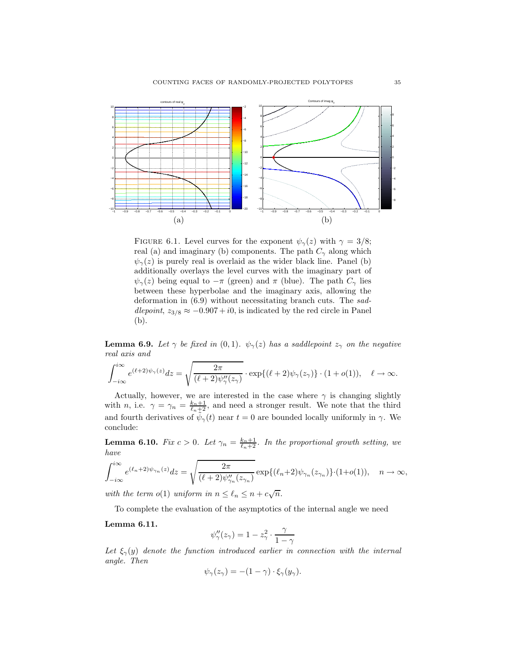

FIGURE 6.1. Level curves for the exponent  $\psi_{\gamma}(z)$  with  $\gamma = 3/8$ ; real (a) and imaginary (b) components. The path  $C_{\gamma}$  along which  $\psi_{\gamma}(z)$  is purely real is overlaid as the wider black line. Panel (b) additionally overlays the level curves with the imaginary part of  $\psi_{\gamma}(z)$  being equal to  $-\pi$  (green) and  $\pi$  (blue). The path  $C_{\gamma}$  lies between these hyperbolae and the imaginary axis, allowing the deformation in (6.9) without necessitating branch cuts. The saddlepoint,  $z_{3/8} \approx -0.907 + i0$ , is indicated by the red circle in Panel (b).

**Lemma 6.9.** Let  $\gamma$  be fixed in (0,1).  $\psi_{\gamma}(z)$  has a saddlepoint  $z_{\gamma}$  on the negative real axis and

$$
\int_{-i\infty}^{i\infty} e^{(\ell+2)\psi_{\gamma}(z)} dz = \sqrt{\frac{2\pi}{(\ell+2)\psi_{\gamma}''(z_{\gamma})}} \cdot \exp\{(\ell+2)\psi_{\gamma}(z_{\gamma})\} \cdot (1+o(1)), \quad \ell \to \infty.
$$

Actually, however, we are interested in the case where  $\gamma$  is changing slightly with *n*, i.e.  $\gamma = \gamma_n = \frac{k_n+1}{\ell_n+2}$ , and need a stronger result. We note that the third and fourth derivatives of  $\tilde{\psi}_{\gamma}(t)$  near  $t=0$  are bounded locally uniformly in  $\gamma$ . We conclude:

**Lemma 6.10.** Fix  $c > 0$ . Let  $\gamma_n = \frac{k_n+1}{\ell_n+2}$ . In the proportional growth setting, we have

$$
\int_{-i\infty}^{i\infty} e^{(\ell_n+2)\psi_{\gamma_n}(z)} dz = \sqrt{\frac{2\pi}{(\ell+2)\psi_{\gamma_n}'(z_{\gamma_n})}} \exp\{(\ell_n+2)\psi_{\gamma_n}(z_{\gamma_n})\} \cdot (1+o(1)), \quad n \to \infty,
$$

with the term o(1) uniform in  $n \leq \ell_n \leq n + c\sqrt{n}$ .

To complete the evaluation of the asymptotics of the internal angle we need

Lemma 6.11.

$$
\psi''_{\gamma}(z_{\gamma}) = 1 - z_{\gamma}^{2} \cdot \frac{\gamma}{1 - \gamma}
$$

Let  $\xi_{\gamma}(y)$  denote the function introduced earlier in connection with the internal angle. Then

$$
\psi_{\gamma}(z_{\gamma}) = -(1 - \gamma) \cdot \xi_{\gamma}(y_{\gamma}).
$$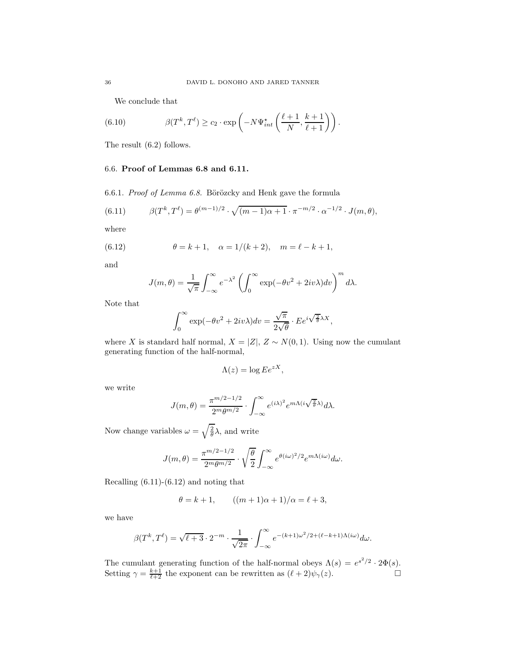We conclude that

(6.10) 
$$
\beta(T^k, T^{\ell}) \ge c_2 \cdot \exp\left(-N\Psi_{int}^{\star}\left(\frac{\ell+1}{N}, \frac{k+1}{\ell+1}\right)\right).
$$

The result (6.2) follows.

## 6.6. Proof of Lemmas 6.8 and 6.11.

6.6.1. Proof of Lemma 6.8. Börözcky and Henk gave the formula

(6.11) 
$$
\beta(T^k, T^{\ell}) = \theta^{(m-1)/2} \cdot \sqrt{(m-1)\alpha + 1} \cdot \pi^{-m/2} \cdot \alpha^{-1/2} \cdot J(m, \theta),
$$

where

(6.12) 
$$
\theta = k + 1, \quad \alpha = 1/(k + 2), \quad m = \ell - k + 1,
$$

and

$$
J(m,\theta) = \frac{1}{\sqrt{\pi}} \int_{-\infty}^{\infty} e^{-\lambda^2} \left( \int_{0}^{\infty} \exp(-\theta v^2 + 2iv\lambda) dv \right)^m d\lambda.
$$

Note that

$$
\int_0^\infty \exp(-\theta v^2 + 2iv\lambda) dv = \frac{\sqrt{\pi}}{2\sqrt{\theta}} \cdot E e^{i\sqrt{\frac{2}{\theta}}\lambda X},
$$

where X is standard half normal,  $X = |Z|$ ,  $Z \sim N(0, 1)$ . Using now the cumulant generating function of the half-normal,

$$
\Lambda(z) = \log E e^{zX},
$$

we write

$$
J(m,\theta) = \frac{\pi^{m/2 - 1/2}}{2^m \theta^{m/2}} \cdot \int_{-\infty}^{\infty} e^{(i\lambda)^2} e^{m\Lambda(i\sqrt{\frac{2}{\theta}}\lambda)} d\lambda.
$$

Now change variables  $\omega = \sqrt{\frac{2}{\theta}}\lambda$ , and write

$$
J(m,\theta) = \frac{\pi^{m/2-1/2}}{2^m \theta^{m/2}} \cdot \sqrt{\frac{\theta}{2}} \int_{-\infty}^{\infty} e^{\theta(i\omega)^2/2} e^{m\Lambda(i\omega)} d\omega.
$$

Recalling (6.11)-(6.12) and noting that

$$
\theta = k + 1,
$$
  $((m + 1)\alpha + 1)/\alpha = \ell + 3,$ 

we have

$$
\beta(T^k, T^{\ell}) = \sqrt{\ell+3} \cdot 2^{-m} \cdot \frac{1}{\sqrt{2\pi}} \cdot \int_{-\infty}^{\infty} e^{-(k+1)\omega^2/2 + (\ell-k+1)\Lambda(i\omega)} d\omega.
$$

The cumulant generating function of the half-normal obeys  $\Lambda(s) = e^{s^2/2} \cdot 2\Phi(s)$ . Setting  $\gamma = \frac{k+1}{\ell+2}$  the exponent can be rewritten as  $(\ell+2)\psi_{\gamma}(z)$ .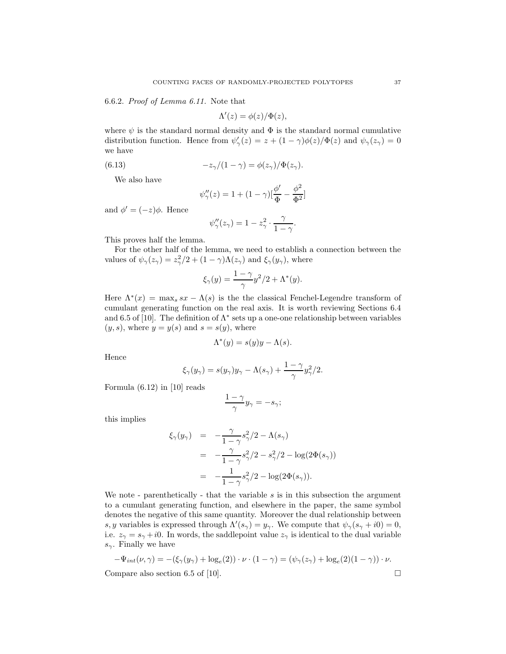6.6.2. Proof of Lemma 6.11. Note that

$$
\Lambda'(z) = \phi(z)/\Phi(z),
$$

where  $\psi$  is the standard normal density and  $\Phi$  is the standard normal cumulative distribution function. Hence from  $\psi_{\gamma}'(z) = z + (1 - \gamma)\phi(z)/\Phi(z)$  and  $\psi_{\gamma}(z_{\gamma}) = 0$ we have

(6.13) 
$$
-z_{\gamma}/(1-\gamma) = \phi(z_{\gamma})/\Phi(z_{\gamma}).
$$

We also have

$$
\psi''_{\gamma}(z) = 1 + (1 - \gamma)[\frac{\phi'}{\Phi} - \frac{\phi^2}{\Phi^2}]
$$

and  $\phi' = (-z)\phi$ . Hence

$$
\psi''_{\gamma}(z_{\gamma}) = 1 - z_{\gamma}^2 \cdot \frac{\gamma}{1 - \gamma}.
$$

This proves half the lemma.

For the other half of the lemma, we need to establish a connection between the values of  $\psi_{\gamma}(z_{\gamma}) = z_{\gamma}^{2}/2 + (1 - \gamma)\Lambda(z_{\gamma})$  and  $\xi_{\gamma}(y_{\gamma})$ , where

$$
\xi_{\gamma}(y) = \frac{1 - \gamma}{\gamma} y^2 / 2 + \Lambda^*(y).
$$

Here  $\Lambda^*(x) = \max_s s x - \Lambda(s)$  is the the classical Fenchel-Legendre transform of cumulant generating function on the real axis. It is worth reviewing Sections 6.4 and 6.5 of [10]. The definition of  $\Lambda^*$  sets up a one-one relationship between variables  $(y, s)$ , where  $y = y(s)$  and  $s = s(y)$ , where

$$
\Lambda^*(y) = s(y)y - \Lambda(s).
$$

Hence

$$
\xi_{\gamma}(y_{\gamma}) = s(y_{\gamma})y_{\gamma} - \Lambda(s_{\gamma}) + \frac{1-\gamma}{\gamma}y_{\gamma}^{2}/2.
$$

Formula (6.12) in [10] reads

$$
\frac{1-\gamma}{\gamma}y_{\gamma} = -s_{\gamma};
$$

this implies

$$
\xi_{\gamma}(y_{\gamma}) = -\frac{\gamma}{1-\gamma} s_{\gamma}^{2}/2 - \Lambda(s_{\gamma})
$$
  
= 
$$
-\frac{\gamma}{1-\gamma} s_{\gamma}^{2}/2 - s_{\gamma}^{2}/2 - \log(2\Phi(s_{\gamma}))
$$
  
= 
$$
-\frac{1}{1-\gamma} s_{\gamma}^{2}/2 - \log(2\Phi(s_{\gamma})).
$$

We note - parenthetically - that the variable s is in this subsection the argument to a cumulant generating function, and elsewhere in the paper, the same symbol denotes the negative of this same quantity. Moreover the dual relationship between s, y variables is expressed through  $\Lambda'(s_\gamma) = y_\gamma$ . We compute that  $\psi_\gamma(s_\gamma + i0) = 0$ , i.e.  $z_{\gamma} = s_{\gamma} + i0$ . In words, the saddlepoint value  $z_{\gamma}$  is identical to the dual variable  $s_{\gamma}$ . Finally we have

$$
-\Psi_{int}(\nu,\gamma) = -(\xi_{\gamma}(y_{\gamma}) + \log_e(2)) \cdot \nu \cdot (1-\gamma) = (\psi_{\gamma}(z_{\gamma}) + \log_e(2)(1-\gamma)) \cdot \nu.
$$
  
Compare also section 6.5 of [10]

Compare also section 6.5 of [10].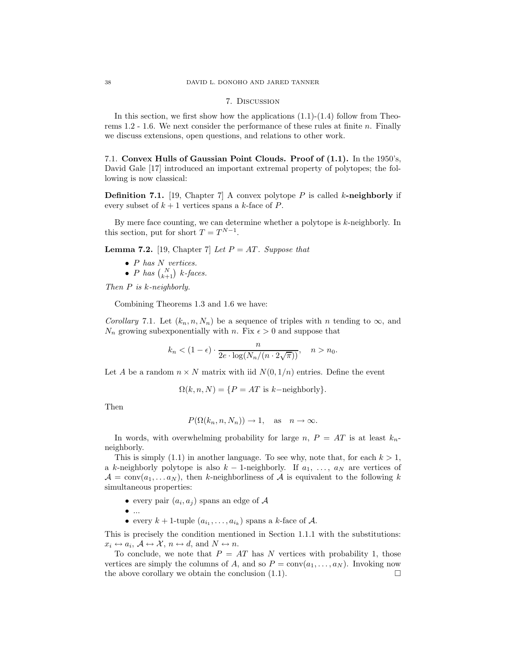#### 7. Discussion

In this section, we first show how the applications  $(1.1)-(1.4)$  follow from Theorems 1.2 - 1.6. We next consider the performance of these rules at finite n. Finally we discuss extensions, open questions, and relations to other work.

7.1. Convex Hulls of Gaussian Point Clouds. Proof of (1.1). In the 1950's, David Gale [17] introduced an important extremal property of polytopes; the following is now classical:

**Definition 7.1.** [19, Chapter 7] A convex polytope P is called k-neighborly if every subset of  $k + 1$  vertices spans a k-face of P.

By mere face counting, we can determine whether a polytope is  $k$ -neighborly. In this section, put for short  $T = T^{N-1}$ .

**Lemma 7.2.** [19, Chapter 7] Let  $P = AT$ . Suppose that

- $P$  has  $N$  vertices.
- P has  $\binom{N}{k+1}$  k-faces.

Then P is k-neighborly.

Combining Theorems 1.3 and 1.6 we have:

Corollary 7.1. Let  $(k_n, n, N_n)$  be a sequence of triples with n tending to  $\infty$ , and  $N_n$  growing subexponentially with n. Fix  $\epsilon > 0$  and suppose that

$$
k_n < (1 - \epsilon) \cdot \frac{n}{2e \cdot \log(N_n/(n \cdot 2\sqrt{\pi}))}, \quad n > n_0.
$$

Let A be a random  $n \times N$  matrix with iid  $N(0, 1/n)$  entries. Define the event

$$
\Omega(k, n, N) = \{ P = AT \text{ is } k-\text{neighborly} \}.
$$

Then

$$
P(\Omega(k_n, n, N_n)) \to 1
$$
, as  $n \to \infty$ .

In words, with overwhelming probability for large n,  $P = AT$  is at least  $k_n$ neighborly.

This is simply  $(1.1)$  in another language. To see why, note that, for each  $k > 1$ , a k-neighborly polytope is also  $k - 1$ -neighborly. If  $a_1, \ldots, a_N$  are vertices of  $\mathcal{A} = \text{conv}(a_1, \ldots a_N)$ , then k-neighborliness of  $\mathcal{A}$  is equivalent to the following k simultaneous properties:

- every pair  $(a_i, a_j)$  spans an edge of  $A$
- $\bullet$  ...
- every  $k+1$ -tuple  $(a_{i_1},...,a_{i_k})$  spans a k-face of A.

This is precisely the condition mentioned in Section 1.1.1 with the substitutions:  $x_i \leftrightarrow a_i$ ,  $\mathcal{A} \leftrightarrow \mathcal{X}$ ,  $n \leftrightarrow d$ , and  $N \leftrightarrow n$ .

To conclude, we note that  $P = AT$  has N vertices with probability 1, those vertices are simply the columns of A, and so  $P = \text{conv}(a_1, \ldots, a_N)$ . Invoking now the above corollary we obtain the conclusion  $(1.1)$ .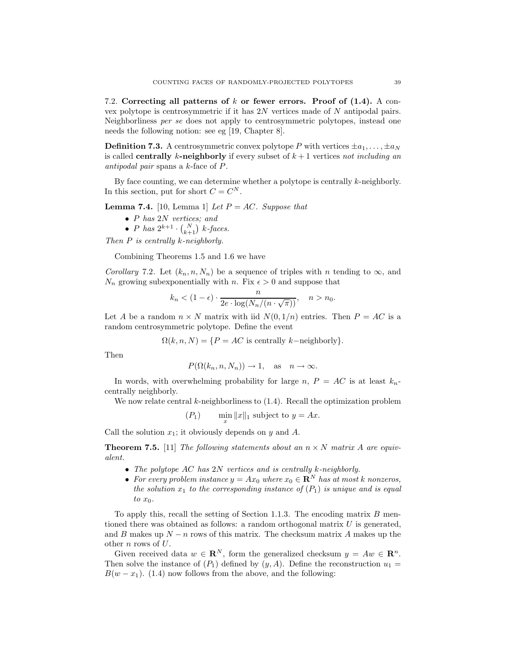7.2. Correcting all patterns of k or fewer errors. Proof of (1.4). A convex polytope is centrosymmetric if it has 2N vertices made of N antipodal pairs. Neighborliness per se does not apply to centrosymmetric polytopes, instead one needs the following notion: see eg [19, Chapter 8].

**Definition 7.3.** A centrosymmetric convex polytope P with vertices  $\pm a_1, \ldots, \pm a_N$ is called **centrally** k-neighborly if every subset of  $k + 1$  vertices not including an antipodal pair spans a k-face of P.

By face counting, we can determine whether a polytope is centrally  $k$ -neighborly. In this section, put for short  $C = C^N$ .

**Lemma 7.4.** [10, Lemma 1] Let  $P = AC$ . Suppose that

- P has 2N vertices; and
- *P* has  $2^{k+1} \cdot {N \choose k+1}$  *k*-faces.

Then  $P$  is centrally  $k$ -neighborly.

Combining Theorems 1.5 and 1.6 we have

Corollary 7.2. Let  $(k_n, n, N_n)$  be a sequence of triples with n tending to  $\infty$ , and  $N_n$  growing subexponentially with n. Fix  $\epsilon > 0$  and suppose that

$$
k_n < (1 - \epsilon) \cdot \frac{n}{2e \cdot \log(N_n/(n \cdot \sqrt{\pi}))}, \quad n > n_0.
$$

Let A be a random  $n \times N$  matrix with iid  $N(0, 1/n)$  entries. Then  $P = AC$  is a random centrosymmetric polytope. Define the event

 $\Omega(k, n, N) = \{P = AC \text{ is centrally } k-\text{neighborly}\}.$ 

Then

$$
P(\Omega(k_n, n, N_n)) \to 1
$$
, as  $n \to \infty$ .

In words, with overwhelming probability for large n,  $P = AC$  is at least  $k_n$ centrally neighborly.

We now relate central  $k$ -neighborliness to  $(1.4)$ . Recall the optimization problem

$$
(P_1) \qquad \min_x \|x\|_1 \text{ subject to } y = Ax.
$$

Call the solution  $x_1$ ; it obviously depends on y and A.

**Theorem 7.5.** [11] The following statements about an  $n \times N$  matrix A are equivalent.

- The polytope  $AC$  has  $2N$  vertices and is centrally k-neighborly.
- For every problem instance  $y = Ax_0$  where  $x_0 \in \mathbb{R}^N$  has at most k nonzeros, the solution  $x_1$  to the corresponding instance of  $(P_1)$  is unique and is equal to  $x_0$ .

To apply this, recall the setting of Section 1.1.3. The encoding matrix  $B$  mentioned there was obtained as follows: a random orthogonal matrix  $U$  is generated, and B makes up  $N - n$  rows of this matrix. The checksum matrix A makes up the other  $\boldsymbol{n}$  rows of  $U.$ 

Given received data  $w \in \mathbb{R}^N$ , form the generalized checksum  $y = Aw \in \mathbb{R}^n$ . Then solve the instance of  $(P_1)$  defined by  $(y, A)$ . Define the reconstruction  $u_1 =$  $B(w - x<sub>1</sub>)$ . (1.4) now follows from the above, and the following: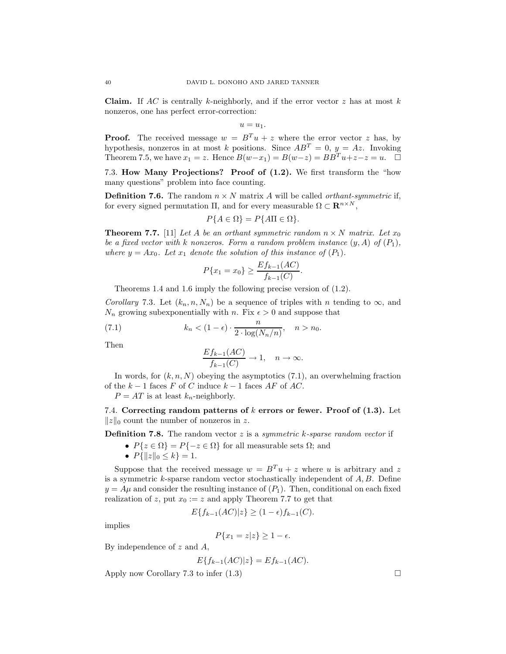**Claim.** If AC is centrally k-neighborly, and if the error vector z has at most k nonzeros, one has perfect error-correction:

 $u = u_1$ .

**Proof.** The received message  $w = B<sup>T</sup>u + z$  where the error vector z has, by hypothesis, nonzeros in at most k positions. Since  $AB^T = 0$ ,  $y = Az$ . Invoking Theorem 7.5, we have  $x_1 = z$ . Hence  $B(w-x_1) = B(w-z) = BB^T u + z-z = u$ .  $\Box$ 

7.3. How Many Projections? Proof of (1.2). We first transform the "how many questions" problem into face counting.

**Definition 7.6.** The random  $n \times N$  matrix A will be called *orthant-symmetric* if, for every signed permutation  $\Pi$ , and for every measurable  $\Omega \subset \mathbf{R}^{n \times N}$ ,

$$
P\{A \in \Omega\} = P\{A\Pi \in \Omega\}.
$$

**Theorem 7.7.** [11] Let A be an orthant symmetric random  $n \times N$  matrix. Let  $x_0$ be a fixed vector with k nonzeros. Form a random problem instance  $(y, A)$  of  $(P_1)$ , where  $y = Ax_0$ . Let  $x_1$  denote the solution of this instance of  $(P_1)$ .

$$
P\{x_1 = x_0\} \ge \frac{E f_{k-1}(AC)}{f_{k-1}(C)}.
$$

Theorems 1.4 and 1.6 imply the following precise version of (1.2).

Corollary 7.3. Let  $(k_n, n, N_n)$  be a sequence of triples with n tending to  $\infty$ , and  $N_n$  growing subexponentially with n. Fix  $\epsilon > 0$  and suppose that

(7.1) 
$$
k_n < (1 - \epsilon) \cdot \frac{n}{2 \cdot \log(N_n/n)}, \quad n > n_0.
$$

Then

$$
\frac{Ef_{k-1}(AC)}{f_{k-1}(C)} \to 1, \quad n \to \infty.
$$

In words, for  $(k, n, N)$  obeying the asymptotics  $(7.1)$ , an overwhelming fraction of the  $k-1$  faces F of C induce  $k-1$  faces AF of AC.

 $P = AT$  is at least  $k_n$ -neighborly.

7.4. Correcting random patterns of  $k$  errors or fewer. Proof of  $(1.3)$ . Let  $||z||_0$  count the number of nonzeros in z.

**Definition 7.8.** The random vector  $z$  is a symmetric k-sparse random vector if

- $P\{z \in \Omega\} = P\{-z \in \Omega\}$  for all measurable sets  $\Omega$ ; and
- $P\{\|z\|_0 \le k\} = 1.$

Suppose that the received message  $w = B<sup>T</sup> u + z$  where u is arbitrary and z is a symmetric k-sparse random vector stochastically independent of  $A, B$ . Define  $y = A\mu$  and consider the resulting instance of  $(P_1)$ . Then, conditional on each fixed realization of z, put  $x_0 := z$  and apply Theorem 7.7 to get that

$$
E\{f_{k-1}(AC)|z\} \ge (1-\epsilon)f_{k-1}(C).
$$

implies

$$
P\{x_1 = z|z\} \ge 1 - \epsilon.
$$

By independence of  $z$  and  $A$ ,

$$
E\{f_{k-1}(AC)|z\} = Ef_{k-1}(AC).
$$

Apply now Corollary 7.3 to infer  $(1.3)$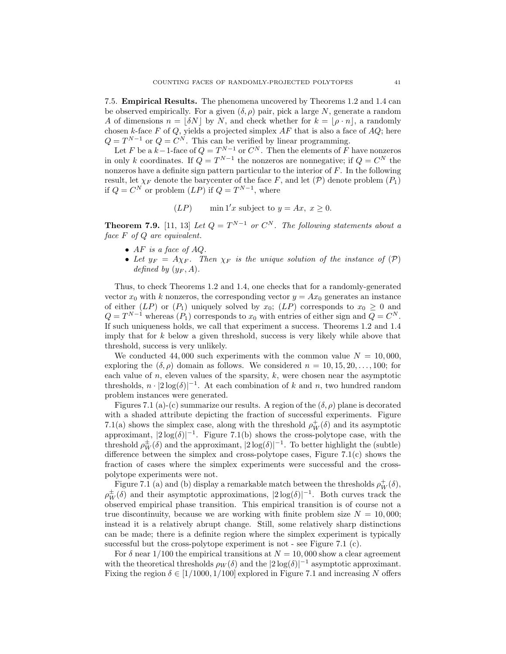7.5. Empirical Results. The phenomena uncovered by Theorems 1.2 and 1.4 can be observed empirically. For a given  $(\delta, \rho)$  pair, pick a large N, generate a random A of dimensions  $n = |\delta N|$  by N, and check whether for  $k = |\rho \cdot n|$ , a randomly chosen k-face  $F$  of  $Q$ , yields a projected simplex  $AF$  that is also a face of  $AQ$ ; here  $Q = T^{N-1}$  or  $Q = C^N$ . This can be verified by linear programming.

Let F be a  $k-1$ -face of  $Q = T^{N-1}$  or  $C^N$ . Then the elements of F have nonzeros in only k coordinates. If  $Q = T^{N-1}$  the nonzeros are nonnegative; if  $Q = C^N$  the nonzeros have a definite sign pattern particular to the interior of  $F$ . In the following result, let  $\chi_F$  denote the barycenter of the face F, and let  $(\mathcal{P})$  denote problem  $(P_1)$ if  $Q = C^N$  or problem  $(LP)$  if  $Q = T^{N-1}$ , where

$$
(LP) \qquad \min 1'x \text{ subject to } y = Ax, \ x \ge 0.
$$

**Theorem 7.9.** [11, 13] Let  $Q = T^{N-1}$  or  $C^N$ . The following statements about a face F of Q are equivalent.

- AF is a face of  $AQ$ .
- Let  $y_F = A\chi_F$ . Then  $\chi_F$  is the unique solution of the instance of  $(\mathcal{P})$ defined by  $(y_F, A)$ .

Thus, to check Theorems 1.2 and 1.4, one checks that for a randomly-generated vector  $x_0$  with k nonzeros, the corresponding vector  $y = Ax_0$  generates an instance of either (LP) or  $(P_1)$  uniquely solved by  $x_0$ ; (LP) corresponds to  $x_0 \geq 0$  and  $Q = T^{N-1}$  whereas  $(P_1)$  corresponds to  $x_0$  with entries of either sign and  $Q = C^N$ . If such uniqueness holds, we call that experiment a success. Theorems 1.2 and 1.4 imply that for  $k$  below a given threshold, success is very likely while above that threshold, success is very unlikely.

We conducted 44,000 such experiments with the common value  $N = 10,000$ , exploring the  $(\delta, \rho)$  domain as follows. We considered  $n = 10, 15, 20, \ldots, 100$ ; for each value of  $n$ , eleven values of the sparsity,  $k$ , were chosen near the asymptotic thresholds,  $n \cdot |2 \log(\delta)|^{-1}$ . At each combination of k and n, two hundred random problem instances were generated.

Figures 7.1 (a)-(c) summarize our results. A region of the  $(\delta, \rho)$  plane is decorated with a shaded attribute depicting the fraction of successful experiments. Figure 7.1(a) shows the simplex case, along with the threshold  $\rho_W^+(\delta)$  and its asymptotic approximant,  $|2 \log(\delta)|^{-1}$ . Figure 7.1(b) shows the cross-polytope case, with the threshold  $\rho_W^{\pm}(\delta)$  and the approximant,  $|2 \log(\delta)|^{-1}$ . To better highlight the (subtle) difference between the simplex and cross-polytope cases, Figure 7.1(c) shows the fraction of cases where the simplex experiments were successful and the crosspolytope experiments were not.

Figure 7.1 (a) and (b) display a remarkable match between the thresholds  $\rho_W^+(\delta)$ ,  $\rho_W^{\pm}(\delta)$  and their asymptotic approximations,  $|2 \log(\delta)|^{-1}$ . Both curves track the observed empirical phase transition. This empirical transition is of course not a true discontinuity, because we are working with finite problem size  $N = 10,000$ ; instead it is a relatively abrupt change. Still, some relatively sharp distinctions can be made; there is a definite region where the simplex experiment is typically successful but the cross-polytope experiment is not - see Figure 7.1 (c).

For  $\delta$  near 1/100 the empirical transitions at  $N = 10,000$  show a clear agreement with the theoretical thresholds  $\rho_W(\delta)$  and the  $|2 \log(\delta)|^{-1}$  asymptotic approximant. Fixing the region  $\delta \in [1/1000, 1/100]$  explored in Figure 7.1 and increasing N offers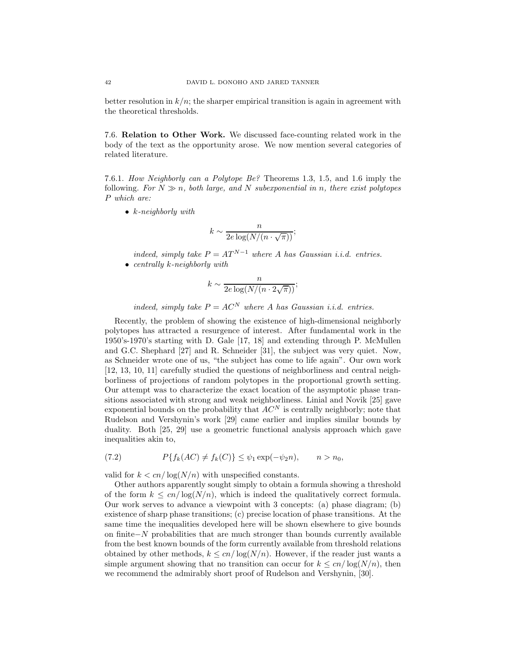better resolution in  $k/n$ ; the sharper empirical transition is again in agreement with the theoretical thresholds.

7.6. Relation to Other Work. We discussed face-counting related work in the body of the text as the opportunity arose. We now mention several categories of related literature.

7.6.1. How Neighborly can a Polytope Be? Theorems 1.3, 1.5, and 1.6 imply the following. For  $N \gg n$ , both large, and N suberponential in n, there exist polytopes P which are:

•  $k$ -neighborly with

$$
k \sim \frac{n}{2e\log(N/(n\cdot\sqrt{\pi}))};
$$

indeed, simply take  $P = AT^{N-1}$  where A has Gaussian i.i.d. entries. • centrally  $k$ -neighborly with

$$
k \sim \frac{n}{2e \log(N/(n \cdot 2\sqrt{\pi}))};
$$

indeed, simply take  $P = AC^N$  where A has Gaussian i.i.d. entries.

Recently, the problem of showing the existence of high-dimensional neighborly polytopes has attracted a resurgence of interest. After fundamental work in the 1950's-1970's starting with D. Gale [17, 18] and extending through P. McMullen and G.C. Shephard [27] and R. Schneider [31], the subject was very quiet. Now, as Schneider wrote one of us, "the subject has come to life again". Our own work [12, 13, 10, 11] carefully studied the questions of neighborliness and central neighborliness of projections of random polytopes in the proportional growth setting. Our attempt was to characterize the exact location of the asymptotic phase transitions associated with strong and weak neighborliness. Linial and Novik [25] gave exponential bounds on the probability that  $AC^N$  is centrally neighborly; note that Rudelson and Vershynin's work [29] came earlier and implies similar bounds by duality. Both [25, 29] use a geometric functional analysis approach which gave inequalities akin to,

(7.2) 
$$
P\{f_k(AC) \neq f_k(C)\} \leq \psi_1 \exp(-\psi_2 n), \qquad n > n_0,
$$

valid for  $k < cn/\log(N/n)$  with unspecified constants.

Other authors apparently sought simply to obtain a formula showing a threshold of the form  $k \leq cn/\log(N/n)$ , which is indeed the qualitatively correct formula. Our work serves to advance a viewpoint with 3 concepts: (a) phase diagram; (b) existence of sharp phase transitions; (c) precise location of phase transitions. At the same time the inequalities developed here will be shown elsewhere to give bounds on finite−N probabilities that are much stronger than bounds currently available from the best known bounds of the form currently available from threshold relations obtained by other methods,  $k \leq cn/\log(N/n)$ . However, if the reader just wants a simple argument showing that no transition can occur for  $k \leq cn/\log(N/n)$ , then we recommend the admirably short proof of Rudelson and Vershynin, [30].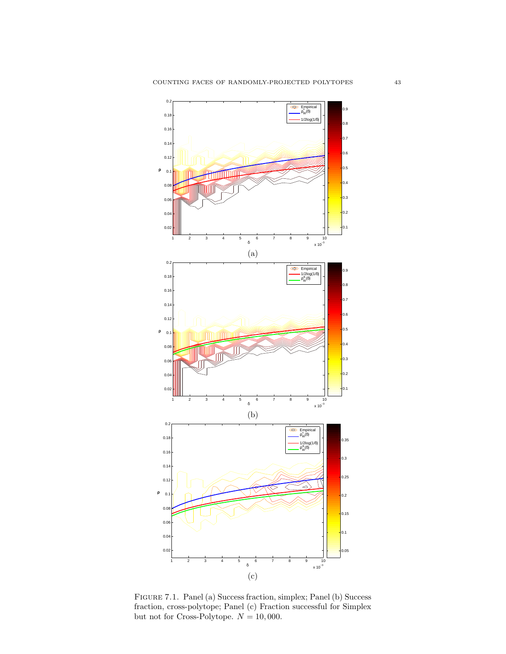

Figure 7.1. Panel (a) Success fraction, simplex; Panel (b) Success fraction, cross-polytope; Panel (c) Fraction successful for Simplex but not for Cross-Polytope.  $N = 10,000$ .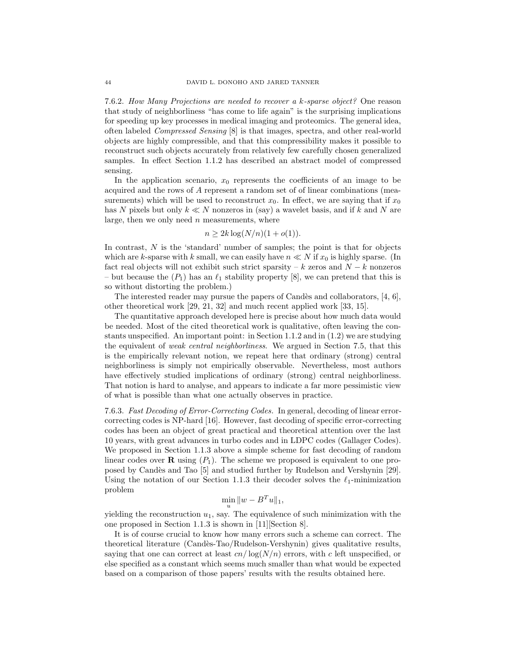7.6.2. How Many Projections are needed to recover a k-sparse object? One reason that study of neighborliness "has come to life again" is the surprising implications for speeding up key processes in medical imaging and proteomics. The general idea, often labeled Compressed Sensing [8] is that images, spectra, and other real-world objects are highly compressible, and that this compressibility makes it possible to reconstruct such objects accurately from relatively few carefully chosen generalized samples. In effect Section 1.1.2 has described an abstract model of compressed sensing.

In the application scenario,  $x_0$  represents the coefficients of an image to be acquired and the rows of A represent a random set of of linear combinations (measurements) which will be used to reconstruct  $x_0$ . In effect, we are saying that if  $x_0$ has N pixels but only  $k \ll N$  nonzeros in (say) a wavelet basis, and if k and N are large, then we only need  $n$  measurements, where

$$
n \ge 2k \log(N/n)(1 + o(1)).
$$

In contrast,  $N$  is the 'standard' number of samples; the point is that for objects which are k-sparse with k small, we can easily have  $n \ll N$  if  $x_0$  is highly sparse. (In fact real objects will not exhibit such strict sparsity – k zeros and  $N - k$  nonzeros – but because the  $(P_1)$  has an  $\ell_1$  stability property [8], we can pretend that this is so without distorting the problem.)

The interested reader may pursue the papers of Candès and collaborators,  $[4, 6]$ , other theoretical work [29, 21, 32] and much recent applied work [33, 15].

The quantitative approach developed here is precise about how much data would be needed. Most of the cited theoretical work is qualitative, often leaving the constants unspecified. An important point: in Section 1.1.2 and in (1.2) we are studying the equivalent of weak central neighborliness. We argued in Section 7.5, that this is the empirically relevant notion, we repeat here that ordinary (strong) central neighborliness is simply not empirically observable. Nevertheless, most authors have effectively studied implications of ordinary (strong) central neighborliness. That notion is hard to analyse, and appears to indicate a far more pessimistic view of what is possible than what one actually observes in practice.

7.6.3. Fast Decoding of Error-Correcting Codes. In general, decoding of linear errorcorrecting codes is NP-hard [16]. However, fast decoding of specific error-correcting codes has been an object of great practical and theoretical attention over the last 10 years, with great advances in turbo codes and in LDPC codes (Gallager Codes). We proposed in Section 1.1.3 above a simple scheme for fast decoding of random linear codes over **R** using  $(P_1)$ . The scheme we proposed is equivalent to one proposed by Cand`es and Tao [5] and studied further by Rudelson and Vershynin [29]. Using the notation of our Section 1.1.3 their decoder solves the  $\ell_1$ -minimization problem

$$
\min_{u} \|w - B^{T}u\|_{1},
$$

yielding the reconstruction  $u_1$ , say. The equivalence of such minimization with the one proposed in Section 1.1.3 is shown in [11][Section 8].

It is of course crucial to know how many errors such a scheme can correct. The theoretical literature (Candès-Tao/Rudelson-Vershynin) gives qualitative results, saying that one can correct at least  $cn/\log(N/n)$  errors, with c left unspecified, or else specified as a constant which seems much smaller than what would be expected based on a comparison of those papers' results with the results obtained here.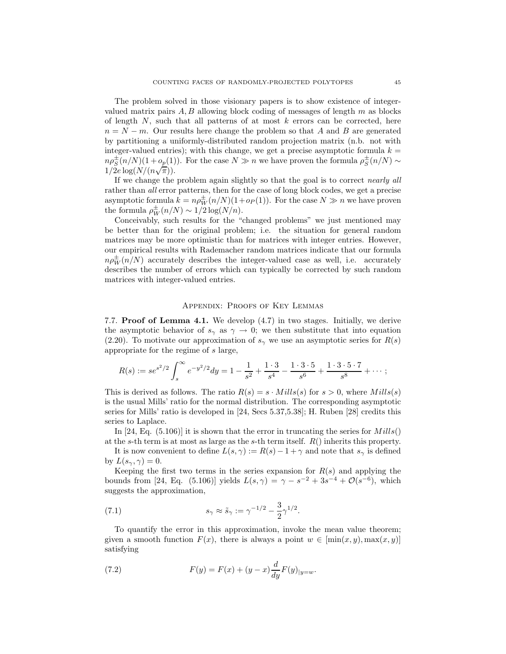The problem solved in those visionary papers is to show existence of integervalued matrix pairs  $A, B$  allowing block coding of messages of length  $m$  as blocks of length  $N$ , such that all patterns of at most  $k$  errors can be corrected, here  $n = N - m$ . Our results here change the problem so that A and B are generated by partitioning a uniformly-distributed random projection matrix (n.b. not with integer-valued entries); with this change, we get a precise asymptotic formula  $k =$  $n\rho_S^{\pm}(n/N)(1+o_p(1))$ . For the case  $N \gg n$  we have proven the formula  $\rho_S^{\pm}(n/N) \sim$  $1/2e \log(N/(n\sqrt{\pi})).$ 

If we change the problem again slightly so that the goal is to correct nearly all rather than all error patterns, then for the case of long block codes, we get a precise asymptotic formula  $k = n \rho_W^{\pm}(n/N)(1 + o_P(1))$ . For the case  $N \gg n$  we have proven the formula  $\rho_W^{\pm}(n/N) \sim 1/2 \log(N/n)$ .

Conceivably, such results for the "changed problems" we just mentioned may be better than for the original problem; i.e. the situation for general random matrices may be more optimistic than for matrices with integer entries. However, our empirical results with Rademacher random matrices indicate that our formula  $n\rho_W^{\pm}(n/N)$  accurately describes the integer-valued case as well, i.e. accurately describes the number of errors which can typically be corrected by such random matrices with integer-valued entries.

#### Appendix: Proofs of Key Lemmas

7.7. Proof of Lemma 4.1. We develop (4.7) in two stages. Initially, we derive the asymptotic behavior of  $s_\gamma$  as  $\gamma \to 0$ ; we then substitute that into equation (2.20). To motivate our approximation of  $s<sub>\gamma</sub>$  we use an asymptotic series for  $R(s)$ appropriate for the regime of s large,

$$
R(s) := se^{s^2/2} \int_s^{\infty} e^{-y^2/2} dy = 1 - \frac{1}{s^2} + \frac{1 \cdot 3}{s^4} - \frac{1 \cdot 3 \cdot 5}{s^6} + \frac{1 \cdot 3 \cdot 5 \cdot 7}{s^8} + \cdots;
$$

This is derived as follows. The ratio  $R(s) = s \cdot Mills(s)$  for  $s > 0$ , where  $Mills(s)$ is the usual Mills' ratio for the normal distribution. The corresponding asymptotic series for Mills' ratio is developed in [24, Secs 5.37,5.38]; H. Ruben [28] credits this series to Laplace.

In [24, Eq.  $(5.106)$ ] it is shown that the error in truncating the series for  $Mills()$ at the s-th term is at most as large as the s-th term itself.  $R()$  inherits this property.

It is now convenient to define  $L(s, \gamma) := R(s) - 1 + \gamma$  and note that  $s_{\gamma}$  is defined by  $L(s_\gamma, \gamma) = 0$ .

Keeping the first two terms in the series expansion for  $R(s)$  and applying the bounds from [24, Eq. (5.106)] yields  $L(s, \gamma) = \gamma - s^{-2} + 3s^{-4} + \mathcal{O}(s^{-6})$ , which suggests the approximation,

(7.1) 
$$
s_{\gamma} \approx \tilde{s}_{\gamma} := \gamma^{-1/2} - \frac{3}{2} \gamma^{1/2}.
$$

To quantify the error in this approximation, invoke the mean value theorem; given a smooth function  $F(x)$ , there is always a point  $w \in [\min(x, y), \max(x, y)]$ satisfying

(7.2) 
$$
F(y) = F(x) + (y - x) \frac{d}{dy} F(y)_{|y=w}.
$$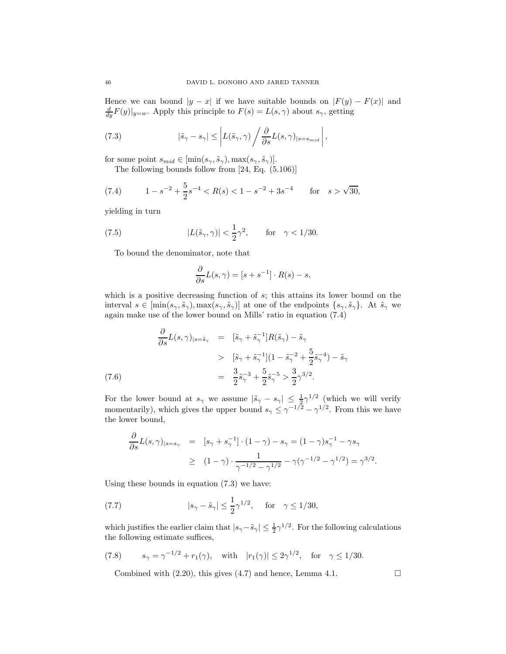Hence we can bound  $|y - x|$  if we have suitable bounds on  $|F(y) - F(x)|$  and  $\frac{d}{dy}F(y)|_{y=w}$ . Apply this principle to  $F(s) = L(s, \gamma)$  about  $s_{\gamma}$ , getting

(7.3) 
$$
|\tilde{s}_{\gamma} - s_{\gamma}| \leq \left| L(\tilde{s}_{\gamma}, \gamma) \left/ \frac{\partial}{\partial s} L(s, \gamma) \right|_{s=s_{mid}} \right|,
$$

for some point  $s_{mid} \in [\min(s_\gamma, \tilde{s}_\gamma), \max(s_\gamma, \tilde{s}_\gamma)].$ 

The following bounds follow from [24, Eq. (5.106)]

(7.4) 
$$
1 - s^{-2} + \frac{5}{2}s^{-4} < R(s) < 1 - s^{-2} + 3s^{-4} \quad \text{for} \quad s > \sqrt{30},
$$

yielding in turn

(7.5) 
$$
|L(\tilde{s}_{\gamma}, \gamma)| < \frac{1}{2}\gamma^2, \quad \text{for} \quad \gamma < 1/30.
$$

To bound the denominator, note that

$$
\frac{\partial}{\partial s}L(s,\gamma) = [s + s^{-1}] \cdot R(s) - s,
$$

which is a positive decreasing function of  $s$ ; this attains its lower bound on the interval  $s \in [\min(s_\gamma, \tilde{s}_\gamma), \max(s_\gamma, \tilde{s}_\gamma)]$  at one of the endpoints  $\{s_\gamma, \tilde{s}_\gamma\}$ . At  $\tilde{s}_\gamma$  we again make use of the lower bound on Mills' ratio in equation (7.4)

$$
\frac{\partial}{\partial s} L(s,\gamma)_{|s=\tilde{s}_{\gamma}} = [\tilde{s}_{\gamma} + \tilde{s}_{\gamma}^{-1}]R(\tilde{s}_{\gamma}) - \tilde{s}_{\gamma}
$$
\n
$$
> [\tilde{s}_{\gamma} + \tilde{s}_{\gamma}^{-1}](1 - \tilde{s}_{\gamma}^{-2} + \frac{5}{2}\tilde{s}_{\gamma}^{-4}) - \tilde{s}_{\gamma}
$$
\n
$$
= \frac{3}{2}\tilde{s}_{\gamma}^{-3} + \frac{5}{2}\tilde{s}_{\gamma}^{-5} > \frac{3}{2}\gamma^{3/2}.
$$
\n(7.6)

For the lower bound at  $s_\gamma$  we assume  $|\tilde{s}_\gamma - s_\gamma| \leq \frac{1}{2}\gamma^{1/2}$  (which we will verify momentarily), which gives the upper bound  $s_{\gamma} \leq \gamma^{-1/2} - \gamma^{1/2}$ . From this we have the lower bound,

$$
\frac{\partial}{\partial s} L(s,\gamma)_{|s=s_{\gamma}} = [s_{\gamma} + s_{\gamma}^{-1}] \cdot (1-\gamma) - s_{\gamma} = (1-\gamma)s_{\gamma}^{-1} - \gamma s_{\gamma} \geq (1-\gamma) \cdot \frac{1}{\gamma^{-1/2} - \gamma^{1/2}} - \gamma(\gamma^{-1/2} - \gamma^{1/2}) = \gamma^{3/2}.
$$

Using these bounds in equation (7.3) we have:

(7.7) 
$$
|s_{\gamma} - \tilde{s}_{\gamma}| \le \frac{1}{2} \gamma^{1/2}
$$
, for  $\gamma \le 1/30$ ,

which justifies the earlier claim that  $|s_{\gamma}-\tilde{s}_{\gamma}| \leq \frac{1}{2}\gamma^{1/2}$ . For the following calculations the following estimate suffices,

(7.8) 
$$
s_{\gamma} = \gamma^{-1/2} + r_1(\gamma)
$$
, with  $|r_1(\gamma)| \le 2\gamma^{1/2}$ , for  $\gamma \le 1/30$ .

Combined with  $(2.20)$ , this gives  $(4.7)$  and hence, Lemma 4.1.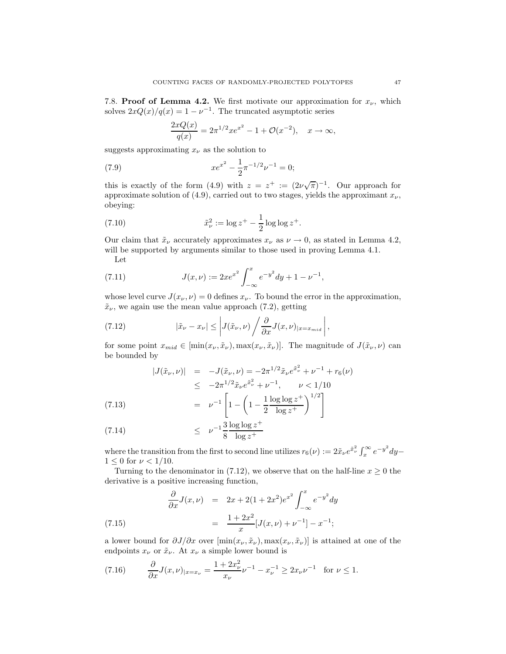7.8. **Proof of Lemma 4.2.** We first motivate our approximation for  $x_{\nu}$ , which solves  $2xQ(x)/q(x) = 1 - \nu^{-1}$ . The truncated asymptotic series

$$
\frac{2xQ(x)}{q(x)} = 2\pi^{1/2}xe^{x^2} - 1 + \mathcal{O}(x^{-2}), \quad x \to \infty,
$$

suggests approximating  $x_{\nu}$  as the solution to

(7.9) 
$$
xe^{x^2} - \frac{1}{2}\pi^{-1/2}\nu^{-1} = 0;
$$

this is exactly of the form (4.9) with  $z = z^+ := (2\nu\sqrt{\pi})^{-1}$ . Our approach for approximate solution of (4.9), carried out to two stages, yields the approximant  $x_{\nu}$ , obeying:

(7.10) 
$$
\tilde{x}_{\nu}^{2} := \log z^{+} - \frac{1}{2} \log \log z^{+}.
$$

Our claim that  $\tilde{x}_{\nu}$  accurately approximates  $x_{\nu}$  as  $\nu \to 0$ , as stated in Lemma 4.2, will be supported by arguments similar to those used in proving Lemma 4.1.

Let

(7.11) 
$$
J(x,\nu) := 2xe^{x^2} \int_{-\infty}^x e^{-y^2} dy + 1 - \nu^{-1},
$$

whose level curve  $J(x_{\nu}, \nu) = 0$  defines  $x_{\nu}$ . To bound the error in the approximation,  $\tilde{x}_{\nu}$ , we again use the mean value approach (7.2), getting

(7.12) 
$$
|\tilde{x}_{\nu} - x_{\nu}| \leq \left| J(\tilde{x}_{\nu}, \nu) \left/ \frac{\partial}{\partial x} J(x, \nu) \right|_{x = x_{mid}} \right|,
$$

for some point  $x_{mid} \in [\min(x_{\nu}, \tilde{x}_{\nu}), \max(x_{\nu}, \tilde{x}_{\nu})]$ . The magnitude of  $J(\tilde{x}_{\nu}, \nu)$  can be bounded by

$$
|J(\tilde{x}_{\nu}, \nu)| = -J(\tilde{x}_{\nu}, \nu) = -2\pi^{1/2}\tilde{x}_{\nu}e^{\tilde{x}_{\nu}^{2}} + \nu^{-1} + r_{6}(\nu)
$$
  
\n
$$
\leq -2\pi^{1/2}\tilde{x}_{\nu}e^{\tilde{x}_{\nu}^{2}} + \nu^{-1}, \qquad \nu < 1/10
$$
  
\n(7.13)  
\n
$$
= \nu^{-1}\left[1 - \left(1 - \frac{1}{2}\frac{\log\log z^{+}}{\log z^{+}}\right)^{1/2}\right]
$$

(7.14) 
$$
\leq \nu^{-1} \frac{3}{8} \frac{\log \log z^{+}}{\log z^{+}}
$$

where the transition from the first to second line utilizes  $r_6(\nu) := 2\tilde{x}_{\nu}e^{\tilde{x}_{\nu}^2}\int_x^{\infty}e^{-y^2}dy$  $1 \leq 0$  for  $\nu < 1/10$ .

Turning to the denominator in (7.12), we observe that on the half-line  $x \geq 0$  the derivative is a positive increasing function,

(7.15) 
$$
\frac{\partial}{\partial x} J(x, \nu) = 2x + 2(1 + 2x^2)e^{x^2} \int_{-\infty}^x e^{-y^2} dy
$$

$$
= \frac{1 + 2x^2}{x} [J(x, \nu) + \nu^{-1}] - x^{-1};
$$

a lower bound for  $\partial J/\partial x$  over  $[\min(x_\nu, \tilde{x}_\nu), \max(x_\nu, \tilde{x}_\nu)]$  is attained at one of the endpoints  $x_{\nu}$  or  $\tilde{x}_{\nu}$ . At  $x_{\nu}$  a simple lower bound is

(7.16) 
$$
\frac{\partial}{\partial x} J(x,\nu)_{|x=x_{\nu}} = \frac{1+2x_{\nu}^2}{x_{\nu}} \nu^{-1} - x_{\nu}^{-1} \ge 2x_{\nu} \nu^{-1} \text{ for } \nu \le 1.
$$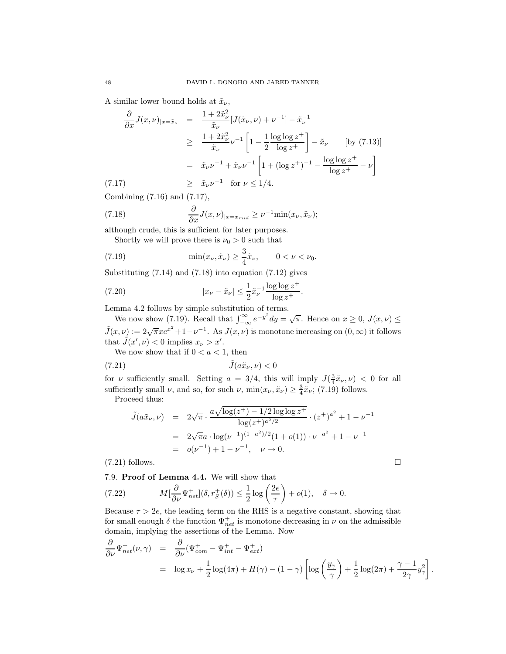A similar lower bound holds at  $\tilde{x}_{\nu}$ ,

$$
\frac{\partial}{\partial x} J(x, \nu)_{|x = \tilde{x}_{\nu}} = \frac{1 + 2\tilde{x}_{\nu}^2}{\tilde{x}_{\nu}} [J(\tilde{x}_{\nu}, \nu) + \nu^{-1}] - \tilde{x}_{\nu}^{-1}
$$
\n
$$
\geq \frac{1 + 2\tilde{x}_{\nu}^2}{\tilde{x}_{\nu}} \nu^{-1} \left[ 1 - \frac{1}{2} \frac{\log \log z^{+}}{\log z^{+}} \right] - \tilde{x}_{\nu} \qquad \text{[by (7.13)]}
$$
\n
$$
= \tilde{x}_{\nu} \nu^{-1} + \tilde{x}_{\nu} \nu^{-1} \left[ 1 + (\log z^{+})^{-1} - \frac{\log \log z^{+}}{\log z^{+}} - \nu \right]
$$
\n
$$
\geq \tilde{x}_{\nu} \nu^{-1} \quad \text{for } \nu \leq 1/4.
$$

Combining (7.16) and (7.17),

(7.18) 
$$
\frac{\partial}{\partial x} J(x,\nu)_{|x=x_{mid}} \geq \nu^{-1} \min(x_{\nu}, \tilde{x}_{\nu});
$$

although crude, this is sufficient for later purposes. Shortly we will prove there is  $\nu_0 > 0$  such that

(7.19) 
$$
\min(x_{\nu}, \tilde{x}_{\nu}) \ge \frac{3}{4}\tilde{x}_{\nu}, \qquad 0 < \nu < \nu_0.
$$

Substituting (7.14) and (7.18) into equation (7.12) gives

(7.20) 
$$
|x_{\nu} - \tilde{x}_{\nu}| \leq \frac{1}{2} \tilde{x}_{\nu}^{-1} \frac{\log \log z^{+}}{\log z^{+}}.
$$

Lemma 4.2 follows by simple substitution of terms.

We now show (7.19). Recall that  $\int_{-\infty}^{\infty} e^{-y^2} dy = \sqrt{\pi}$ . Hence on  $x \ge 0$ ,  $J(x,\nu) \le$  $\tilde{J}(x,\nu) := 2\sqrt{\pi}xe^{x^2} + 1 - \nu^{-1}$ . As  $J(x,\nu)$  is monotone increasing on  $(0,\infty)$  it follows that  $\tilde{J}(x',\nu) < 0$  implies  $x_{\nu} > x'$ . We now show that if  $0 < a < 1$ , then

$$
(7.21)\qquad \qquad \tilde{J}(a\tilde{x}_{\nu},\nu) < 0
$$

for v sufficiently small. Setting  $a = 3/4$ , this will imply  $J(\frac{3}{4}\tilde{x}_{\nu}, \nu) < 0$  for all sufficiently small  $\nu$ , and so, for such  $\nu$ ,  $\min(x_{\nu}, \tilde{x}_{\nu}) \geq \frac{3}{4} \tilde{x}_{\nu}$ ; (7.19) follows.

Proceed thus:

$$
\tilde{J}(a\tilde{x}_{\nu}, \nu) = 2\sqrt{\pi} \cdot \frac{a\sqrt{\log(z^{+}) - 1/2\log\log z^{+}}}{\log(z^{+})^{a^{2}/2}} \cdot (z^{+})^{a^{2}} + 1 - \nu^{-1}
$$
\n
$$
= 2\sqrt{\pi}a \cdot \log(\nu^{-1})^{(1-a^{2})/2}(1+o(1)) \cdot \nu^{-a^{2}} + 1 - \nu^{-1}
$$
\n
$$
= o(\nu^{-1}) + 1 - \nu^{-1}, \quad \nu \to 0.
$$
\n(7.21) follows.

7.9. Proof of Lemma 4.4. We will show that

(7.22) 
$$
M[\frac{\partial}{\partial \nu} \Psi_{net}^+] (\delta, r_S^+ (\delta)) \leq \frac{1}{2} \log \left( \frac{2e}{\tau} \right) + o(1), \quad \delta \to 0.
$$

Because  $\tau > 2e$ , the leading term on the RHS is a negative constant, showing that for small enough  $\delta$  the function  $\Psi_{net}^+$  is monotone decreasing in  $\nu$  on the admissible domain, implying the assertions of the Lemma. Now

$$
\frac{\partial}{\partial \nu} \Psi_{net}^+(\nu, \gamma) = \frac{\partial}{\partial \nu} (\Psi_{com}^+ - \Psi_{int}^+ - \Psi_{ext}^+) \n= \log x_\nu + \frac{1}{2} \log(4\pi) + H(\gamma) - (1 - \gamma) \left[ \log \left( \frac{y_\gamma}{\gamma} \right) + \frac{1}{2} \log(2\pi) + \frac{\gamma - 1}{2\gamma} y_\gamma^2 \right]
$$

.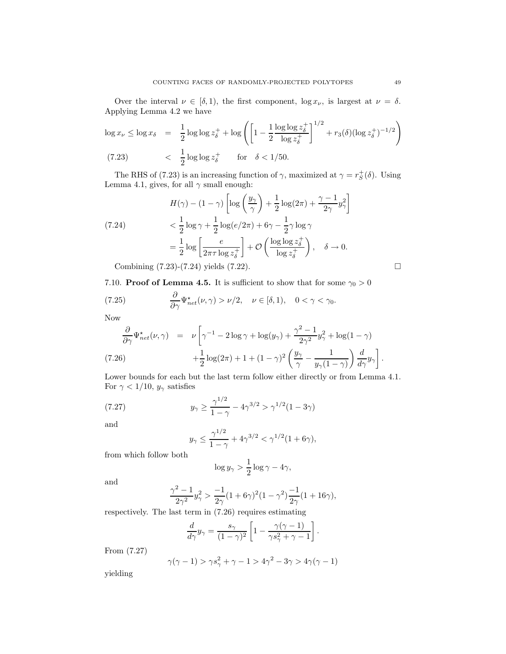Over the interval  $\nu \in [\delta, 1)$ , the first component,  $\log x_{\nu}$ , is largest at  $\nu = \delta$ . Applying Lemma 4.2 we have

$$
\log x_{\nu} \le \log x_{\delta} = \frac{1}{2} \log \log z_{\delta}^{+} + \log \left( \left[ 1 - \frac{1}{2} \frac{\log \log z_{\delta}^{+}}{\log z_{\delta}^{+}} \right]^{1/2} + r_{3}(\delta) (\log z_{\delta}^{+})^{-1/2} \right)
$$
  
(7.23) 
$$
\langle \frac{1}{2} \log \log z_{\delta}^{+} \text{ for } \delta < 1/50.
$$

The RHS of (7.23) is an increasing function of  $\gamma$ , maximized at  $\gamma = r_S^+(\delta)$ . Using Lemma 4.1, gives, for all  $\gamma$  small enough:

$$
H(\gamma) - (1 - \gamma) \left[ \log \left( \frac{y_{\gamma}}{\gamma} \right) + \frac{1}{2} \log(2\pi) + \frac{\gamma - 1}{2\gamma} y_{\gamma}^2 \right]
$$
  
(7.24)  

$$
< \frac{1}{2} \log \gamma + \frac{1}{2} \log(e/2\pi) + 6\gamma - \frac{1}{2} \gamma \log \gamma
$$

$$
= \frac{1}{2} \log \left[ \frac{e}{2\pi \tau \log z_{\delta}^+} \right] + \mathcal{O}\left( \frac{\log \log z_{\delta}^+}{\log z_{\delta}^+} \right), \quad \delta \to 0.
$$
  
Combining (7.23)-(7.24) yields (7.22).

7.10. **Proof of Lemma 4.5.** It is sufficient to show that for some  $\gamma_0 > 0$ 

(7.25) 
$$
\frac{\partial}{\partial \gamma} \Psi_{net}^{\star}(\nu, \gamma) > \nu/2, \quad \nu \in [\delta, 1), \quad 0 < \gamma < \gamma_0.
$$

Now

$$
\frac{\partial}{\partial \gamma} \Psi_{net}^{\star}(\nu, \gamma) = \nu \left[ \gamma^{-1} - 2 \log \gamma + \log(y_{\gamma}) + \frac{\gamma^{2} - 1}{2\gamma^{2}} y_{\gamma}^{2} + \log(1 - \gamma) + \frac{1}{2} \log(2\pi) + 1 + (1 - \gamma)^{2} \left( \frac{y_{\gamma}}{\gamma} - \frac{1}{y_{\gamma}(1 - \gamma)} \right) \frac{d}{d\gamma} y_{\gamma} \right].
$$
\n(7.26)

Lower bounds for each but the last term follow either directly or from Lemma 4.1. For  $\gamma < 1/10$ ,  $y_{\gamma}$  satisfies

(7.27) 
$$
y_{\gamma} \ge \frac{\gamma^{1/2}}{1-\gamma} - 4\gamma^{3/2} > \gamma^{1/2}(1-3\gamma)
$$

and

$$
y_{\gamma} \le \frac{\gamma^{1/2}}{1-\gamma} + 4\gamma^{3/2} < \gamma^{1/2} (1+6\gamma),
$$

from which follow both

$$
\log y_{\gamma} > \frac{1}{2} \log \gamma - 4\gamma,
$$

and

$$
\frac{\gamma^2 - 1}{2\gamma^2} y_\gamma^2 > \frac{-1}{2\gamma} (1 + 6\gamma)^2 (1 - \gamma^2) \frac{-1}{2\gamma} (1 + 16\gamma),
$$

respectively. The last term in (7.26) requires estimating

$$
\frac{d}{d\gamma}y_\gamma = \frac{s_\gamma}{(1-\gamma)^2}\left[1-\frac{\gamma(\gamma-1)}{\gamma s_\gamma^2+\gamma-1}\right].
$$

From (7.27)

$$
\gamma(\gamma - 1) > \gamma s_{\gamma}^2 + \gamma - 1 > 4\gamma^2 - 3\gamma > 4\gamma(\gamma - 1)
$$

yielding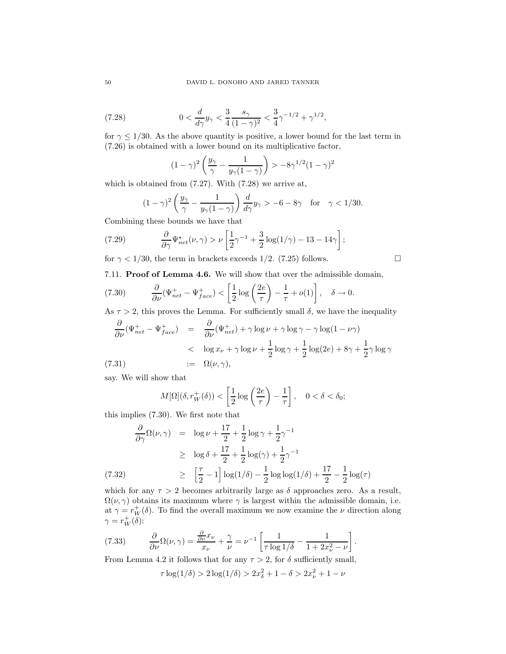(7.28) 
$$
0 < \frac{d}{d\gamma}y_{\gamma} < \frac{3}{4}\frac{s_{\gamma}}{(1-\gamma)^2} < \frac{3}{4}\gamma^{-1/2} + \gamma^{1/2},
$$

for  $\gamma \leq 1/30$ . As the above quantity is positive, a lower bound for the last term in (7.26) is obtained with a lower bound on its multiplicative factor,

$$
(1-\gamma)^2 \left(\frac{y_\gamma}{\gamma} - \frac{1}{y_\gamma(1-\gamma)}\right) > -8\gamma^{1/2}(1-\gamma)^2
$$

which is obtained from (7.27). With (7.28) we arrive at,

$$
(1 - \gamma)^2 \left(\frac{y_\gamma}{\gamma} - \frac{1}{y_\gamma(1 - \gamma)}\right) \frac{d}{d\gamma} y_\gamma > -6 - 8\gamma \quad \text{for} \quad \gamma < 1/30.
$$

Combining these bounds we have that

(7.29) 
$$
\frac{\partial}{\partial \gamma} \Psi_{net}^{\star}(\nu, \gamma) > \nu \left[ \frac{1}{2} \gamma^{-1} + \frac{3}{2} \log(1/\gamma) - 13 - 14\gamma \right];
$$

for  $\gamma$  < 1/30, the term in brackets exceeds 1/2. (7.25) follows.

7.11. Proof of Lemma 4.6. We will show that over the admissible domain,

(7.30) 
$$
\frac{\partial}{\partial \nu} (\Psi_{net}^+ - \Psi_{face}^+) < \left[ \frac{1}{2} \log \left( \frac{2e}{\tau} \right) - \frac{1}{\tau} + o(1) \right], \quad \delta \to 0.
$$

As  $\tau > 2$ , this proves the Lemma. For sufficiently small  $\delta$ , we have the inequality

$$
\frac{\partial}{\partial \nu} (\Psi_{net}^+ - \Psi_{face}^+) = \frac{\partial}{\partial \nu} (\Psi_{net}^+) + \gamma \log \nu + \gamma \log \gamma - \gamma \log (1 - \nu \gamma)
$$
\n
$$
< \log x_{\nu} + \gamma \log \nu + \frac{1}{2} \log \gamma + \frac{1}{2} \log (2e) + 8\gamma + \frac{1}{2} \gamma \log \gamma
$$
\n(7.31)\n
$$
:= \Omega(\nu, \gamma),
$$

say. We will show that

$$
M[\Omega](\delta, r_W^+(\delta)) < \left[\frac{1}{2}\log\left(\frac{2e}{\tau}\right) - \frac{1}{\tau}\right], \quad 0 < \delta < \delta_0;
$$

this implies (7.30). We first note that

$$
\frac{\partial}{\partial \gamma} \Omega(\nu, \gamma) = \log \nu + \frac{17}{2} + \frac{1}{2} \log \gamma + \frac{1}{2} \gamma^{-1}
$$
\n
$$
\geq \log \delta + \frac{17}{2} + \frac{1}{2} \log(\gamma) + \frac{1}{2} \gamma^{-1}
$$
\n(7.32)\n
$$
\geq \left[ \frac{\tau}{2} - 1 \right] \log(1/\delta) - \frac{1}{2} \log \log(1/\delta) + \frac{17}{2} - \frac{1}{2} \log(\tau)
$$

which for any  $\tau > 2$  becomes arbitrarily large as  $\delta$  approaches zero. As a result,  $\Omega(\nu, \gamma)$  obtains its maximum where  $\gamma$  is largest within the admissible domain, i.e. at  $\gamma = r_W^+(\delta)$ . To find the overall maximum we now examine the  $\nu$  direction along  $\gamma = r_W^+(\delta)$ :

(7.33) 
$$
\frac{\partial}{\partial \nu} \Omega(\nu, \gamma) = \frac{\frac{\partial}{\partial \nu} x_{\nu}}{x_{\nu}} + \frac{\gamma}{\nu} = \nu^{-1} \left[ \frac{1}{\tau \log 1/\delta} - \frac{1}{1 + 2x_{\nu}^2 - \nu} \right]
$$

From Lemma 4.2 it follows that for any  $\tau > 2$ , for  $\delta$  sufficiently small,

$$
\tau \log(1/\delta) > 2\log(1/\delta) > 2x_{\delta}^{2} + 1 - \delta > 2x_{\nu}^{2} + 1 - \nu
$$

.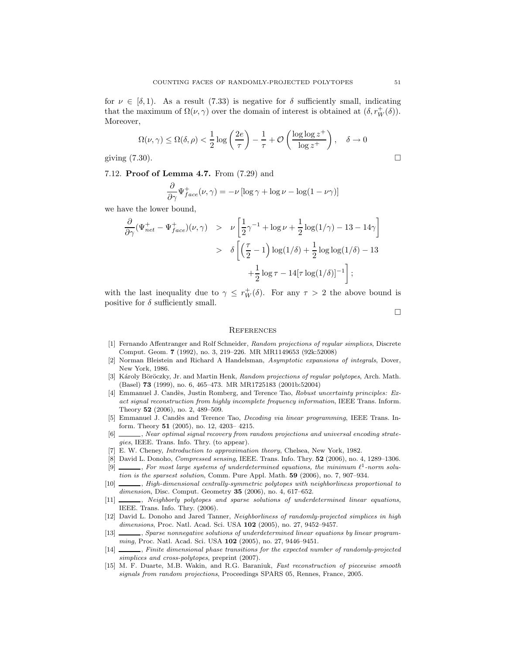for  $\nu \in [\delta, 1]$ . As a result (7.33) is negative for  $\delta$  sufficiently small, indicating that the maximum of  $\Omega(\nu, \gamma)$  over the domain of interest is obtained at  $(\delta, r_W^+(\delta))$ . Moreover,

$$
\Omega(\nu,\gamma) \le \Omega(\delta,\rho) < \frac{1}{2}\log\left(\frac{2e}{\tau}\right) - \frac{1}{\tau} + \mathcal{O}\left(\frac{\log\log z^+}{\log z^+}\right), \quad \delta \to 0
$$
\ngiving (7.30).

7.12. Proof of Lemma 4.7. From (7.29) and

$$
\frac{\partial}{\partial \gamma} \Psi_{face}^+(\nu, \gamma) = -\nu \left[ \log \gamma + \log \nu - \log(1 - \nu \gamma) \right]
$$

we have the lower bound,

$$
\frac{\partial}{\partial \gamma} (\Psi_{net}^+ - \Psi_{face}^+)(\nu, \gamma) > \nu \left[ \frac{1}{2} \gamma^{-1} + \log \nu + \frac{1}{2} \log(1/\gamma) - 13 - 14\gamma \right]
$$
  
>  $\delta \left[ \left( \frac{\tau}{2} - 1 \right) \log(1/\delta) + \frac{1}{2} \log \log(1/\delta) - 13 + \frac{1}{2} \log \tau - 14[\tau \log(1/\delta)]^{-1} \right];$ 

with the last inequality due to  $\gamma \leq r_W^+(\delta)$ . For any  $\tau > 2$  the above bound is positive for  $\delta$  sufficiently small.

 $\Box$ 

#### **REFERENCES**

- [1] Fernando Affentranger and Rolf Schneider, Random projections of regular simplices, Discrete Comput. Geom. 7 (1992), no. 3, 219–226. MR MR1149653 (92k:52008)
- [2] Norman Bleistein and Richard A Handelsman, Asymptotic expansions of integrals, Dover, New York, 1986.
- [3] Károly Böröczky, Jr. and Martin Henk, Random projections of regular polytopes, Arch. Math. (Basel) 73 (1999), no. 6, 465–473. MR MR1725183 (2001b:52004)
- [4] Emmanuel J. Candès, Justin Romberg, and Terence Tao, Robust uncertainty principles: Exact signal reconstruction from highly incomplete frequency information, IEEE Trans. Inform. Theory 52 (2006), no. 2, 489–509.
- [5] Emmanuel J. Candès and Terence Tao, Decoding via linear programming, IEEE Trans. Inform. Theory 51 (2005), no. 12, 4203– 4215.
- [6] , Near optimal signal recovery from random projections and universal encoding strategies, IEEE. Trans. Info. Thry. (to appear).
- [7] E. W. Cheney, Introduction to approximation theory, Chelsea, New York, 1982.
- [8] David L. Donoho, Compressed sensing, IEEE. Trans. Info. Thry. 52 (2006), no. 4, 1289–1306.  $[9]$  \_\_\_\_, For most large systems of underdetermined equations, the minimum  $\ell^1$ -norm solu-
- tion is the sparsest solution, Comm. Pure Appl. Math. 59 (2006), no. 7, 907–934.
- [10]  $\_\_\_\_\$  High-dimensional centrally-symmetric polytopes with neighborliness proportional to dimension, Disc. Comput. Geometry 35 (2006), no. 4, 617-652.
- [11] \_\_\_\_, Neighborly polytopes and sparse solutions of underdetermined linear equations, IEEE. Trans. Info. Thry. (2006).
- [12] David L. Donoho and Jared Tanner, Neighborliness of randomly-projected simplices in high dimensions, Proc. Natl. Acad. Sci. USA 102 (2005), no. 27, 9452-9457.
- [13] , Sparse nonnegative solutions of underdetermined linear equations by linear programming, Proc. Natl. Acad. Sci. USA 102 (2005), no. 27, 9446–9451.
- [14]  $\qquad \qquad$ , Finite dimensional phase transitions for the expected number of randomly-projected simplices and cross-polytopes, preprint (2007).
- [15] M. F. Duarte, M.B. Wakin, and R.G. Baraniuk, Fast reconstruction of piecewise smooth signals from random projections, Proceedings SPARS 05, Rennes, France, 2005.